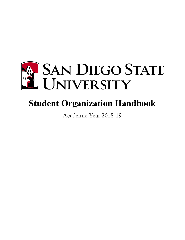

# **Student Organization Handbook**

Academic Year 2018-19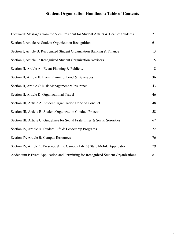# **Student Organization Handbook: Table of Contents**

| Foreward: Messages from the Vice President for Student Affairs & Dean of Students   | $\overline{2}$ |
|-------------------------------------------------------------------------------------|----------------|
| Section I, Article A: Student Organization Recognition                              | 6              |
| Section I, Article B: Recognized Student Organization Banking & Finance             | 13             |
| Section I, Article C: Recognized Student Organization Advisors                      | 15             |
| Section II, Article A: Event Planning & Publicity                                   | 18             |
| Section II, Article B: Event Planning, Food & Beverages                             | 36             |
| Section II, Article C: Risk Management & Insurance                                  | 43             |
| Section II, Article D: Organizational Travel                                        | 46             |
| Section III, Article A: Student Organization Code of Conduct                        | 48             |
| Section III, Article B: Student Organization Conduct Process                        | 58             |
| Section III, Article C: Guidelines for Social Fraternities & Social Sororities      | 67             |
| Section IV, Article A: Student Life & Leadership Programs                           | $72\,$         |
| Section IV, Article B: Campus Resources                                             | 76             |
| Section IV, Article C: Presence & the Campus Life $\omega$ State Mobile Application | 79             |
| Addendum I: Event Application and Permitting for Recognized Student Organizations   | 81             |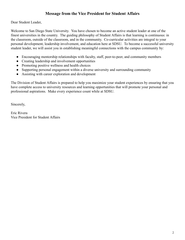## **Message from the Vice President for Student Affairs**

Dear Student Leader,

Welcome to San Diego State University. You have chosen to become an active student leader at one of the finest universities in the country. The guiding philosophy of Student Affairs is that learning is continuous: in the classroom, outside of the classroom, and in the community. Co-curricular activities are integral to your personal development, leadership involvement, and education here at SDSU. To become a successful university student leader, we will assist you in establishing meaningful connections with the campus community by:

- Encouraging mentorship relationships with faculty, staff, peer-to-peer, and community members
- Creating leadership and involvement opportunities
- Promoting positive wellness and health choices
- Supporting personal engagement within a diverse university and surrounding community
- Assisting with career exploration and development

The Division of Student Affairs is prepared to help you maximize your student experiences by ensuring that you have complete access to university resources and learning opportunities that will promote your personal and professional aspirations. Make every experience count while at SDSU.

Sincerely,

Eric Rivera Vice President for Student Affairs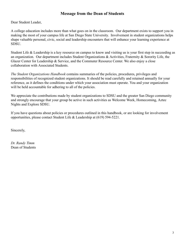## **Message from the Dean of Students**

Dear Student Leader,

A college education includes more than what goes on in the classroom. Our department exists to support you in making the most of your campus life at San Diego State University. Involvement in student organizations helps shape valuable personal, civic, social and leadership encounters that will enhance your learning experience at SDSU.

Student Life & Leadership is a key resource on campus to know and visiting us is your first step in succeeding as an organization. Our department includes Student Organizations & Activities, Fraternity & Sorority Life, the Glazer Center for Leadership & Service, and the Commuter Resource Center. We also enjoy a close collaboration with Associated Students.

*The Student Organizations Handbook* contains summaries of the policies, procedures, privileges and responsibilities of recognized student organizations. It should be read carefully and retained annually for your reference, as it defines the conditions under which your association must operate. You and your organization will be held accountable for adhering to all of the policies.

We appreciate the contributions made by student organizations to SDSU and the greater San Diego community and strongly encourage that your group be active in such activities as Welcome Week, Homecoming, Aztec Nights and Explore SDSU.

If you have questions about policies or procedures outlined in this handbook, or are looking for involvement opportunities, please contact Student Life & Leadership at (619) 594-5221.

Sincerely,

*Dr. Randy Timm* Dean of Students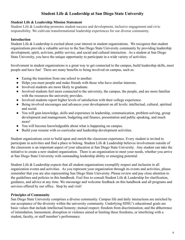## **Student Life & Leadership at San Diego State University**

#### **Student Life & Leadership Mission Statement**

Student Life & Leadership promotes student success and development, inclusive engagement and civic responsibility. We cultivate transformational leadership experiences for our diverse community.

#### **Introduction**

Student Life & Leadership is excited about your interest in student organizations. We recognize that student organizations provide a valuable service to the San Diego State University community by providing leadership development, spirit, activism, public service, and social and cultural interaction. As a student at San Diego State University, you have the unique opportunity to participate in a wide variety of activities.

Involvement in student organizations is a great way to get connected to the campus, build leadership skills, meet people and have fun! There are many benefits to being involved on campus, such as:

- Easing the transition from one school to another.
- Helps you meet people and make friends with those who have similar interests.
- Involved students are more likely to graduate.
- Involved students feel more connected to the university, the campus, the people, and are more familiar with the resources the university provides.
- Involved students report higher levels of satisfaction with their college experience.
- Being involved encourages and advances your development on all levels: intellectual, cultural, spiritual and social.
- You will gain knowledge, skills and experience in leadership, communication, problem-solving, group development and management, budgeting and finance, presentation and public speaking, and much more!
- You will become knowledgeable about what is happening on campus.
- Build your resume with co-curricular and leadership development activities.

Student organizations exist to build upon and enrich the classroom experience. Every student is invited to participate in activities and find a place to belong. Student Life & Leadership believes involvement outside of the classroom is an important aspect of your education at San Diego State University. Any student can take the initiative to create a new student organization. There is an organization to meet your needs, whether you arrive at San Diego State University with outstanding leadership ability or emerging potential.

Student Life & Leadership expects that all student organizations exemplify respect and inclusion in all organization events and activities. As you represent your organization through its events and activities, please remember that you are also representing San Diego State University. Please review and pay close attention to the guidelines and policies in this handbook. Feel free to consult Student Life & Leadership for clarification, guidance, and advice at any time. We encourage and welcome feedback on this handbook and all programs and services offered by our office. Stop by and visit!

#### **Principles of Community**

San Diego State University comprises a diverse community. Campus life and daily interactions are enriched by our acceptance of the diversity within the university community. Underlying SDSU's educational goals are basic values that include intellectual honesty; mutual respect; freedom from discrimination; and the abhorrence of intimidation, harassment, disruption or violence aimed at limiting these freedoms, or interfering with a student, faculty, or staff member's performance.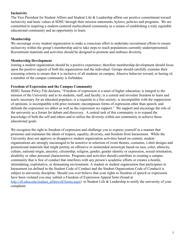#### **Inclusivity**

The Vice President for Student Affairs and Student Life & Leadership affirm our positive commitment toward inclusivity and basic values at SDSU through their mission statements, bylaws, policies and programs. We are committed to inspiring a student-centered multicultural community as a means of establishing a truly equitable educational community and an opportunity to learn.

#### **Membership**

We encourage every student organization to make a conscious effort to undertake recruitment efforts to ensure inclusivity within the group's membership and to take steps to reach populations currently underrepresented. Recruitment materials and activities should be designed to promote and embrace diversity.

#### **Membership Development**

Joining a student organization should be a positive experience; therefore membership development should focus upon the positive aspects of both the organization and the individual. Groups should carefully examine their screening criteria to ensure that it is inclusive of all students on campus. Abusive behavior toward, or hazing of, a member of the campus community is forbidden.

#### **Freedom of Expression and the Campus Community**

SDSU Senate Policy File declares, "Freedom of expression is a tenet of higher education; is integral to the mission of the University and to its students, staff, and faculty; is a central and inviolate freedom to learn and teach; necessary for an educated populace; is a requisite to a free society; is incompatible with the suppression of opinions; is incompatible with prior restraint; encompasses forms of expression other than speech; and defends the expression we abhor as well as the expression we support." We support and encourage the role of the university as a forum for debate and discovery. A central task of this community is to expand the knowledge of both the self and others and to utilize the diversity within our community to achieve those educational goals.

We recognize the right to freedom of expression and challenge you to express yourself in a manner that promotes and maintains the ideals of respect, equality, diversity, and freedom from harassment. While the University does not approve or disapprove student organization activities based on content, student organizations are strongly encouraged to be sensitive in selection of event themes, costumes, t-shirt designs and promotional materials that might portray an offensive or unintended stereotype based on race, color, ethnicity, culture, national origin, ancestry, citizenship, religion, gender, gender identity or expression, sexual orientation, disability or other personal characteristic. Programs and activities should contribute to creating a campus community that is free of conduct that interferes with any person's academic efforts or creates a hostile, intimidating, exploitative, or demeaning environment. A student or student organization that participates in harassment (as defined in the Student Code of Conduct and the Student Organization Code of Conduct) is subject to university discipline. Should you ever believe that your rights to freedom of speech or expression have been violated you may submit a Freedom of Expression Appeal form (found at [http://sll.sdsu.edu/student\\_affairs/sll/forms.aspx](http://sll.sdsu.edu/student_affairs/sll/forms.aspx)) to Student Life & Leadership to notify the university of your complaint.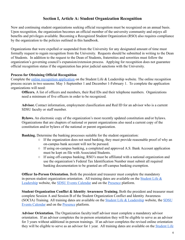## **Section I, Article A: Student Organization Recognition**

New and continuing student organizations seeking official recognition must be recognized on an annual basis. Upon recognition, the organization becomes an official member of the university community and enjoys all benefits and privileges available. Becoming a Recognized Student Organization (RSO) also requires compliance by the organization to the policies outlined in this handbook.

Organizations that were expelled or suspended from the University for any designated amount of time must formally request to regain recognition from the University. Requests should be submitted in writing to the Dean of Students. In addition to the request to the Dean of Students, fraternities and sororities must follow the organization's governing council's expansion/extension process. Applying for recognition does not guarantee official recognition status if the organization has prior judicial sanctions with the University.

#### **Process for Obtaining Official Recognition**

Complete the [online recognition application](https://stuapp.sdsu.edu/RSO/Login/Intro) on the Student Life & Leadership website. The online recognition process occurs in two seasons: May 1-September 1 and December 1-February 1. To complete the application organizations will need:

**Officers.** A list of officers and members, their Red IDs and their telephone numbers. Organizations need a minimum of five officers in order to be recognized.

**Advisor.** Contact information, employment classification and Red ID for an advisor who is a current SDSU faculty or staff member.

**Bylaws.** An electronic copy of the organization's most recently updated constitution and/or bylaws. Organizations that are chapters of national or parent organizations also need a current copy of the constitution and/or bylaws of the national or parent organization.

**Banking.** Determine the banking processes suitable for the student organization:

- If the organization does not need banking, they must provide reasonable proof of why an on-campus bank account will not be pursued.
- If using on-campus banking, a completed and approved A.S. Bank Account application must be kept on file with Associated Students.
- If using off-campus banking, RSO's must be affiliated with a national organization and use the organization's Federal Tax Identification Number must submit all required banking documentation to be granted an off-campus banking exemption.

**Officer In-Person Orientation.** Both the president and treasurer must complete the mandatory in-person student organization orientation. All training dates are available on the Student Life  $\&$ [Leadership](http://go.sdsu.edu/student_affairs/sll/orientations.aspx) website, the [SDSU Events Calendar](http://events.sdsu.edu/) and on the [Presence](http://sdsu.presence.io/) platform.

**Student Organization Conflict & Identity Awareness Training.** Both the president and treasurer must complete Session A and Session B of the Student Organization Conflict and Identity Awareness (SOCIA) Training. All training dates are available on the Student Life  $\&$  Leadership website, the [SDSU](http://events.sdsu.edu/) [Events Calendar](http://events.sdsu.edu/) and on the [Presence](http://sdsu.presence.io/) platform.

**Advisor Orientation.** The Organization faculty/staff advisor must complete a mandatory advisor orientation. If an advisor completes the in-person orientation they will be eligible to serve as an advisor for 3 years without additional in-person trainings. If an advisor completes the revised online orientation they will be eligible to serve as an advisor for 1 year. All training dates are available on the [Student Life](http://go.sdsu.edu/student_affairs/sll/orientations.aspx)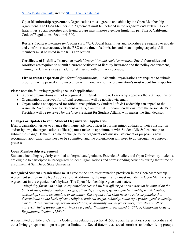[& Leadership website](http://go.sdsu.edu/student_affairs/sll/orientations.aspx) and the [SDSU Events calendar](http://events.sdsu.edu/).

**Open Membership Agreement.** Organizations must agree to and abide by the Open Membership Agreement. The Open Membership Agreement must be included in the organization's bylaws. Social fraternities, social sororities and living groups may impose a gender limitation per Title 5, California Code of Regulations, Section 41500.

**Rosters** *(social fraternities and social sororities)* . Social fraternities and sororities are required to update and confirm roster accuracy in the RSO at the time of submission and in an ongoing capacity. All members must be listed in the RSO application.

**Certificate of Liability Insurance** *(social fraternities and social sororities)* . Social fraternities and sororities are required to submit a current certificate of liability insurance and the policy endorsement, naming the University as an additional insured with primary coverage.

**Fire Marshal Inspection** *(residential organizations)* . Residential organizations are required to submit proof of having passed a fire inspection within one year of the organization's most recent fire inspection.

Please note the following regarding the RSO application:

- Student organizations are not recognized until Student Life & Leadership approves the RSO application.
- Organizations approved for official recognition will be notified via email.
- Organizations not approved for official recognition by Student Life & Leadership can appeal to the Associate Vice President for Student Affairs, Campus Life. Recommendations from the Associate Vice President will be reviewed by the Vice President for Student Affairs, who makes the final decision.

#### **Changes or Updates to your Student Organization Application**

If an organization wishes to change their name, advisor, officer list or has minor updates to their constitution and/or bylaws, the organization's officer(s) must make an appointment with Student Life & Leadership to submit the change. If there is a major change to the organization's mission statement or purpose, a new recognition application may need to be submitted, and the organization will need to go through the approval process.

#### **Open Membership Agreement**

Students, including regularly-enrolled undergraduate/graduate, Extended Studies, and Open University students, are eligible to participate in Recognized Student Organizations and corresponding activities during their time of enrollment at San Diego State University.

Recognized Student Organizations must agree to the non-discrimination provision in the Open Membership Agreement section in the RSO application. Additionally, the organization must include the Open Membership Agreement in the organization's bylaws. The Open Membership Agreement states:

*"Eligibility for membership or appointed or elected student officer positions may not be limited on the basis of race, religion, national origin, ethnicity, color, age, gender, gender identity, marital status, citizenship, sexual orientation, or disability. The organization shall have no rules or policies that discriminate on the basis of race, religion, national origin, ethnicity, color, age, gender, gender identity, marital status, citizenship, sexual orientation, or disability. Social fraternities, sororities or other university living group and may impose a gender limitation as permitted by Title 5, California Code of Regulations, Section 41500."*

As permitted by Title 5, California Code of Regulations, Section 41500, social fraternities, social sororities and other living groups may impose a gender limitation. Social fraternities, social sororities and other living groups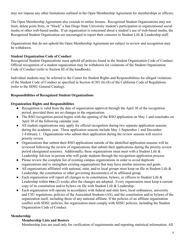may not impose any other limitations outlined in the Open Membership Agreement for memberships or officers.

The Open Membership Agreement also extends to online forums. Recognized Student Organizations may not limit, delete posts from, or "block" a San Diego State University student's participation in organizational social media or other web-based media. If an organization is concerned about a student's use of web-based media, the Recognized Student Organization are encouraged to report their concerns to Student Life & Leadership staff.

Organizations that do not uphold the Open Membership Agreement are subject to review and recognition may be withdrawn.

#### **Student Organization Code of Conduct**

Recognized Student Organizations must uphold all policies found in the Student Organization Code of Conduct. Official recognition of a student organization may be withdrawn for violations of the Student Organization Code of Conduct (refer to Section III of the handbook).

Individual students may be referred to the Center for Student Rights and Responsibilities for alleged violations of the Student Code of Conduct as specified in Section 41301 (b) (8) of the California Code of Regulations (refer to the SDSU General Catalog).

#### **Responsibilities of Recognized Student Organizations**

#### **Organization Rights and Responsibilities**

- Recognition is valid from the date of organization approval through the April 30 of the recognition period, provided there are no changes to the organization.
- The RSO recognition period begins with the opening of the RSO application on May 1 and concludes on April 30 of the following calendar year.
- All student organizations may apply for official recognition during two separate application seasons during the academic year. These application seasons include May 1-September 1 and December 1-February 1. Organizations who submit their application during the review seasons will receive priority review.
- Organizations that submit their RSO applications outside of the identified application seasons will be reviewed following the review of organizations that submit their applications during the priority review period (designated seasons). Additionally, these organizations must meet with a Student Life  $\&$ Leadership Advisor in-person who will guide students through the recognition application process.
- Please review the complete list of existing campus organizations in order to avoid duplicate organizations and to strengthen existing organizations that may have similar missions and goals.
- All organizations affiliated with national, state, and/or local groups must keep on file in Student Life & Leadership, the constitution or other governing document(s) of its affiliated group.
- Each organization will report all changes to its constitution, bylaws, or officers to Student Life  $\&$ Leadership within **two** (2) weeks after the changes are adopted. Every organization must keep a current copy of its constitution and/or bylaws on file with Student Life & Leadership.
- Each organization will operate in accordance with federal and state laws, local ordinances, university and CSU regulations, policies of the Associated Students (AS), and the constitution and/or bylaws of the organization itself, including those of any national affiliate. If the policies of an affiliate organization conflict with SDSU policies, the organization must comply with SDSU policies, including the Student Organization Code of Conduct.

#### **Membership**

#### **Membership Lists and Rosters**

Membership lists are used only for verification of requirements and reporting statistical information. All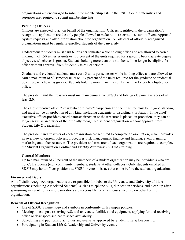organizations are encouraged to submit the membership lists in the RSO. Social fraternities and sororities are required to submit membership lists.

#### **Presiding Officers**

Officers are expected to act on behalf of the organization. Officers identified in the organization's recognition application are the only people allowed to make room reservations, submit Event Approval System requests and alter information about the organization. All officers of officially recognized organizations must be regularly-enrolled students of the University.

Undergraduate students must earn 6 units per semester while holding office and are allowed to earn a maximum of 150 semester units or 125 percent of the units required for a specific baccalaureate degree objective, whichever is greater. Students holding more than this number will no longer be eligible for office without approval from Student Life & Leadership.

Graduate and credential students must earn 3 units per semester while holding office and are allowed to earn a maximum of 50 semester units or 167 percent of the units required for the graduate or credential objective, whichever is greater. Students holding more than this number will no longer be eligible for office.

The president **and** the treasurer must maintain cumulative SDSU and total grade point averages of at least 2.0.

The chief executive officer/president/coordinator/chairperson **and** the treasurer must be in good standing and must not be on probation of any kind, including academic or disciplinary probation. If the chief executive officer/president/coordinator/chairperson or the treasurer is placed on probation, they can no longer serve as an officer of the officially recognized student organization without approval from Student Life & Leadership.

The president and treasurer of each organization are required to complete an orientation, which provides an overview of current policies, procedures, risk management, finance and funding, event planning, marketing and other resources. The president and treasurer of each organization are required to complete the Student Organization Conflict and Identity Awareness (SOCIA) training.

#### **General Members**

Up to a maximum of 20 percent of the members of a student organization may be individuals who are not CSU students (e.g., community members, students at other colleges). Only students enrolled at SDSU may hold officer positions at SDSU or vote on issues that come before the student organization.

#### **Finances and Debts**

All officially recognized organizations are responsible for debts to the University and University affiliate organizations (including Associated Students), such as telephone bills, duplication services, and clean-up after sponsoring an event. Student organizations are responsible for all expenses incurred on behalf of the organization.

#### **Benefits of Official Recognition**

- Use of SDSU's name, logo and symbols in conformity with campus policies.
- Meeting on campus, reserving A.S. and university facilities and equipment, applying for and receiving office or desk space subject to space availability.
- Scheduling and publicizing activities and events as approved by Student Life & Leadership.
- Participating in Student Life & Leadership and University events.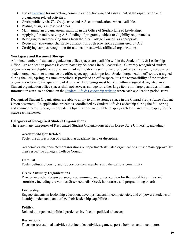- Use of [Presence](http://sdsu.presence.io/) for marketing, communication, tracking and assessment of the organization and organization-related activities.
- Gratis publicity via *The Daily Aztec* and A.S. communications when available.
- Posting of signs in reserved areas.
- Maintaining an organizational mailbox in the Office of Student Life & Leadership.
- Applying for and receiving A.S. funding of programs, subject to eligibility requirements.
- Belonging to and receiving funds from the A.S. College Council, as appropriate.
- Receiving tax-exempt charitable donations through provisions administered by A.S.
- Certifying campus recognition for national or statewide affiliated organizations.

#### **Workspace and Basement Storage**

A limited number of student organization office spaces are available within the Student Life & Leadership Office. An application process is coordinated by Student Life & Leadership. Currently recognized student organizations are eligible to apply. An email notification is sent to the president of each currently recognized student organization to announce the office space application period. Student organization offices are assigned during the Fall, Spring, & Summer periods. If provided an office space, it is the responsibility of the student organization to keep the space free of debris. All belongings must be kept within assigned designated area. Student organization office spaces shall not serve as storage for either large items nor large quantities of items. Information can also be found on the [Student Life & Leadership website](http://sll.sdsu.edu/) when each application period starts.

Recognized Student Organizations are able to apply to utilize storage space in the Conrad Prebys Aztec Student Union basement. An application process is coordinated by Student Life & Leadership during the fall, spring and summer terms. Recognized Student Organizations are eligible to apply each term and must reapply for the space each semester.

#### **Categories of Recognized Student Organizations**

There are many categories of Recognized Student Organizations at San Diego State University, including:

#### **Academic/Major Related**

Foster the appreciation of a particular academic field or discipline.

Academic or major-related organizations or department-affiliated organizations must obtain approval by their respective college's College Council.

#### **Cultural**

Foster cultural diversity and support for their members and the campus community.

#### **Greek Auxiliary Organizations**

Provide inter-chapter governance, programming, and/or recognition for the social fraternities and sororities, including the various Greek councils, Greek honoraries, and programming boards.

#### **Leadership**

Engage students in leadership education, develops leadership competencies, and empowers students to identify, understand, and utilize their leadership capabilities.

#### **Political**

Related to organized political parties or involved in political advocacy.

#### **Recreational**

Focus on recreational activities that include: activities, games, sports, hobbies, and much more.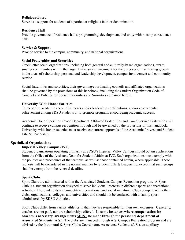#### **Religious-Based**

Serve as a support for students of a particular religious faith or denomination.

#### **Residence Hall**

Provide governance of residence halls, programming, development, and unity within campus residence halls.

#### **Service & Support**

Provide service to the campus, community, and national organizations.

#### **Social Fraternities and Sororities**

Greek letter social organizations, including both general and culturally-based organizations, create smaller communities within the larger University environment for the purposes of facilitating growth in the areas of scholarship, personal and leadership development, campus involvement and community service.

Social fraternities and sororities, their governing/coordinating councils and affiliated organizations shall be governed by the provisions of this handbook, including the Student Organization Code of Conduct and Policies for Social Fraternities and Sororities contained herein.

#### **University-Wide Honor Societies**

To recognize academic accomplishments and/or leadership contributions, and/or co-curricular achievement among SDSU students or to promote programs encouraging academic success.

Academic Honor Societies, Co-ed Department Affiliated Fraternities and Co-ed Service Fraternities will continue to receive campus recognition through and be governed by the provisions of this handbook. University-wide honor societies must receive concurrent approvals of the Academic Provost and Student Life & Leadership.

#### **Specialized Organizations**

#### **Imperial Valley Campus (IVC)**

Student organizations operating primarily at SDSU's Imperial Valley Campus should obtain applications from the Office of the Assistant Dean for Student Affairs at IVC. Such organizations must comply with the policies and procedures of that campus, as well as those contained herein, where applicable. These requests will be considered in the normal manner by Student Life & Leadership, except that such groups shall be exempt from the renewal deadline.

#### **Sport Clubs**

Sport Clubs are administered within the Associated Students Campus Recreation program. A Sport Club is a student organization designed to serve individual interests in different sports and recreational activities. These interests are competitive, recreational and social in nature. Clubs compete with other clubs, organizations, colleges, and universities and should not be confused with a varsity sport administered by SDSU Athletics.

Sport Clubs differ from varsity athletics in that they are responsible for their own expenses. Generally, coaches are not paid, nor are scholarships offered. **In some instances where compensation for** coaches is necessary, arrangements **MUST** be made through the personnel department of **Associated Students (A.S.).** The clubs are managed through A.S. Campus Recreation program and are advised by the Intramural & Sport Clubs Coordinator. Associated Students (A.S.), an auxiliary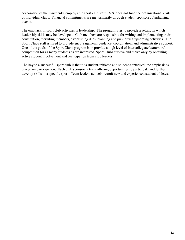corporation of the University, employs the sport club staff. A.S. does not fund the organizational costs of individual clubs. Financial commitments are met primarily through student-sponsored fundraising events.

The emphasis in sport club activities is leadership. The program tries to provide a setting in which leadership skills may be developed. Club members are responsible for writing and implementing their constitution, recruiting members, establishing dues, planning and publicizing upcoming activities. The Sport Clubs staff is hired to provide encouragement, guidance, coordination, and administrative support. One of the goals of the Sport Clubs program is to provide a high level of intercollegiate/extramural competition for as many students as are interested. Sport Clubs survive and thrive only by obtaining active student involvement and participation from club leaders.

The key to a successful sport club is that it is student-initiated and student-controlled; the emphasis is placed on participation. Each club sponsors a team offering opportunities to participate and further develop skills in a specific sport. Team leaders actively recruit new and experienced student athletes.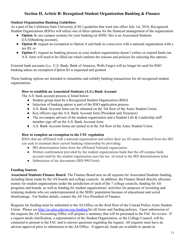## **Section II, Article B: Recognized Student Organization Banking & Finance**

#### **Student Organization Banking Guidelines**

As a part of the California State University (CSU) guideline that went into effect July 1st, 2016, Recognized Student Organizations (RSOs) will utilize one of three options for the financial management of the organization:

- **Option A:** use campus systems for your banking (at SDSU this is an Associated Students ((A.S))banking account),
- **Option B:** request an exemption to Option A and bank in *connection* with a national organization with a tax ID, or
- **Option C:** request no banking process as your student organization doesn't collect or expend funds (an A.S. form will need to be filled out which outlines the reasons and policies for selecting this option).

External bank accounts (i.e., U.S. Bank, Bank of America, Wells Fargo) will no longer be used for RSO banking unless an exemption (Option B) is requested and granted.

These banking options are intended to streamline and solidify banking transactions for all recognized student organizations.

#### **How to establish an Associated Students (A.S.) Bank Account**

The A.S. bank account process is listed below:

- Student group must be a Recognized Student Organization (RSO)
- Selection of banking option is part of the RSO application process
- A.S. Bank Account form can be obtained on the 3rd floor of the Aztec Student Union
- Key officers sign the A.S. Bank Account form (President and Treasurer)
- The on-campus advisor of the student organization and a Student Life & Leadership staff member sign off on the A.S. Bank Account form
- A.S. Bank Account forms are turned in at the 3rd floor of the Aztec Student Union

#### **How to complete an exemption to the CSU regulation**

RSOs that are affiliated with a national organization and utilize their tax ID status obtained from the IRS can seek to maintain their current banking relationship by providing:

- IRS determination letter from the affiliated National organization
- Written confirmation provided by the student organizations bank that the off-campus bank account used by the student organization uses the tax- id noted in the IRS determination letter
- Submission of tax documents (IRS 990 Form)

## **Funding Sources**

**Associated Students Finance Board** . The Finance Board acts on all requests for Associated Students funding, including those made by the AS boards and college councils. In addition, the Finance Board directly allocates money for student organizations under the jurisdiction of each of the 7 college councils, funding for AS programs and boards, as well as funding for student organizations' activities for purposes of recruiting and retaining students who are underrepresented in the SDSU population because of educational and social disadvantage. For further details, contact the AS Vice President of Finance.

Requests for funding must be submitted to the AS Office on the third floor of the Conrad Prebys Aztec Student Union. Please see <http://as.sdsu.edu/stu-org-funding/> for all forms and funding policies. Upon submission of the requests the AS Accounting Office will prepare a summary that will be presented to the FAC for review. If a request needs clarification, a representative of the Student Organization, or the College Council, will be contacted to present to the FAC and to answer questions regarding the request. All requests must have an advisor approval prior to submission to the AS Office. If approved, funds are available to spend on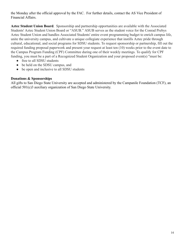the Monday after the official approval by the FAC. For further details, contact the AS Vice President of Financial Affairs.

Aztec Student Union Board. Sponsorship and partnership opportunities are available with the Associated Students' Aztec Student Union Board or "ASUB." ASUB serves as the student voice for the Conrad Prebys Aztec Student Union and handles Associated Students' entire event programming budget to enrich campus life, unite the university campus, and cultivate a unique collegiate experience that instills Aztec pride through cultural, educational, and social programs for SDSU students. To request sponsorship or partnership, fill out the required funding proposal paperwork and present your request at least ten (10) weeks prior to the event date to the Campus Program Funding (CPF) Committee during one of their weekly meetings. To qualify for CPF funding, you must be a part of a Recognized Student Organization and your proposed event(s) "must be:

- free to all SDSU students
- be held on the SDSU campus, and
- be open and inclusive to all SDSU students

## **Donations & Sponsorships**

All gifts to San Diego State University are accepted and administered by the Campanile Foundation (TCF), an official 501(c)3 auxiliary organization of San Diego State University.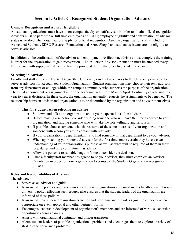## **Section I, Article C: Recognized Student Organization Advisors**

#### **Campus Recognition and Advisor Eligibility**

All student organizations must have an on-campus faculty or staff advisor in order to obtain official recognition. Advisors must be part time or full time employees of SDSU; employee eligibility and confirmation of advisor status is verified when organizations apply for official recognition. Auxiliary organization staff (including Associated Students, SDSU Research Foundation and Aztec Shops) and student assistants are not eligible to serve as advisors.

In addition to the confirmation of the advisor and employment verification, advisors must complete the training in order for the organization to gain recognition. The In-Person Advisor Orientation must be attended every three years, with supplemental, online training provided during the other two academic years.

#### **Selecting an Advisor**

Faculty and staff employed by San Diego State University (and not auxiliaries to the University) are able to serve as advisors for Recognized Student Organization. Student organizations may choose their own advisors from any department or college within the campus community who supports the purpose of the organization. The usual appointment or assignment is for one academic year, from May to April. Continuity of advising from year to year is desirable. In these cases, the organization generally requests the assignments to be renewed. The relationship between advisor and organization is to be determined by the organization and advisor themselves.

#### **Tips for students when selecting an advisor:**

- Sit down and talk as an organization about your expectations of an advisor.
- Before making a selection, consider finding someone who will have the time to devote to your organization, and finding someone who will take the role willingly and seriously.
- If possible, choose someone who shares some of the same interests of your organization and someone with whom you are in contact with regularly.
- If your organization is departmental, try to find someone in that department to be your advisor.
- When approaching your potential advisor for the first time, make certain they have a clear understanding of your organization's purpose as well as what will be required of them in their role, duties and time commitment as advisor.
- Allow the person a reasonable length of time to consider the decision.
- Once a faculty/staff member has agreed to be your advisor, they must complete an Advisor Orientation in order for your organization to complete the Student Organization recognition process.

#### **Roles and Responsibilities of Advisors**

The advisor:

- Serves as an advisor and guide.
- Is aware of the policies and procedures for student organizations contained in this handbook and knows university policy affecting such groups; also ensures that the student leaders of the organization are informed of these policies.
- Is aware of their student organization activities and programs and provides signature authority where appropriate on event approval and other pertinent forms.
- Encourages leadership development of organization's members and are informed of various leadership opportunities across campus.
- Assists with organizational continuity and officer transition.
- Alerts student leaders of possible organizational problems and encourages them to explore a variety of strategies to solve such problems.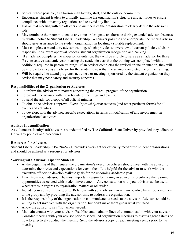- Serves, where possible, as a liaison with faculty, staff, and the outside community.
- Encourages student leaders to critically examine the organization's structure and activities to ensure compliance with university regulations and to avoid any liability.
- Has annual meeting with the officers and members of the organization to clearly define the advisor's role.
- May terminate their commitment at any time or designate an alternate during extended advisor absences by written notice to Student Life & Leadership. Whenever possible and appropriate, the retiring advisor should give assistance to the student organization in locating a suitable replacement.
- Must complete a mandatory advisor training, which provides an overview of current policies, advisor responsibilities, event approval process, student organization recognition and banking.
- If an advisor completes the in-person orientation, they will be eligible to serve as an advisor for three (3) consecutive academic years starting the academic year that the training was completed without additional required in-person trainings. If an advisor completes the revised online orientation, they will be eligible to serve as an advisor for the academic year that the advisor completed the online training.
- Will be required to attend programs, activities, or meetings sponsored by the student organization they advise that may pose safety and security concerns.

## **Responsibilities of the Organization to Advisors**

- To inform the advisor with matters concerning the overall program of the organization.
- To provide the advisor with the schedule of meetings and events.
- To send the advisor a copy of all official minutes.
- To obtain the advisor's approval *Event Approval System* requests (and other pertinent forms) for all events and activities.
- To develop, with the advisor, specific expectations in terms of notification of and involvement in organizational activities.

## **Advisor Indemnification**

As volunteers, faculty/staff advisors are indemnified by The California State University provided they adhere to University policies and procedures.

## **Resources for Advisors**

Student Life & Leadership (619-594-5221) provides oversight for officially recognized student organizations and should be utilized as a resource for advisors.

## **Working with Advisor: Tips for Students**

- At the beginning of their tenure, the organization's executive officers should meet with the advisor to determine their roles and expectations for each other. It is helpful for the advisor to work with the executive officers to develop realistic goals for the upcoming academic year.
- Learn from your advisor. The most important reason for having an advisor is to enhance the learning opportunities associated with student involvement. Any consultation with your advisor can be useful whether it is in regards to organization matters or otherwise.
- Include your advisor in the group. Relations with your advisor can remain positive by introducing them to the group and by providing the advisor time to address the organization.
- It is the responsibility of the organization to communicate its needs to the advisor. Advisors should be willing to get involved with the organization, but don't make them guess what you need.
- Allow the advisor to say "no" when needed.
- Maintain contact with your advisor. Establish and maintain lines of communication with your advisor. Consider meeting with your advisor prior to scheduled organization meetings to discuss agenda items or how to effectively conduct the meeting. Send the advisor a copy of each meeting agenda prior to the meeting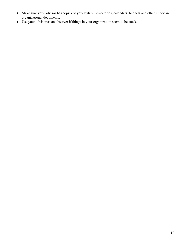- Make sure your advisor has copies of your bylaws, directories, calendars, budgets and other important organizational documents.
- Use your advisor as an observer if things in your organization seem to be stuck.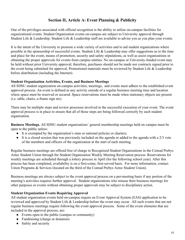## **Section II, Article A: Event Planning & Publicity**

One of the privileges associated with official recognition is the ability to utilize on-campus facilities for organizational events. Student Organization events on-campus are subject to University approval through Student Life & Leadership. Student Life & Leadership staff are available to advise you as you plan your events.

It is the intent of the University to promote a wide variety of activities and to aid student organizations where possible in the sponsorship of successful events. Student Life & Leadership may offer suggestions as to the time and place for the event, means of promotion, security and safety stipulations, as well as assist organizations in obtaining the proper approvals for events from campus entities. No on-campus or University-funded event may be held without prior University approval; therefore, purchases should not be made nor contracts signed prior to the event being submitted for approval. Promotional materials must be reviewed by Student Life & Leadership before distribution (including the Internet).

#### **Student Organization Activities, Events, and Business Meetings**

All SDSU student organization on-campus activities, meetings, and events must adhere to the established event approval process. An event is defined as any activity outside of a regular business meeting time and location where space must be reserved or secured. Space reservations must be made when stationary objects are present (i.e. table, chairs, a-frame sign etc).

There may be multiple steps and review processes involved in the successful execution of your event. The event approval process is in place to ensure that all of those steps are being followed correctly by each student organization.

**Business Meetings.** All SDSU student organizations' general membership meetings held on campus must be open to the public unless:

- It is exempted by the organization's state or national policies or charters;
- It is a closed session that was previously included on the agenda or added to the agenda with a 2/3 vote of the members and officers of the organization at the start of each meeting.

Regular business meetings are offered free of charge to Recognized Student Organizations in the Conrad Prebys Aztec Student Union through the Student Organization Weekly Meeting Reservation process. Reservations for weekly meetings are scheduled through a lottery process in April (for the following school year). After this process has been completed, availability is on a first-come, first-served basis. For more information, contact Union Programs & Services (located on the third of the Conrad Prebys Aztec Student Union).

Business meetings are always subject to the event approval process on a per-meeting basis if any portion of the meeting's activities requires further approval. Student organizations who misuse their business meetings for other purposes or events without obtaining proper approvals may be subject to disciplinary action.

#### **Student Organization Events Requiring Approval**

All student organization events held on-campus require an Event Approval System (EAS) application to be reviewed and approved by Student Life & Leadership before the event may occur. All such events that are not regular business meetings require following the event approval process. Some of the event elements that are included in the approval process, are:

- Events open to the public (campus or community)
- Fundraising (charge or donation)
- Safety and security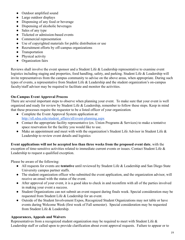- Outdoor amplified sound
- Large outdoor displays
- Dispensing of any food or beverage
- Dispensing of alcoholic beverages
- Sales of any type
- Ticketed or admission-based events
- Commercial representation
- Use of copyrighted materials for public distribution or use
- Recruitment efforts by off-campus organizations
- Transportation
- Physical activity
- Organization fairs

Reviews shall involve the event sponsor and a Student Life & Leadership representative to examine event logistics including staging and properties, food handling, safety, and parking. Student Life & Leadership will invite representatives from the campus community to advise on the above areas, when appropriate. During such types of events, a representative from Student Life & Leadership and the student organization's on-campus faculty/staff advisor may be required to facilitate and monitor the activities.

#### **On-Campus Event Approval Process**

There are several important steps to observe when planning your event. To make sure that your event is well organized and ready for review by Student Life & Leadership, remember to follow these steps. Keep in mind that these processes require the requestor to be a listed officer of your organization .

- Complete the Event Approval System application at: [http://sll.sdsu.edu/student\\_affairs/sll/event-planning.aspx](http://sll.sdsu.edu/student_affairs/sll/event-planning.aspx)
- Contact the appropriate facility representative (ex. Union Programs & Services) to make a tentative space reservation for the facility you would like to use.
- Make an appointment and meet with with the organization's Student Life Advisor in Student Life & Leadership to review event details and logistics

**Event applications will not be accepted less than three weeks from the proposed event date, with the** exception of time-sensitive activities related to immediate current events or issues. Contact Student Life & Leadership to request a qualified exception.

Please be aware of the following:

- All requests for events are **tentative** until reviewed by Student Life & Leadership and San Diego State University campus partner staffs.
- The student organization officer who submitted the event application, and the organization advisor, will receive an email with the status of the event.
- After approval of your event, it is a good idea to check in and reconfirm with all of the parties involved in making your event a success.
- Student Organizations can not submit an event request during finals week. Special consideration may be requested from Student Life & Leadership for an event.
- Outside of the Student Involvement Expos, Recognized Student Organizations may not table or have events during Welcome Week (first week of Fall semester). Special consideration may be requested from Student Life & Leadership.

#### **Appearances, Appeals and Waivers**

Representatives from a recognized student organization may be required to meet with Student Life & Leadership staff or called upon to provide clarification about event approval requests. Failure to appear or to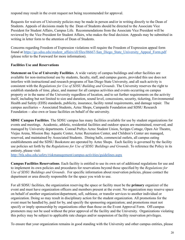respond may result in the event request not being recommended for approval.

Requests for waivers of University policies may be made in person and/or in writing directly to the Dean of Students. Appeals of decisions made by the Dean of Students should be directed to the Associate Vice President for Student Affairs, Campus Life. Recommendations from the Associate Vice President will be reviewed by the Vice President for Student Affairs, who makes the final decision. Appeals may be submitted in writing in letter form to the attention of Dean of Students.

Concerns regarding Freedom of Expression violations will require the Freedom of Expression appeal form found at [https://go.sdsu.edu/student\\_affairs/sll/files/06667-San\\_Diego\\_State\\_University\\_Appeal\\_Form.pdf](https://go.sdsu.edu/student_affairs/sll/files/06667-San_Diego_State_University_Appeal_Form.pdf) (please refer to the Foreward for more information).

## **Facilities Use and Reservations**

**Statement on Use of University Facilities** . A wide variety of campus buildings and other facilities are available for non-instructional use by students, faculty, staff, and campus guests, provided this use does not interfere with instructional and research programs of San Diego State University, and all such activity is consistent with the *Regulations for Use of SDSU Building and Grounds* . The University reserves the right to establish standards of time, place, and manner for all campus activities and events occurring on campus property or in the name of the University regardless of location, and to set further requirements on the activity itself, including but not limited to size and duration, sound level, concessions, security, ticketing, Environmental Health and Safety (EHS) standards, publicity, insurance, facility rental requirements, and damage repair. The campus auxiliaries -- Associated Students, Aztec Shops, Campanile Foundation and SDSU Research Foundation -- also own or lease facilities on behalf of the university.

**SDSU Campus Facilities**. The SDSU campus has many facilities available for use by student organizations for events and meetings. Academic, athletic, residential facilities and outdoor spaces are maintained, reserved, and managed by University departments. Conrad Prebys Aztec Student Union, Scripps Cottage, Open Air Theatre, Viejas Arena, Mission Bay Aquatic Center, Aztec Recreation Center, and Children's Center are managed, reserved, and maintained by Associated Students. Dining halls, commercial outlets, all campus eating establishments and the SDSU Bookstore are operated by Aztec Shops. Each facility is governed by the facility use policies set forth by the *Regulations for Use of SDSU Buildings and Grounds* . To reference the Policy in its entirety, please visit:

<http://bfa.sdsu.edu/safety/riskmanagement/campus-activities/guidelines.aspx>

**Campus Facilities Reservations** . Each facility is entitled to use its own set of additional regulations for use and to implement its own policies and procedures for reservations beyond those specified by the *Regulations for Use of SDSU Buildings and Grounds* . For specific information about reservation policies, please contact the department or area directly responsible for the space you wish to use.

For all SDSU facilities, the organization reserving the space or facility must be the **primary** organizer of the event and must have organization officers and members present at the event. No organization may reserve space on behalf of another organization/department, sell, sublease, or transfer services to another individual or organization. Doing so may result in disciplinary action for the student organization. All promotions for the event must be handled by, paid for by, and specify the sponsoring organization; and promotions must not specify or imply sponsorship by organizations other than those on the Event Approval Form. Off-campus promoters may not be used without the prior approval of the facility and the University. Organizations violating this policy may be subject to applicable rate charges and/or suspension of facility reservation privileges.

To ensure that your organization remains in good standing with the University and other campus entities, please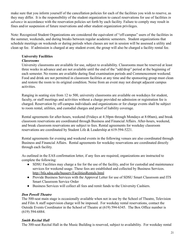make sure that you inform yourself of the cancellation policies for each of the facilities you wish to reserve, as they may differ. It is the responsibility of the student organization to cancel reservations for use of facilities *in advance* in accordance with the reservation policies set forth by each facility. Failure to comply may result in fines and/or suspension of future reservations and other student organization privileges.

Note: Recognized Student Organizations are considered the equivalent of "off-campus" users of the facilities in the summer, weekends, and during breaks between regular academic semesters. Student organizations that schedule meetings on weekends or during periods when classes are not in session will be assessed a utility and clean up fee. If admission is charged at any student event, the group will also be charged a facility rental fee.

## **University Facilities**

#### *Classrooms*

University classrooms are available for use, subject to availability. Classrooms must be reserved at least three weeks in advance and are not available until the end of the "add/drop" period at the beginning of each semester. No rooms are available during final examination periods and Commencement weekend. Food and drink are not permitted in classroom facilities at any time and the sponsoring group must clean and restore the room to its original condition. Noise from an event may not disrupt adjacent campus activities.

Ranging in seating size from 12 to 500, university classrooms are available on weekdays for student, faculty, or staff meetings and activities without a charge provided no admission or registration fee is charged. Reservation by off-campus individuals and organizations or for charge events shall be subject to room rental, utilities, and custodial charges and proof of liability coverage.

Rental agreements for after-hours, weekend (Fridays at 4:30pm through Mondays at 8:00am), and break classroom reservations are coordinated through Business and Financial Affairs. After-hours, weekend, and break classroom reservations are subject to fees. Rental agreements for weekday classroom reservations are coordinated by Student Life & Leadership at 619-594-5221.

Rental agreements for evening and weekend events in the following venues are also coordinated through Business and Financial Affairs. Rental agreements for weekday reservations are coordinated directly through each facility.

As outlined in the EAS confirmation letter, if any fees are required, organizations are instructed to complete the following:

- SDSU Facilities may charge a fee for the use of the facility, and/or for custodial and maintenance services for weekend usage. These fees are established and collected by Business Services. <http://bfa.sdsu.edu/busserv/FacilitiesRentals.html>
- Provide Business Services with the Approval Letter for use of SDSU Smart Classroom and ITS Smart Classroom Service Order
- Business Services will collect all fees and remit funds to the University Cashiers.

## *Don Powell Theatre*

The 500-seat main stage is occasionally available when not in use by the School of Theatre, Television and Film A staff supervision charge will be imposed. For weekday rental reservations, contact the Outside Events Coordinator in the School of Theatre at (619) 594-6345. The Box Office number is (619) 594-6884.

#### *Smith Recital Hall*

The 300-seat Recital Hall in the Music Building is reserved, subject to availability. For weekday rental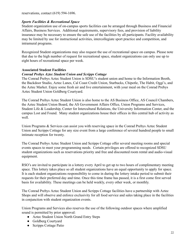reservations, contact (619) 594-1696.

#### *Sports Facilities & Recreational Space*

Student organization use of on-campus sports facilities can be arranged through Business and Financial Affairs, Business Services. Additional requirements, supervisory fees, and provision of liability insurance may be necessary to ensure the safe use of the facilities by all participants. Facility availability may be limited by use for instructional activities, intercollegiate sport practice and competition, and intramural programs.

Recognized Student organizations may also request the use of recreational space on campus. Please note that due to the high number of request for recreational space, student organizations can only use up to eight hours of recreational space per week.

#### **Associated Student Facilities**

#### *Conrad Prebys Aztec Student Union and Scripps Cottage*

The Conrad Prebys Aztec Student Union is SDSU's student union and home to the Information Booth, the Backdoor Studio, Aztec Lanes, Cal Coast Credit Union, Starbucks, Chipotle, The Habit, Oggi's, and the Aztec Market. Enjoy some fresh air and live entertainment, with your meal on the Conrad Prebys Aztec Student Union Goldberg Courtyard.

The Conrad Prebys Aztec Student Union is also home to the AS Business Office, AS Council Chambers, the Aztec Student Union Board, the AS Government Affairs Office, Union Programs and Services, Student Life & Leadership, Center for Intercultural Relations, the University Information Center, and the campus Lost and Found. Many student organizations house their offices in this central hub of activity as well.

Union Programs & Services can assist you with reserving space in the Conrad Prebys Aztec Student Union and Scripps Cottage for any size event from a large conference of several hundred people to small intimate reception for twenty.

The Conrad Prebys Aztec Student Union and Scripps Cottage offer several meeting rooms and special events spaces to meet your programming needs. Certain privileges are offered to recognized SDSU student organizations such as reservations priority and free and discounted room rental and audio-visual equipment.

RSO's are invited to participate in a lottery every April to get up to two hours of complimentary meeting space. This lottery takes place so all student organizations have an equal opportunity to apply for space. It is each student organizations responsibility to come in during the lottery intake period to submit their requests for their preferred day and time. Once this time frame has passed, it is a first come first served basis for availability. These meetings can be held weekly, every other week, or monthly.

The Conrad Prebys Aztec Student Union and Scripps Cottage facilities have a partnership with Aztec Shops and will observe and enforce exclusivity for all food service and sales taking place in the facilities in conjunction with student organization events.

Union Programs and Services also reserves the use of the following outdoor spaces where amplified sound is permitted by prior approval:

- Aztec Student Union North Grand Entry Steps
- Goldberg Courtyard
- Scripps Cottage Patio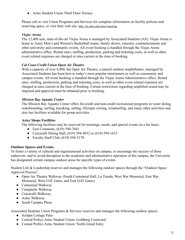● Aztec Student Union Third Floor Terrace

Please call or visit Union Programs and Services for complete information on facility policies and reserving space, or visit their web site. <http://as.sdsu.edu/aztec/meeting>

#### *Viejas Arena*

The 12,400 seat, state-of-the-art Viejas Arena is managed by Associated Students (AS). Viejas Arena is home to Aztec Men's and Women's Basketball teams, family shows, concerts, commencements and other university and community events. All event booking is handled through the Viejas Arena administrative office. Rental rates, staffing, production, parking and ticketing costs, as well as other event related expenses are charged at rates current at the time of booking.

#### *Cal Coast Credit Union Open Air Theatre*

With a capacity of over 4,900, the Open Air Theatre, a natural outdoor amphitheatre, managed by Associated Students has been host to today's most popular entertainers as well as community and campus events. All event booking is handled through the Viejas Arena Administrative office. Rental rates, staffing, production, parking and ticketing costs, as well as other event related expenses are charged at rates current at the time of booking. Certain restrictions regarding amplified sound may be imposed and approval must be obtained prior to booking.

#### *Mission Bay Aquatic Center*

The Mission Bay Aquatic Center offers for-credit and non-credit recreational programs in water skiing, wakeboarding, surfing, kayaking, sailing, Olympic rowing, windsurfing, and many other activities and also has facilities available for group activities.

#### **Aztec Shops Facilities**

The following facilities may be reserved for meetings, meals, and special events on a fee basis:

- East Commons, (619) 594-7641
- Cuicacalli Dining Hall, (619) 594-4932 or (619) 594-1633
- Faculty-Staff Club, (619) 594-5178

#### **Outdoor Spaces and Events**

To foster a variety of cultural and organizational activities on campus, to encourage the success of those endeavors, and to avoid disruption to the academic and administrative operation of the campus, the University has designated certain campus outdoor areas for specific types of events.

Student Life & Leadership reserves and manages the following outdoor spaces through the "Outdoor Space Approval Process":

- Open Air Theatre Walkway (South Centennial Hall, La Tienda, West War Memorial, East War Memorial, West OAT Gates, and East OAT Gates)
- Centennial Walkway
- Campanile Walkway
- Cuicacalli Walkway
- Aztec Walkway
- South Campus Plaza

Associated Students Union Programs & Services reserves and manages the following outdoor spaces:

- Scripps Cottage Patio
- Conrad Prebys Aztec Student Union: Goldberg Courtyard
- Conrad Prebys Aztec Student Union: North Grand Entry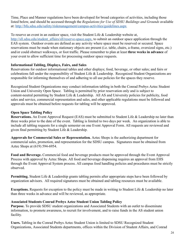Time, Place and Manner regulations have been developed for broad categories of activities, including those listed below, and should be accessed through the *Regulations for Use of SDSU Buildings and Grounds* available at: <http://bfa.sdsu.edu/safety/riskmanagement/campus-activities/guidelines.aspx>

To reserve an event in an outdoor space, visit the Student Life & Leadership website at, http://sll.sdsu.edu/student\_affairs/sll/reserve-space.aspx, to submit an outdoor space application through the EAS system. Outdoor events are defined as any activity where space must be reserved or secured. Space reservations must be made when stationary objects are present (i.e. table, chairs, a-frame, oversized signs, etc.) and/or could obstruct walkways, or foot traffic. Please remember to plan at least **three weeks in advance** of your event to allow sufficient time for processing outdoor space requests.

#### **Informational Tabling, Displays, Fairs, and Sales**

Reservations for outdoor informational tables and other displays; food, beverage, or other sales; and fairs or celebrations fall under the responsibility of Student Life & Leadership. Recognized Student Organizations are responsible for informing themselves of and adhering to all use policies for the spaces they reserve.

Recognized Student Organizations may conduct information tabling in both the Conrad Prebys Aztec Student Union and University Open Space. Tabling is permitted by prior reservation only and is subject to content-neutral permitting by Student Life & Leadership. All AS and University policies for publicity, food sales and service, commercial representation and sales, and other applicable regulations must be followed and approvals must be obtained before requests for tabling will be approved.

#### **Open Space Tabling Policy**

**Reservations.** An Event Approval Request (EAS) must be submitted to Student Life & Leadership no later than three weeks prior to the date of the event. Tabling is limited to two days per week. An organization is able to include all tabling requests for a single semester on one Event Approval Form. All requests are reviewed and given final permitting by Student Life & Leadership.

**Approvals for Commercial Sales or Representation** *.* Aztec Shops is the authorizing department for commercial sales, promotion, and representation for the SDSU campus. Signatures must be obtained from Aztec Shops at (619) 594-6954.

**Food and Beverage.** Commercial food and beverage products must be approved through the Event Approval Process with approval by Aztec Shops. All food and beverage dispensing requires an approval from EHS through the Event Approval System process. All campus food handling policies and procedures must be strictly observed.

**Permitting.** Student Life & Leadership grants tabling permits after appropriate steps have been followed by organization advisors. All required signatures must be obtained and tabling resources must be available.

**Exceptions.** Requests for exception to the policy must be made in writing to Student Life & Leadership no later than three weeks in advance and will be reviewed, as appropriate.

#### **Associated Students Conrad Prebys Aztec Student Union Tabling Policy**

**Purpose.** To provide SDSU student organizations and Associated Students with an outlet to disseminate information, to promote awareness, to recruit for involvement, and to raise funds in the AS student union facility.

**Users.** Tabling in the Conrad Prebys Aztec Student Union is limited to SDSU Recognized Student Organizations, Associated Students departments, offices within the Division of Student Affairs, and Conrad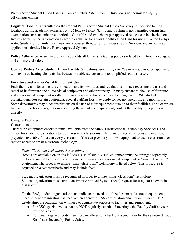Prebys Aztec Student Union lessees. Conrad Prebys Aztec Student Union does not permit tabling by off-campus entities.

**Logistics.** Tabling is permitted on the Conrad Prebys Aztec Student Union Walkway in specified tabling locations during academic semesters only, Monday-Friday, 8am-5pm. Tabling is not permitted during final examinations or academic break periods. One table and two chairs per approved request can be checked out free of charge by the Information Center in exchange for a valid Identification Card for use in Conrad Prebys Aztec Student Union **only** . Requests are processed through Union Programs and Services and an require an application submitted in the Event Approval System.

**Policy Adherence.** Associated Students upholds all University tabling policies related to the food, beverages, and commercial sales.

**Conrad Prebys Aztec Student Union Facility Guidelines.** *Items not permitted —* tents, canopies, appliances with exposed heating elements, barbecues, portable stereos and other amplified sound sources.

#### **Furniture and Audio-Visual Equipment Use**

Each facility and department is entitled to have its own rules and regulations in place regarding the use and rental of its furniture and audio-visual equipment and other property. In many instances, the use of furniture and audio-visual equipment is either free or at a greatly discounted rate to recognized SDSU student organizations. For certain equipment, special staffing fees may apply for set-up, operation, and monitoring. Some departments may place restrictions on the use of their equipment outside of their facilities. For a complete listing of the rules and regulations regarding the use of such equipment, contact the facility or department directly.

# **Campus Facilities**

#### **Classrooms**

There is no equipment checkout/rental available from the campus Instructional Technology Services (ITS) Office for student organizations to use in reserved classrooms. There are pull-down screens and overhead projectors available for use in every classroom. You can provide your own equipment to use in classrooms or request access to smart classroom technology.

#### *Smart Classroom Technology Reservations*

Rooms are available on an "as-is" basis. Use of audio-visual equipment must be arranged separately. Only authorized faculty and staff members may access audio-visual equipment or "smart classroom" equipment. The process to utilize "smart classroom" technology is listed below. This procedure is adjusted on a semester basis and may include fees:

Student organization must be recognized in order to utilize "smart classroom" technology Student organization must submit an Event Approval System (EAS) request for usage of an event in a classroom

On the EAS, student organization must indicate the need to utilize the smart classroom equipment Once student organization has received an approved EAS confirmation email from Student Life & Leadership, the organization will need to acquire keys/access to facilities and equipment:

- For RSO special events that are NOT regularly scheduled meetings, the Faculty/Staff advisor must be present
- For weekly general body meetings, an officer can check out a smart key for the semester through Key Issue (located by Public Safety):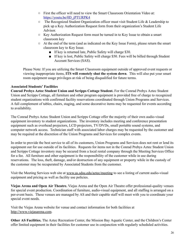- First the officer will need to view the Smart Classroom Orientation Video at: [https://youtu.be/0D\\_jPTURPK4](https://youtu.be/0D_jPTURPK4)
- The Recognized Student Organization officer must visit Student Life & Leadership to pick up a Key Authorization Request form from their organization's Student Life Advisor.
- Key Authorization Request form must be turned in to Key Issue to obtain a smart classroom key
- At the end of the term (and as indicated on the Key Issue Form), please return the smart classroom key to Key Issue.
	- If key is returned late, Public Safety will charge \$30.
	- If key is lost, Public Safety will charge \$50. Fees will be billed through Student Account Services (SAS).

Please Note: If you are utilizing the Smart Classroom equipment outside of approved event requests or viewing inappropriate items, **ITS will remotely shut the system down** . This will also put your smart room equipment usage privileges at risk of being disqualified for future terms.

## **Associated Students' Facilities**

**Conrad Prebys Aztec Student Union and Scripps Cottage Student.** For the Conrad Prebys Aztec Student Union and Scripps Cottage, all furniture and other program equipment is provided free of charge to recognized student organizations with confirmed facility reservations coordinated through Union Programs and Services. A full complement of tables, chairs, staging, and some decorative items may be requested for events according to availability.

The Conrad Prebys Aztec Student Union and Scripps Cottage offer the majority of their own audio-visual equipment inventory to student organizations. The inventory includes meeting and conference presentation equipment such as overhead projectors, LCD projectors, TV/DVDs, small portable sound systems, and computer network access. Technician staff with associated labor charges may be requested by the customer and may be required at the discretion of the Union Programs and Services for complex events.

In order to provide the best service to all of its customers, Union Programs and Services does not rent or lend its equipment out for use outside of its facilities. Requests for items not in the Conrad Prebys Aztec Student Union and Scripps Cottage inventory may be secured from a local rental company through the Meeting Services Office for a fee. All furniture and other equipment is the responsibility of the customer while in use during reservations. The loss, theft, damage, and/or destruction of any equipment or property while in the custody of the customer may be recuperated by Associated Students from the customer.

Visit the Meeting Services web site at [www.as.sdsu.edu/aztec/meeting](http://www.as.sdsu.edu/aztec/meeting) to see a listing of current audio-visual equipment and pricing as well as facility use policies.

**Viejas Arena and Open Air Theatre.** Viejas Arena and the Open Air Theatre offer professional-quality venues for special event production. Coordination of furniture, audio-visual equipment, and all staffing is arranged on a per-event basis. These venues are managed by AS and their capable staff will meet with you to coordinate your special event needs.

Visit the Viejas Arena website for venue and contact information for both facilities at [http://www.viejasarena.com](http://www.cox-arena.com/) .

**Other AS Facilities.** The Aztec Recreation Center, the Mission Bay Aquatic Center, and the Children's Center offer limited equipment in their facilities for customer use in conjunction with regularly scheduled activities.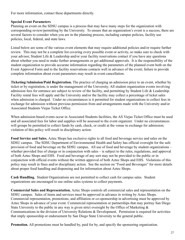For more information, contact these departments directly.

#### **Special Event Parameters**

Planning an event on the SDSU campus is a process that may have many steps for the organization with corresponding review/permitting by the University. To ensure that an organization's event is a success, there are several factors to consider when you are in the planning process, including campus policies, facility use policies, local, federal, and state laws.

Listed below are some of the various event elements that may require additional policies and/or require further review. This may not be a complete list covering every possible event or activity, so make sure to check with your advisor, Student Life & Leadership and/or your facility reservations contact if you have any questions about whether you need to make further arrangements or get additional approvals. It is the responsibility of the student organization to provide accurate information regarding the parameters of the planned event both on the Event Approval Form and to the facility reservations contacts well in advance of the event; failure to provide complete information about event parameters may result in event cancellation.

**Ticketing/Admission/Paid Registration.** The practice of charging an admission price to an event, whether by ticket or by registration, is under the management of the University. All student organization events involving admission fees for entrance are subject to review of the facility, and permitting by Student Life & Leadership. Facility rental fees will apply and the University and/or the facility may collect a percentage of ticket sales when admission is charged. Under no circumstances is it permitted for student organizations to collect fees in exchange for admission without previous permission from and arrangements made with the University and/or Associated Students Viejas Ticket Office.

When admission-based events occur in Associated Students facilities, the AS Viejas Ticket Office must be used and all associated fees for labor and supplies will be assessed to the event organizer. Under no circumstances will groups be permitted to collect funds by cash, check, or credit at the venue in exchange for admission; violation of this policy will result in disciplinary action.

**Food Service and Sales.** Aztec Shops has exclusive rights to all food and beverage service and sales on the SDSU campus. The SDSU Department of Environmental Health and Safety has official oversight for the safe provision of food and beverage on the SDSU campus. All use of food and beverage by student organizations – whether provided free of charge or in conjunction with sales – is subject to the rules, regulations, and approval of both Aztec Shops and EHS. Food and beverage of any sort may not be provided to the public or in conjunction with official events without the written approval of both Aztec Shops and EHS. Violations of this policy may result in fines and/or disciplinary action. See the section on "Food and Beverages" for more details about proper food handling and dispensing and for information about Aztec Shops.

**Cash Handling.** Student Organizations are not permitted to collect cash for campus sales. Student organizations are encouraged to use online sales systems to collect payments.

**Commercial Sales and Representation.** Aztec Shops controls all commercial sales and representation on the SDSU campus. Sales of items and services must be approved in advance in writing by Aztec Shops. Commercial representation, promotions, and affiliation or co-sponsorship in advertising must be approved by Aztec Shops in advance of your event. Commercial representation or partnerships that may portray San Diego State University to the public in any way is given strict oversight by the Office of Marketing & Communications in the division of University Relations & Development. Permission is required for activities that imply sponsorship or endorsement by San Diego State University to the general public.

**Promotion.** All promotions must be handled by, paid for by, and specify the sponsoring organization.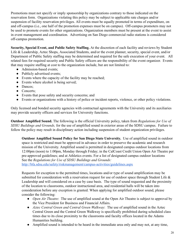Promotions must not specify or imply sponsorship by organizations contrary to those indicated on the reservation form. Organizations violating this policy may be subject to applicable rate charges and/or suspension of facility reservation privileges. All events must be equally promoted in terms of expenditure, on and off-campus (i.e., one half of the promotion expenses must be on campus). Off-campus promoters may not be used to promote events for other organizations. Organization members must be present at the event to assist in event management and coordination. Advertising on San Diego commercial radio stations is considered off-campus promotion.

**Security, Special Event, and Public Safety Staffing.** At the discretion of each facility and reviews by Student Life & Leadership, Aztec Shops, Associated Students, and/or the event planner, security, special event, and/or Department of Public Safety staffing may be determined and required for the safe execution of your event. All related fees for required security and Public Safety officers are the responsibility of the event organizer. Events that may require staffing at cost to the organization include, but are not limited to:

- Admission-based events;
- Publicly advertised events;
- Events where the capacity of the facility may be reached;
- Events where alcohol is being served;
- Dances;
- Concerts;
- Events that pose safety and security concerns; and
- Events or organizations with a history of police or incident reports, violence, or other policy violations.

Only licensed and bonded security agencies with contractual agreements with the University and its auxiliaries may provide security officers and services for University functions.

**Outdoor Amplified Sound.** The following is the official University policy, taken from *Regulations for Use of SDSU Buildings and Grounds,* for the use of amplified sound in exterior areas of the SDSU campus. Failure to follow the policy may result in disciplinary action including suspension of student organization privileges.

**Outdoor Amplified Sound Policy for San Diego State University.** Use of amplified sound in outdoor space is restricted and must be approved in advance in order to preserve the academic and research mission of the University. Amplified sound is permitted in designated campus outdoor locations from 12:00pm (noon) to 1:00pm, Monday through Friday; in the CalCoast Credit Union Open Air Theatre per pre-approved guidelines; and at Athletics events. For a list of designated campus outdoor locations See the *Regulations for Use of SDSU Buildings and Grounds:*

<http://bfa.sdsu.edu/safety/riskmanagement/campus-activities/guidelines.aspx>

Requests for exception to the permitted times, locations and/or type of sound amplification may be submitted for consideration with a reservation request for use of outdoor space through Student Life & Leadership and will considered on a case by case basis. The type of sound requested and the proximity of the location to classrooms, outdoor instructional area, and residential halls will be taken into consideration before any exception is granted. When applying for amplified outdoor sound, please consider the following:

- *Open Air Theatre*: The use of amplified sound at the Open Air Theatre is subject to approval by the Vice President for Business and Financial Affairs.
- *Aztec Central Green and Central Green Walkway*: The use of amplified sound in the Aztec Central Green and the Central Green Walkway is specifically prohibited during scheduled class times due to its close proximity to the classrooms and faculty offices located in the Adams Humanities building.
- Amplified sound is intended to be heard in the immediate area only and may not, at any time,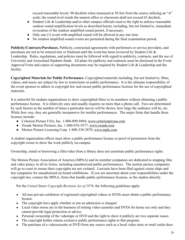exceed reasonable levels: 90 decibels when measured at 50 feet from the source utilizing an "A" scale; the sound level inside the nearest office or classroom shall not exceed 65 decibels.

- Student Life & Leadership and/or other campus officials reserve the right to enforce reasonable outdoor sound amplification levels as described herein, including, but not limited to, immediate revocation of the outdoor amplified sound permit, if necessary.
- Only one (1) event with amplified sound will be allowed at any one time.
- No outdoor amplified sound events are permitted during the final examination period.

**Publicity/Contracts/Purchases.** Publicity, contractual agreements with performers or service providers, and purchases are not to be entered into or finalized until the event has been reviewed by Student Life & Leadership. Rules, regulations, and policies must be followed with regard to publicity, contracts, and the use of University and Associated Students funds. All plans for publicity and contracts must be disclosed in the Event Approval Form and copies of supporting documents may be required by Student Life & Leadership and the facility.

**Copyrighted Materials for Public Performance.** Copyrighted materials including, but not limited to, films, videos, and music are subject by law to restrictions on public performance. It is the ultimate responsibility of the event sponsor to adhere to copyright law and secure public performance licenses for the use of copyrighted materials.

It is unlawful for student organizations to show copyrighted films to its members without obtaining a public performance license. It is relatively easy and usually requires no more than a phone call. Fees are determined by such factors as the number of times a particular movie will be shown, how large the audience will be, etc. While fees vary, they are generally inexpensive for smaller performances. The major firms that handle these licenses include:

- Criterion Picture USA, Inc. 1-800-890-9494; [www.criterionpicusa.com](http://www.criterionpicusa.com/)
- Swank Motion Pictures, Inc. 1-800-876-5577; [www.swank.com](http://www.swank.com/)
- Motion Picture Licensing Corp. 1-800-338-3870; [www.mplc.com](http://www.mplc.com/)

A student organization officer must show a public performance license or proof of permission from the copyright owner to show the work publicly on-campus.

Ownership, rental or borrowing a film/video from a library does not constitute public performance rights.

The Motion Picture Association of America (MPAA) and its member companies are dedicated to stopping film and video piracy in all its forms, including unauthorized public performances. The motion picture companies will go to court to ensure their copyrights are not violated. Lawsuits have been filed against cruise ships and bus companies for unauthorized on-board exhibitions. If you are uncertain about your responsibilities under the copyright law, contact the MPAA, firms that handle public performance licenses, or the studios directly.

Per the *United States Copyright Revision Act of 1976*, the following guidelines apply:

- All non-private exhibitors of registered copyrighted videos or DVDs must obtain a public performance license.
- The copyright laws apply whether or not an admission is charged.
- Local video stores are in the business of renting video-cassettes and DVDs for home use only and they cannot provide legal protection or advice.
- Personal ownership of the videotape or DVD and the right to show it publicly are two separate issues.
- The copyright holder retains exclusive public performance rights to that program.
- The purchase of a videocassette or DVD from any source such as a local video store or retail outlet does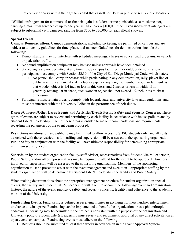not convey or carry with it the right to exhibit that cassette or DVD in public or semi-public locations.

"Willful" infringement for commercial or financial gain is a federal crime punishable as a misdemeanor, carrying a maximum sentence of up to one year in jail and/or a \$100,000 fine. Even inadvertent infringers are subject to substantial civil damages, ranging from \$500 to \$20,000 for each illegal showing.

## **Special Events**

**Campus Demonstrations.** Campus demonstrations, including picketing, are permitted on campus and are subject to university guidelines for time, place, and manner. Guidelines for demonstrations include the following:

- Demonstrations may not interfere with scheduled meetings, classes or educational programs, or vehicle or pedestrian traffic.
- No sound amplification equipment may be used unless approvals have been obtained.
- Staked signs are not permitted at any time inside campus facilities. For outdoor demonstrations, participants must comply with Section 53.30 of the City of San Diego Municipal Code, which states:
	- No person shall carry or possess while participating in any demonstration, rally, picket line or public assembly any metal stake, club, or pipe, or any length of lumber, wood, or lath, unless that wooden object is 1/4 inch or less in thickness, and 2 inches or less in width. If not generally rectangular in shape, such wooden object shall not exceed 1/2 inch in its thickest dimension.
- Participants must remain orderly, comply with federal, state, and university laws and regulations, and must not interfere with the University Police in the performance of their duties.

**Dances/Concerts/Other Large Events and Activities/Events Posing Safety and Security Concerns.** These types of events are subject to review and permitting by each facility in accordance with its use policies and by Student Life & Leadership. Each of these areas is entitled to make recommendations and requirements regarding the parameters of the event being proposed .

Restrictions on admission and publicity may be limited to allow access to SDSU students only, and all costs associated with those restrictions for staffing and supervision will be assessed to the sponsoring organization. Public Safety in conjunction with the facility will have ultimate responsibility for determining appropriate minimum security levels.

Supervision by the student organization faculty/staff advisor, representatives from Student Life & Leadership, Public Safety, and/or other representatives may be required to attend for the event to be approved. Any fees involved for supervision will be assessed to the sponsoring organization. Members of the sponsoring organization must be present to assist with the event management and execution. Appropriate staffing by the student organization will be determined by Student Life & Leadership, the facility and Public Safety.

When making determinations about the appropriate management practices for student organization special events, the facility and Student Life & Leadership will take into account the following: event and organization history; the nature of the event; publicity; safety and security concerns; legality; and adherence to the academic mission of the University.

**Fundraising Events.** Fundraising is defined as receiving monies in exchange for merchandise, entertainment, or chance to win a prize. Fundraising can be implemented to benefit the organization or as a philanthropic endeavor. Fundraising may be permitted if the project is consistent with the purpose of the organization and University policy. Student Life & Leadership must review and recommend approval of any direct solicitation at open events on campus. Fundraising events must adhere to the following:

● Requests should be submitted at least three weeks in advance on in the Event Approval System.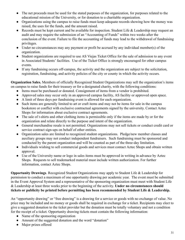- The net proceeds must be used for the stated purposes of the organization, for purposes related to the educational mission of the University, or for donation to a charitable organization.
- Organizations using the campus to raise funds must keep adequate records showing how the money was raised, the uses for the funds, and the amount raised.
- Records must be kept current and be available for inspection. Student Life & Leadership may request an audit and may require the submission of an "Accounting of Funds" within two weeks after the conclusion of the event. Failure to file the accounting of funds may lead to the withdrawal of fundraising privileges.
- Under no circumstances may any payment or profit be accrued by any individual member(s) of the organization.
- Student organizations are required to use AS Viejas Ticket Office for the sale of admission to any event in Associated Students' facilities. Use of the Ticket Office is strongly encouraged for other campus events.
- If any fundraising occurs off-campus, the activity and the organization are subject to the solicitation, registration, fundraising, and activity policies of the city or county in which the activity occurs.

**Organization Sales.** Members of officially Recognized Student Organizations may sell the organization's items on campus to raise funds for their treasury or for a designated charity, with the following conditions:

- Items must be purchased or donated. Consignment of items from a vendor is prohibited.
- Approved sales may occur only in an approved campus facility, AS facility or approved open space.
- A limit of three days per fundraising event is allowed for each organization.
- Such items are generally limited to art or craft items and may not be items for sale in the campus bookstore or conflict with exclusive contractual agreements signed by the university. Contact Aztec Shops for information about exclusive contract agreements.
- The sale of t-shirts and other clothing items is permissible only if the items are made by or for the organization and relate directly to the purpose and intent of the organization.
- General merchandise resale is not permitted. Organizations may not sell tickets or conduct credit card or service contract sign-ups on behalf of other entities.
- Organization sales are limited to recognized student organizations. Pledge/new member classes and auxiliary groups may not conduct independent fundraisers. Such fundraising must be sponsored and conducted by the parent organization and will be counted as part of the three-day limitation.
- Individuals wishing to sell commercial goods and services must contact Aztec Shops and obtain written approval.
- Use of the University name or logo in sales items must be approved in writing in advance by Aztec Shops. Requests to sell trademarked material must include written authorization. For further information, contact Aztec Shops.

**Opportunity Drawings** . Recognized Student Organizations may apply to Student Life & Leadership for permission to conduct a maximum of one opportunity drawing per academic year. The event must be submitted in the Event Approval System and a representative of the sponsoring organization must meet with Student Life & Leadership at least three weeks prior to the beginning of the activity. **Under no circumstances should tickets or publicity be printed before permitting has been recommended by Student Life & Leadership.**

An "opportunity drawing" or "free drawing" is a drawing for a service or goods with no exchange of value. No price may be included and no money or goods shall be required in exchange for a ticket. Recipients may elect to give a suggested donation to the ticket provider but the donation must be totally voluntary and not a condition for the receipt of a ticket. Opportunity drawing tickets must contain the following information:

- Name of the sponsoring organization
- Amount of the suggested donation and the word "donation"
- Major prizes offered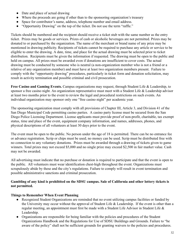- Date and place of actual drawing
- Where the proceeds are going if other than to the sponsoring organization's treasury
- Space for contributor's name, address, telephone number and email address.
- "Opportunity Drawing" on the top of the ticket. Do not use the term "raffle."

Tickets should be numbered and the recipient should receive a ticket stub with the same number as the entry ticket. Prizes may be goods or services. Prizes of cash or alcoholic beverages are not permitted. Prizes may be donated to or purchased by the organization. The name of the merchant or brand name of any prize may be mentioned in drawing publicity. Recipients of tickets cannot be required to purchase any article or service to be eligible to enter the drawing. A date, time, and place for the actual drawing must be selected prior to ticket distribution. Recipients must be given the information if requested. The drawing must be open to the public and held on campus. All prizes must be awarded even if donations are insufficient to cover costs. The actual drawing must be conducted by someone who is neutral (a non-organization member who is not a friend or a relative of any organization member) and must have at least two organization members present. Failure to comply with the "opportunity drawing" procedures, particularly in ticket form and donation solicitation, may result in activity termination and possible criminal and civil prosecution.

**Free Casino and Gaming Events.** Campus organizations may request, through Student Life & Leadership, to sponsor a free casino night. An organization representative must meet with a Student Life & Leadership advisor at least two months prior to the event to review the legal and procedural restrictions on such events. An individual organization may sponsor only one "free casino night" per academic year.

The sponsoring organization must comply with all provisions of Chapter III, Article 3, and Division 41 of the San Diego Municipal Code permitting casino parties. A casino party license must be secured from the San Diego Police Licensing Department. License applicants must provide proof of non-profit, charitable, tax exempt status, time and place of the event, equipment company information, and names, addresses, phones, and physical descriptions of all volunteers at least 30 days prior to the event.

The event must be open to the public. No person under the age of 18 is permitted. There can be no entrance fee or advance registration. Scrip or chips must be used; no money can be used. Scrip must be distributed free with no connection to any voluntary donations. Prizes must be awarded through a drawing of tickets given to game winners. Total prizes may not exceed \$5,000 and no single prize may exceed \$2,500 in fair market value. Cash may not be awarded.

All advertising must indicate that no purchase or donation is required to participate and that the event is open to the public. All volunteers must wear identification chest-high throughout the event. Organizations must scrupulously abide by these and the city's regulations. Failure to comply will result in event termination and possible administrative sanctions and criminal prosecution.

#### **Gambling of any kind is prohibited on the SDSU campus. Sale of California and other lottery tickets is not permitted.**

#### **Things to Remember When Event Planning**

- Recognized Student Organizations are reminded that no event utilizing campus facilities or funded by the University may occur without the approval of Student Life & Leadership. If the event is other than a regular meeting, an appointment must first be made with a Student Life Advisor in Student Life & Leadership.
- Organizations are responsible for being familiar with the policies and procedures of the Student Organizations Handbook and the Regulations for Use of SDSU Buildings and Grounds. Failure to "be aware of the policy" shall not be sufficient grounds for granting waivers to the policies and procedures.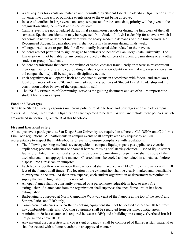- As all requests for events are tentative until permitted by Student Life & Leadership. Organizations must not enter into contracts or publicize events prior to the event being approved.
- In case of conflicts in large events on campus requested for the same date, priority will be given to the organization filing the request at the earliest date.
- Campus events are not scheduled during final examination periods or during the first week of the Fall semester. Special consideration may be requested from Student Life & Leadership for an event which is academic in nature or does not interfere with the heavy academic demands of these time periods. No Recognized Student Organization events shall occur in classrooms during finals week.
- All organizations are responsible for all voluntarily incurred debts related to their events.
- Students are not permitted to sign or agree to contracts on behalf of San Diego State University. The University will not be liable for any contract signed by the officers of student organizations or any other student or group of students.
- Student organizations that enter into written or verbal contacts fraudulently or otherwise misrepresent their organization (for example, providing a false organization identity when making a reservation at an off-campus facility) will be subject to disciplinary action.
- Each organization will operate itself and conduct all events in accordance with federal and state laws, local ordinances, official CSU and University policies, policies of Student Life & Leadership and the constitution and/or bylaws of the organization itself.
- The "SDSU Principles of Community" serve as the guiding document and set of values important to student life on our campus.

## **Food and Beverages**

San Diego State University espouses numerous policies related to food and beverages at on and off campus events. All Recognized Student Organizations are expected to be familiar with and uphold these policies, which are outlined in Section II, Article B of this handbook.

## **Fire and Electrical Safety**

All campus event participants at San Diego State University are required to adhere to Cal-OSHA and California Fire Code regulations. All participants in campus events shall comply with any request by an EHS representative to inspect their tables/booths or events to ensure compliance with regulations.

- The following cooking methods are acceptable on campus: liquid propane gas appliances; electric appliances; propane barbecues or charcoal barbecues using self-starting charcoal. Use of liquid starter fuel is prohibited. Each officially recognized student organization or department shall dispose of their used charcoal in an appropriate manner. Charcoal must be cooled and contained in a metal can before disposal into a trashcan or dumpster.
- Each table or booth where an open flame is located shall have a class "ABC" fire extinguisher within 10 feet of the flames at all times. The location of the extinguisher shall be clearly marked and identifiable to everyone in the area. At their own expense, each student organization or department is required to supply the fire extinguisher for their event.
- All open flames shall be constantly attended by a person knowledgeable in how to use a fire extinguisher. An attendant from the organization shall supervise the open flame until it has been extinguished.
- Barbequing is approved at North Campanile Walkway (east of the flagpole at the top of the steps) and Scripps Patio (one BBQ only).
- Commercial barbecues or open flame cooking equipment shall not be located closer than 10 feet from any combustible materials. Cooking equipment shall be separated from customer contact areas.
- A minimum 20 feet clearance is required between a BBQ and a building or a canopy. Overhead brush is not permitted above BBQs.
- Any material used as a structural cover (tent or canopy) shall be composed of flame-resistant material or shall be treated with a flame retardant in an approved manner.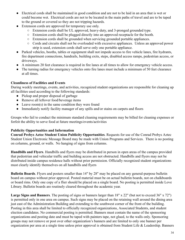- Electrical cords shall be maintained in good condition and are not to be laid in an area that is wet or could become wet. Electrical cords are not to be located in the main paths of travel and are to be taped to the ground or covered so they are not tripping hazards.
- Extension cords are approved for temporary use only.
	- Extension cords shall be UL approved, heavy-duty, and 3-pronged grounded type.
	- Extension cords shall be plugged directly into an approved receptacle for the booth.
	- Extension cords shall be grounded when servicing grounded portable appliances.
	- Cords and circuits shall not be overloaded with excessive appliances. Unless an approved power strip is used, extension cords shall serve only one portable appliance.
- Parked vehicles, booths, tables or equipment shall not impede access to fire vehicle lanes, fire hydrants, fire department connections, handrails, building exits, steps, disabled access ramps, pedestrian access, or driveways.
- A minimum 20 feet clearance is required in fire lanes at all times to allow for emergency vehicle access.
- The turning radius for emergency vehicles onto fire lanes must include a minimum of 50 feet clearance at all times.

#### **Cleanliness of Facilities and Events**

During weekly meetings, events, and activities, recognized student organizations are responsible for cleaning up all facilities used according to the following standards:

- Pickup and proper disposal of garbage
- Remove all leftover food/beverage items
- Leave room(s) in the same condition they were found
- Immediately notify facility manager of any spills and/or stains on carpets and floors

Groups who fail to conduct the minimum standard cleaning requirements may be billed for cleaning expenses or forfeit the ability to serve food at future meetings/events/activities

#### **Publicity Opportunities and Information**

**Conrad Prebys Aztec Student Union Publicity Opportunities** . Requests for use of the Conrad Prebys Aztec Student Union Electronic Message Board may be made with Union Programs and Services. There is no posting on columns, ground, or walls. No hanging of signs from columns.

**Handbills and Flyers** . Handbills and flyers may be distributed in person in open areas of the campus provided that pedestrian and vehicular traffic and building access are not obstructed. Handbills and flyers may not be distributed inside campus residence halls without prior permission. Officially recognized student organizations must clearly identify themselves on all handbills and flyers

**Bulletin Boards** . Flyers and posters smaller than 14" by 28" may be placed on any general-purpose bulletin board on campus without prior approval. Posted material must be on actual bulletin boards, not on chalkboards or board rims. Only one copy of a flier should be placed on a single board. No posting is permitted inside Love Library. Bulletin boards are routinely cleared throughout the academic year.

**Large Signs and Banners** . The posting of signs or banners larger than 18" x 22" (but not to exceed 36" x 72") is permitted only in one area on campus. Such signs may be placed on the retaining wall around the dining area just east of the Administration Building and extending to the southwest corner of the front of the building. Posting in this area shall be limited to officially recognized organizations, Associated Students, and student election candidates. No commercial posting is permitted. Banners must contain the name of the sponsoring organizations and posting date and must be taped with painters tape, not glued, to the walls only. Sponsoring groups may not remove or post over other organization's banners and are limited to only one banner per organization per area at a single time unless prior approval is obtained from Student Life & Leadership. Banners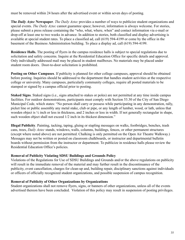must be removed within 24 hours after the advertised event or within seven days of posting.

**The** *Daily Aztec* Newspaper. *The Daily Aztec* provides a number of ways to publicize student organizations and special events. *The Daily Aztec* cannot guarantee space; however, information is always welcome. For stories, please submit a press release containing the "who, what, where, when" and contact information via e-mail or drop-off at least one to two weeks in advance. In addition to stories, both classified and display advertising is available at special student rates. To place a classified ad, call (619) 594-4199 or come by the office in the basement of the Business Administration building. To place a display ad, call (619) 594-4199.

**Residence Halls.** The posting of flyers in the campus residence halls is subject to special regulations due to solicitation and safety concerns. Inquire at the Residential Education Office for specific details and approval. Only individually addressed mail may be placed in student mailboxes. No materials may be placed under student room doors. Door-to-door solicitation is prohibited.

**Posting on Other Campuses** . If publicity is planned for other college campuses, approval should be obtained before posting. Inquiries should be addressed to the department that handles student activities at the respective college or university. Many campuses, particularly community colleges, require all posted materials to be stamped or signed by a campus official prior to posting.

**Staked Signs** . Staked signs (i.e., signs attached to stakes or poles) are not permitted at any time inside campus facilities. For outdoor demonstrations, participants must comply with Section 53.30 of the City of San Diego Municipal Code, which states: "No person shall carry or possess while participating in any demonstration, rally, picket line or public assembly any metal stake, club or pipe, or any length of lumber, wood, or lath, unless that wooden object is  $\frac{1}{4}$  inch or less in thickness, and 2 inches or less in width. If not generally rectangular in shape, such wooden object shall not exceed  $1/2$  inch in its thickest dimension."

**Illegal Publicity**. Painting, tacking, taping, gluing or stapling messages on walks, footbridges, benches, trash cans, trees, *Daily Aztec* stands, windows, walls, columns, buildings, fences, or other permanent structures (except where noted above) are not permitted. Chalking is only permitted on the Open Air Theatre Walkway.) Messages may not be written or posted on classroom chalkboards, or instructor and departmental bulletin boards without permission from the instructor or department. To publicize in residence halls please review the Residential Education Office's policies.

#### **Removal of Publicity Violating SDSU Buildings and Grounds Policy**

Violations of the Regulations for Use of SDSU Buildings and Grounds and/or the above regulations on publicity will result in the immediate removal of the material and may further result in the discontinuance of the publicity, event cancellation, charges for clean-up and, building repair, disciplinary sanctions against individuals or officers of officially recognized student organizations, and possible suspension of campus recognition.

#### **Removal of Publicity of Other Organizations by Organizations**

Student organizations shall not remove flyers, signs, or banners of other organizations, unless all of the events advertised thereon have been concluded. Violation of this policy may result in suspension of posting privileges.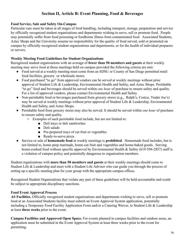## **Section II, Article B: Event Planning, Food & Beverages**

### **Food Service, Sale and Safety On-Campus**

Particular care must be taken at all stages of food handling, including transport, storage, preparation and service by officially recognized student organizations and departments wishing to serve, sell or promote food. People may potentially suffer from food poisoning or foodborne illness from contaminated food. Associated Students, Aztec Shops and the University assume no responsibility for the quality of food served, sold or promoted on campus by officially recognized student organizations and departments, or for the health of individual preparers or servers.

### **Weekly Meeting Food Guidelines for Student Organizations**

Recognized student organizations with an average of **fewer than 50 members and guests** at their weekly meeting may serve food at those meetings held on campus provided the following criteria are met:

- Food served at a weekly meeting must come from an SDSU or County of San Diego permitted retail food facilities, grocery or wholesale stores.
- Food purchased "to go" from approved vendors can be served at weekly meetings without prior approval of Student Life & Leadership, Environmental Health and Safety, and Aztec Shops. Perishable "to go" food and beverages should be served within *one hour* of purchase to ensure safety and quality. For a list of approved vendors, please contact Environmental Health and Safety.
- Non-perishable food or beverages purchased from grocery stores (e.g., Ralph's, Costco, Trader Joe's) may be served at weekly meetings without prior approval of Student Life & Leadership, Environmental Health and Safety, and Aztec Shops.
- Perishable food from grocery stores may also be served. It should be served within *one hour* of purchase to ensure safety and quality.
	- Examples of such perishable food include, but are not limited to:
		- Deli trays or deli sandwiches
		- Deli salads
		- Pre-prepared trays of cut fruit or vegetables
		- Ready-to-serve pizza
- Service or sale of **homemade food** at weekly meetings is **prohibited** . Homemade food includes, but is not limited to, home-prep marinade, home-cut fruit and vegetables and home-baked goods. Serving home-cooked food without specific approval by Environmental Health & Safety (619-594-2857) staff is a violation of campus policy and potentially dangerous to organization members.

Student organizations with **more than 50 members and guests** at their weekly meetings should come to Student Life & Leadership and meet with a Student Life Advisor who can guide you through the process of setting up a specific meeting plan for your group with the appropriate campus offices.

Recognized Student Organizations that violate any part of these guidelines will be held accountable and could be subject to appropriate disciplinary sanctions.

### **Food Event Approval Process**

**AS Facilities.** Officially recognized student organizations and departments wishing to serve, sell or promote food at an Associated Students facility must submit an Event Approval System application, potentially including a Temporary Food Facility Application Form and/or a Catering Waiver, to Student Life & Leadership at least **three weeks** prior to the event.

**Campus Facilities and Approved Open Space.** For events planned in campus facilities and outdoor areas, an application must be submitted in the Event Approval System at least three weeks prior to the event for permitting.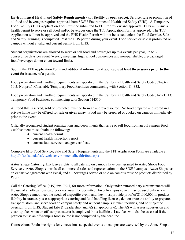**Environmental Health and Safety Requirements (any facility or open space).** Service, sale or promotion of all food and beverages requires approval from SDSU Environmental Health and Safety (EHS). A Temporary Food Facility (TFF) Application Form must be submitted to EHS for review and approval *.* EHS will issue a health permit to serve or sell food and/or beverages once the TFF Application Form is approved. The TFF Application will not be approved and the EHS Health Permit will not be issued unless the Food Service, Sale and Safety Training is completed. Post the EHS permit during your event. Food service or sale is prohibited on campus without a valid and current permit from EHS.

Student organizations are allowed to serve or sell food and beverages up to 4 events per year, up to 3 consecutive days per event (weekly meetings, high school conferences and non-perishable, pre-packaged food/beverages do not count toward limit).

Submit the TFF Application Form and additional information if applicable **at least three weeks prior to the event** for issuance of a permit.

Food preparation and handling requirements are specified in the California Health and Safety Code, Chapter 10.5: Nonprofit Charitable Temporary Food Facilities commencing with Section 114332.

Food preparation and handling requirements are specified in the California Health and Safety Code, Article 13: Temporary Food Facilities, commencing with Section 114310.

All food that is served, sold or promoted must be from an approved source. No food prepared and stored in a private home may be offered for sale or given away *.* Food may be prepared or cooked on campus immediately prior to the event.

Officially recognized student organizations and departments that serve or sell food from an off-campus food establishment must obtain the following:

- current health permit
- current health inspection report
- current food service manager certificate

Complete EHS Food Service, Sale and Safety Requirements and the TFF Application Form are available at <http://bfa.sdsu.edu/safety/ehs/environmentalhealth/food.aspx>

**Aztec Shops Catering.** Exclusive rights to all catering on campus have been granted to Aztec Shops Food Services. Aztec Shops controls all commercial sales and representation on the SDSU campus. Aztec Shops has an exclusive agreement with Pepsi, and all beverages served or sold on campus must be products distributed by Pepsi.

Call the Catering Office, (619) 594-7641, for more information. Only under extraordinary circumstances will the use of an off-campus caterer or restaurant be permitted. An off-campus source may be used only when Aztec Shops cannot meet the needs of a specific event, and they must provide proof of \$1,000,000 in product liability insurance, possess appropriate catering and food handling licenses, demonstrate the ability to prepare, transport, store, and serve food on campus safely and without campus kitchen facilities, and be subject to oversight from EHS, Student Life & Leadership, and AS (if appropriate). The AS will assess supervision and clean-up fees when an off-campus caterer is employed in its facilities. Late fees will also be assessed if the petition to use an off-campus food source is not completed by the deadline.

**Concessions** . Exclusive rights for concessions at special events on campus are exercised by the Aztec Shops.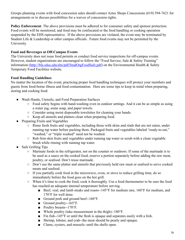Groups planning events with food concession sales should contact Aztec Shops Concessions (619) 594-7621 for arrangements or to discuss possibilities for a waiver of concession rights.

**Policy Enforcement**. The above provisions must be adhered to for consumer safety and sponsor protection. Food events will be monitored, and food may be confiscated or the food handling or cooking operation suspended by the EHS representative. If the above provisions are violated, the event may be terminated by Student Life & Leadership or other campus officials. Future food events may not be permitted by the University.

### **Food and Beverages at Off-Campus Events**

The University does not issue food permits or conduct food service inspections for off-campus events. However, student organizations are encouraged to follow the "Food Service, Sale & Safety Training" information (http://bfa.sdsu.edu/ehs/pdf/StudOrgFoodSafe.pdf) on the Environmental Health & Safety Temporary Food Facilities website.

### **Food Handling Guidelines**

No matter the location of the event, practicing proper food handling techniques will protect your members and guests from food-borne illness and food contamination. Here are some tips to keep in mind when preparing, storing and cooking food:

- Wash Hands, Utensils, and Food Preparation Surfaces
	- Food safety begins with hand-washing even in outdoor settings. And it can be as simple as using a water jug, some soap, and paper towels.
	- Consider using moist disposable towelettes for cleaning your hands.
	- Keep all utensils and platters clean when preparing food.
- Preparing Fruits and Vegetables
	- Rinse fresh fruits and vegetables, including those with skins and rinds that are not eaten, under running tap water before packing them. Packaged fruits and vegetables labeled "ready-to-eat," "washed," or "triple washed" need not be washed.
	- Rub firm-skin fruits and vegetables under running tap water or scrub with a clean vegetable brush while rinsing with running tap water.
- Safe Grilling Tips
	- Marinate foods in the refrigerator, not on the counter or outdoors. If some of the marinade is to be used as a sauce on the cooked food, reserve a portion separately before adding the raw meat, poultry, or seafood. Don't reuse marinade.
	- Don't use the same platter and utensils that previously held raw meat or seafood to serve cooked meats and seafood.
	- If you partially cook food in the microwave, oven, or stove to reduce grilling time, do so immediately before the food goes on the hot grill.
	- When it's time to cook the food, cook it thoroughly. Use a food thermometer to be sure the food has reached an adequate internal temperature before serving.
		- Beef, veal, and lamb steaks and roasts--145°F for medium rare, 160°F for medium, and 170°F for well done.
		- Ground pork and ground beef--160°F.
		- Ground poultry--165°F.
		- Poultry breasts--170°F.
		- Whole poultry (take measurement in the thigh)--180°F.
		- $\blacksquare$  Fin fish--145°F or until the flesh is opaque and separates easily with a fork.
		- Shrimp, lobster, and crab--the meat should be pearly and opaque.
		- Clams, oysters, and mussels--until the shells open.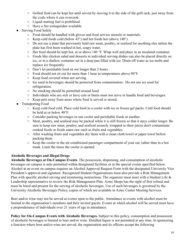- Grilled food can be kept hot until served by moving it to the side of the grill rack, just away from the coals where it can overcook.
- Liquid starting fuel is prohibited.
- Have a fire extinguisher available.
- **Serving Food Safely** 
	- Food should be handled with gloves and food service utensils or materials.
	- $\circ$  Keep cold foods cold (below 45 $\circ$ ) and hot foods hot (above 140 $\circ$ ).
	- Do not use a plate that previously held raw meat, poultry, or seafood for anything else unless the plate has first been washed in hot, soapy water.
	- Hot food should be kept hot, at or above 140 °F. Wrap well and place in an insulated container.
	- Foods like chicken salad and desserts in individual serving dishes can also be placed directly on ice, or in a shallow container set in a deep pan filled with ice. Drain off water as ice melts and replace ice frequently.
	- Don't let perishable food sit out longer than 2 hours.
	- Food should not sit out for more than 1 hour in temperatures above 90°F.
	- Keep food covered when not serving.
	- Ice used in beverages should be protected from contamination. Do not use ice used for refrigeration.
	- No smoking should be permitted around food.
	- Individuals who are sick or have cuts or burns must not serve or handle food and beverages.
	- Keep pets away from areas where food is served or stored.
- **Transporting Food** 
	- Keep cold food cold. Place cold food in a cooler with ice or frozen gel packs. Cold food should be held at or below 40°F.
	- Consider packing beverages in one cooler and perishable foods in another.
	- Meat, poultry, and seafood may be packed while it is still frozen so that it stays colder longer. Be sure to keep raw meat, poultry, and seafood securely wrapped so their juices don't contaminate cooked foods or foods eaten raw such as fruits and vegetables.
	- After washing fruits and vegetables dry them with a clean cloth towel or paper towel before packing them.
	- Keep the cooler in the air-conditioned passenger compartment of your car, rather than in a hot trunk. Limit the times the cooler is opened.

## **Alcoholic Beverages and Illegal Drugs**

**Alcoholic Beverages at On-Campus Events** . The possession, dispensing, and consumption of alcoholic beverages on campus is only permitted within designated facilities or at the special events specified below. Alcohol at an event on campus requires an Alcohol Approval Request Form with the designated University Vice President's approval and signature. Recognized Student Organizations must also provide a Risk Management Plan with specific alcohol serving and monitoring instructions. The organizer must meet with a Student Life & Leadership representative to review the Risk Management Plan. Aztec Shops has the right of first refusal and must be hired and present for the serving of alcoholic beverages. Use of such beverages is governed by the University Alcoholic Beverages Policy, copies of which are available in Aztec Center Meeting Services.

Beer and/or wine may not be served at events open to the public. Attendance at events with alcohol must be limited to the organization's members and their invited guests. Events at which alcohol will be served must have a preponderance of individuals over 21 years of age in attendance.

**Policy for On-Campus Events with Alcoholic Beverages.** Subject to this policy, consumption and possession of alcoholic beverages is limited to beer and/or wine. Distilled liquor is not permitted at any time. In sponsoring a function where beer and/or wine are served, the organization and its officers accept the following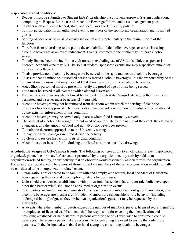responsibilities and conditions:

- Requests must be submitted to Student Life & Leadership via an Event Approval System application, completing a "Request for the use of Alcoholic Beverages" form, and a risk management plan.
- To observe all applicable federal, state, and local laws and University policies.
- To limit participation in an authorized event to members of the sponsoring organization and its invited guests.
- Serving of beer or wine must be clearly incidental and supplementary to the main purpose of the function.
- To refrain from advertising to the public the availability of alcoholic beverages or otherwise using alcoholic beverages as an event inducement. Events promoted to the public may not have alcohol served.
- To only finance beer or wine from a club treasury, excluding use of AS funds. Unless a sponsor is licensed, beer and wine may NOT be sold at student- sponsored events, nor may a specified amount or donation be collected.
- To also provide non-alcoholic beverages, to be served in the same manner as alcoholic beverages.
- To assure that no minor or intoxicated person is served alcoholic beverages. It is the responsibility of the organization to ensure that only those of legal drinking age consume alcoholic beverages.
- Aztec Shops personnel must be present to verify the proof of age of those being served.
- Food must be served at all events at which alcohol is available.
- For events on campus any alcohol must be handled through Aztec Shops Catering. Self-service is not permitted and a server must be at least 21 years old.
- Alcoholic beverages may not be removed from the room within which the serving of alcoholic beverages has been approved. The organization must provide one or more individuals to be positioned by the exits for enforcement of this condition.
- Alcoholic beverages may be served only in areas where food is normally served.
- The amount of alcoholic beverages present must be appropriate for the nature of the event, the estimated attendance, and the amount of food and non-alcoholic beverages present.
- To maintain decorum appropriate to the University setting.
- To pay for any/all damages incurred during the activity.
- To clean and restore the facility to its original condition.
- Alcohol may not be sold for fundraising or offered as a prize in a "free drawing."

**Alcoholic Beverages at Off-Campus Events** . The following policies apply to all off-campus events sponsored, organized, planned, coordinated, financed, or promoted by the organization, any activity held at an organization-related facility, or any activity that an observer would reasonably associate with the organization. For example, a social event where most of those invited are members of the same organization would normally be considered to be an organization-related event.

- Organizations are expected to be familiar with and comply with federal, local and State of California laws regulating the sale and consumption of alcoholic beverages.
- Unless held at a licensed establishment with professional bartenders, hard liquor (alcoholic beverages other than beer or wine) shall not be consumed at organization events.
- Open parties, meaning those with unrestricted access by non-members without specific invitation, where alcoholic beverages are present are forbidden. Members are responsible for the behavior (including underage drinking) of guests they invite. An organization's guest list may be requested by the University.
- At events where the number of guests exceeds the number of members, private, licensed security guards, or employees of licensed establishment, shall be responsible for checking the identification and providing wristbands or hand-stamps to persons over the age of 21 who wish to consume alcoholic beverages. The security personnel are responsible for patrolling the event to ensure that only those persons with the designated wristband or hand-stamp are consuming alcoholic beverages.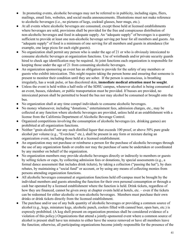- In promoting events, alcoholic beverages may not be referred to in publicity, including signs, fliers, mailings, email lists, websites, and social media announcements. Illustrations must not make reference to alcoholic beverages (i.e., no pictures of kegs, cocktail glasses, beer mugs, etc.).
- At all events where alcoholic beverages are consumed, except those held at licensed establishments where beverages are sold, provisions shall be provided for the free and conspicuous distribution of non-alcoholic beverages and food in adequate supply. An "adequate supply" of beverages is a quantity sufficient to provide at least one non-alcoholic beverage serving per hour for all members and guests. An "adequate supply" of food is a minimum of one serving for all members and guests in attendance (for example, one large pizza for each eight guests).
- No organization shall permit any person who is under the age of 21 or who is obviously intoxicated to consume alcoholic beverages at organization functions. Use of wristbands and/or private security guards hired to check age identification may be required. At joint functions each organization is responsible for keeping those under the age of 21 from consuming alcoholic beverages.
- An organization sponsoring an event has an obligation to provide for the safety of any members or guests who exhibit intoxication. This might require taking the person home and ensuring that someone is present to monitor their condition until they are sober. If the person is unconscious, is breathing irregularly, has a weak pulse, or has discolored skin, **immediate medical attention must be sought**.
- Unless the event is held within a half-mile of the SDSU campus, whenever alcohol is being consumed at an event, busses, rideshare, or public transportation must be provided. If busses are provided, no intoxicated person shall be permitted to board the bus nor may alcohol be consumed or brought onto the bus.
- No organization shall at any time compel individuals to consume alcoholic beverages.
- No money whatsoever, including "donations," entertainment fees, admission charges, etc., may be collected at any function where alcoholic beverages are provided, unless held at an establishment with a license from the California Department of Alcoholic Beverage Control.
- Organized competitions involving the consumption of alcoholic beverages (ex. drinking games) are prohibited at all organization functions.
- Neither "grain alcohol" nor any such distilled liquor that exceeds 100 proof, or above 50% pure grade alcohol per volume (e.g., "Everclear," etc.), shall be present in any form or mixture during an organization event, including those held at a licensed establishment.
- An organization may not purchase or reimburse a person for the purchase of alcoholic beverages through the use of any organization funds or credits nor may the purchase of same be undertaken or coordinated by any member on behalf of the organization.
- No organization members may provide alcoholic beverages directly or indirectly to members or guests by selling tickets or cups, by collecting admission fees or donations, by special assessments (e.g., a formal dance assessment that includes drink tickets), by taking a collection ("passing the hat"), by dues rebates, by maintaining a "social fund" or account, or by using any means of collecting monies from persons attending organization functions.
- All alcoholic beverages consumed at organization functions held off-campus must be brought by the individual members and guests attending the function for their own personal consumption or through a cash bar operated by a licensed establishment where the function is held. Drink tickets, regardless of how they are financed, cannot be given away at chapter events held at hotels, etc. – even if the tickets can be redeemed for either alcoholic or non-alcoholic beverages. Members must purchase their own drinks or drink tickets directly from the licensed establishment.
- The purchase and/or use of any bulk quantity of alcoholic beverages or providing a common source of alcohol (e.g., kegs, miniature kegs, alcoholic punch, coolers filled with canned beer, open bars, etc.) is expressly prohibited. (A keg shell present on organization premises shall be considered evidence of a violation of this policy.) Organizations that attend a jointly-sponsored event where a common source of alcohol is present shall have ten minutes to either have the source removed or have all members leave the function; otherwise, all participating organizations become jointly responsible for the presence of the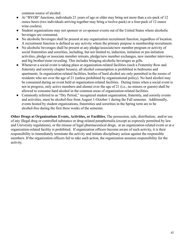common source of alcohol.

- At "BYOB" functions, individuals 21 years of age or older may bring not more than a six-pack of 12 ounce beers (two individuals arriving together may bring a twelve-pack) or a four-pack of 12 ounce wine coolers).
- Student organizations may not sponsor or co-sponsor events out of the United States where alcoholic beverages are consumed.
- No alcoholic beverages shall be present at any organization recruitment function, regardless of location. A recruitment function is defined as any activity where the primary purpose is membership recruitment.
- No alcoholic beverages shall be present at any pledge/associate/new member program or activity of social fraternities and sororities, including, but not limited to, induction, initiation or pre-initiation activities, pledge or associate member retreats, pledge/new member exchanges, new member interviews, and big brother/sister revealing. This includes bringing alcoholic beverages as gifts.
- Whenever a social event is taking place at organization-related facilities (such a Fraternity Row and fraternity and sorority chapter houses), all alcohol consumption is prohibited in bedrooms and apartments. In organization-related facilities, bottles of hard alcohol are only permitted in the rooms of residents who are over the age of 21 (unless prohibited by organizational policy). No hard alcohol may be consumed during an event held at organization-related facilities. During times when a social event is not in progress, only active members and alumni over the age of 21 (i.e., no minors or guests) shall be allowed to consume hard alcohol in the common areas of organization-related facilities.
- Commonly referred to as "Dry Period," recognized student organization, fraternity, and sorority events and activities, must be alcohol-free from August 1-October 1 during the Fall semester. Additionally, events hosted by student organizations, fraternities and sororities in the Spring term are to be alcohol-free during the first three weeks of the semester.

**Other Drugs at Organizations Events, Activities, or Facilities.** The possession, sale, distribution, and/or use of any illegal drug or controlled substance or drug-related paraphernalia (except as expressly permitted by law and University regulations), or the misuse of legal pharmaceutical drugs, at an organization-related event or at a organization-related facility is prohibited. If organization officers become aware of such activity, it is their responsibility to immediately terminate the activity and initiate disciplinary action against the responsible members. If the organization officers fail to take such action, the organization assumes responsibility for the activity.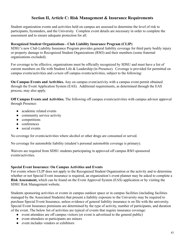## **Section II, Article C: Risk Management & Insurance Requirements**

Student organization events and activities held on campus are assessed to determine the level of risk to participants, bystanders, and the University. Complete event details are necessary in order to complete the assessment and to ensure adequate protection for all.

### **Recognized Student Organizations - Club Liability Insurance Program (CLIP)**

SDSU's new Club Liability Insurance Program provides general liability coverage for third party bodily injury or property damage to Recognized Student Organizations (RSO) and their members (some fraternal organizations excluded).

For coverage to be effective, organizations must be officially recognized by SDSU and must have a list of current members on file with Student Life & Leadership (in Presence). Coverage is provided for permitted on campus events/activities and *certain* off campus events/activities, subject to the following:

**On Campus Events and Activities.** Any on campus event/activity with a campus event permit obtained through the Event Application System (EAS). Additional requirements, as determined through the EAS process, may also apply.

**Off Campus Events and Activities.** The following off campus events/activities with campus advisor approval through Presence:

- academic related events
- community service activity
- competitions
- conferences
- social events

No coverage for events/activities where alcohol or other drugs are consumed or served.

No coverage for automobile liability (student's personal automobile coverage is primary).

Waivers are required from SDSU students participating in approved off campus RSO sponsored events/activities.

### **Special Event Insurance: On Campus Activities and Events**

For events where CLIP does not apply to the Recognized Student Organization or the activity and to determine whether or not Special Event insurance is required, an organization's event planner may be asked to complete a **Risk Assessment,** which can be found on the Event Approval System (EAS) application or by visiting the SDSU Risk Management website.

Students sponsoring activities or events in campus outdoor space or in campus facilities (including facilities managed by the Associated Students) that present a liability exposure to the University may be required to purchase Special Event Insurance, unless evidence of general liability insurance is on file with the university. Special Event Insurance premiums are determined by the type of activity, number of participants, and duration of the event. The below list of activities are typical of events that require insurance coverage:

- event attendees are off campus visitors (or event is advertised to the general public)
- event attendees or participants are minors
- event includes vendors or exhibitors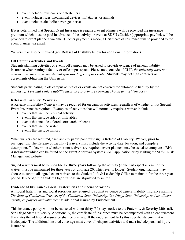- event includes musicians or entertainers
- event includes rides, mechanical devices, inflatables, or animals
- event includes alcoholic beverages served

If it is determined that Special Event Insurance is required, event planners will be provided the insurance premium which must be paid in advance of the activity or event at SDSU eCashier (appropriate pay link will be provided to event planners via email). After payment is made, a Certificate of Insurance will be provided to the event planner via email.

Waivers may also be required (see **Release of Liability** below for additional information).

### **Off Campus Activities and Events**

Students planning activities or events off campus may be asked to provide evidence of general liability insurance when renting a facility or off campus space. Please note, outside of CLIP, *the university does not provide insurance covering student sponsored off campus events* . Students may not sign contracts or agreements obligating the University.

Students participating in off campus activities or events are not covered for automobile liability by the university. *Personal vehicle liability insurance is primary coverage should an accident occur.*

### **Release of Liability (Waivers)**

A Release of Liability (Waiver) may be required for on campus activities, regardless of whether or not Special Event Insurance is required. Examples of activities that will normally require a waiver include:

- events that include physical activity
- events that include rides or inflatables
- events that include colored cornstarch or henna
- events that include water
- events that include minors

When waivers are required, each activity participant must sign a Release of Liability (Waiver) prior to participation. The Release of Liability (Waiver) must include the activity date, location, and complete description. To determine whether or not waivers are required, event planners may be asked to complete a **Risk Assessment** which can be found on the Event Approval System (EAS) application or by visiting the SDSU Risk Management website.

Signed waivers must be kept on file for **three years** following the activity (if the participant is a minor the waiver must be maintained for three years or until age 20, whichever is longer). Student organizations may choose to submit all signed event waivers to the Student Life & Leadership Office to maintain for the three year period. If Recognized Student Organizations are stipulated to submit

### **Evidence of Insurance - Social Fraternities and Social Sororities**

All social fraternities and social sororities are required to submit evidence of general liability insurance naming *The State of California, Trustees of the California State University, San Diego State University, and its officers, agents, employees and volunteers* as additional insured by Endorsement.

This insurance policy will not be canceled without thirty (30) days notice to the Fraternity & Sorority Life staff, San Diego State University. Additionally, the certificate of insurance must be accompanied with an endorsement that states the additional insurance shall be primary. If the endorsement lacks this specific statement, it is inadequate. The additional insured coverage must cover all chapter activities and must include personal injury insurance.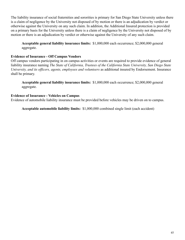The liability insurance of social fraternities and sororities is primary for San Diego State University unless there is a claim of negligence by the University not disposed of by motion or there is an adjudication by verdict or otherwise against the University on any such claim. In addition, the Additional Insured protection is provided on a primary basis for the University unless there is a claim of negligence by the University not disposed of by motion or there is an adjudication by verdict or otherwise against the University of any such claim.

**Acceptable general liability insurance limits:** \$1,000,000 each occurrence; \$2,000,000 general aggregate.

### **Evidence of Insurance - Off Campus Vendors**

Off campus vendors participating in on campus activities or events are required to provide evidence of general liability insurance naming *The State of California, Trustees of the California State University, San Diego State University, and its officers, agents, employees and volunteers* as additional insured by Endorsement. Insurance shall be primary.

**Acceptable general liability insurance limits:** \$1,000,000 each occurrence; \$2,000,000 general aggregate.

#### **Evidence of Insurance - Vehicles on Campus**

Evidence of automobile liability insurance must be provided before vehicles may be driven on to campus.

**Acceptable automobile liability limits:** \$1,000,000 combined single limit (each accident)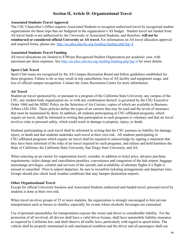## **Section II, Article D: Organizational Travel**

### **Associated Students Travel Approval**

The CSU Chancellor's Office requires Associated Students to recognize authorized travel by recognized student organizations for those trips that are budgeted in the organization's AS budget. Student travel not funded from AS travel funds is not authorized by the University or Associated Students, and therefore, **will not be reimbursed or considered official University or AS travel** . For information on AS travel allocation approval and required forms, please see: <http://as.sdsu.edu/stu-org-funding/funding.php?pg=4>

### **Associated Students Travel Funding**

AS travel allocations are limited to \$700 per Recognized Student Organization per academic year, with maximum per diem expenses. See<http://as.sdsu.edu/stu-org-funding/funding.php?pg=4> for more details.

### **Sport Club Travel**

Sport Club teams are recognized by the AS Campus Recreation Board and follow guidelines established for these programs. Failure to do so may result in trip cancellation, loss of AS facility and equipment usage, and loss of official campus recognition. Contact the Aztec Recreation Center for more information..

### **Air Travel**

Student air travel sponsored by, or pursuant to a program of the California State University, any campus of the CSU, any student body organization on, or with any combination thereof, is governed by the CSU Executive Order 1068 and the SDSU Policy on the Selection of Air Carriers, copies of which are available in Business Affairs (AD-320). These policies define the types of air carriers that may be used and the levels of insurance that must be maintained by them. In addition, all students participating in CSU-affiliated programs, which require air travel, shall be informed in writing that participation in such programs is voluntary and that air travel involves risks to personal safety, which could result in damage to property, injury, or death.

Students participating in such travel shall be informed in writing that the CSU assumes no liability for damage, injury, or death and that students undertake such travel at their own risk. All students participating in CSU-affiliated programs which require air travel shall be required to acknowledge by signing a statement that they have been informed of the risks of air travel required by such programs, and release and hold harmless the State of California, the California State University, San Diego State University, and AS.

When selecting an air carrier for organization travel, consider, in addition to ticket price, advance purchase requirements, ticket change and cancellation penalties, convenience and congestion of the hub airport, baggage interchange privileges, comfort and services of the aircraft, and availability of alternate flights if a flight is missed or cancelled. Prior to airport departure, be sure to reconfirm ticketing arrangements and departure time. Groups should also check local weather conditions that may hamper destination airports.

#### **Other Organizational Travel**

Except for official University business and Associated Students authorized and funded travel, personal travel by students is done at their own risk.

When travel involves groups of 25 or more students, the organization is strongly encouraged to hire private transportation such as busses or shuttles, especially for events where alcoholic beverages are consumed.

Use of personal automobiles for transportation exposes the owner and driver to considerable liability. For the protection of all involved, all drivers shall have a valid driver license, shall have automobile liability insurance as required by California law, and shall observe all traffic laws, particularly with regard to speed limits. The vehicle shall be properly maintained in safe mechanical condition and the driver and all passengers shall use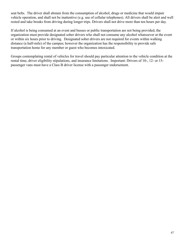seat belts. The driver shall abstain from the consumption of alcohol, drugs or medicine that would impair vehicle operation, and shall not be inattentive (e.g. use of cellular telephones). All drivers shall be alert and well rested and take breaks from driving during longer trips. Drivers shall not drive more than ten hours per day.

If alcohol is being consumed at an event and busses or public transportation are not being provided, the organization must provide designated sober drivers who shall not consume any alcohol whatsoever at the event or within six hours prior to driving. Designated sober drivers are not required for events within walking distance (a half-mile) of the campus; however the organization has the responsibility to provide safe transportation home for any member or guest who becomes intoxicated.

Groups contemplating rental of vehicles for travel should pay particular attention to the vehicle condition at the rental time, driver eligibility stipulations, and insurance limitations. Important: Drivers of 10-, 12- or 15 passenger vans must have a Class B driver license with a passenger endorsement.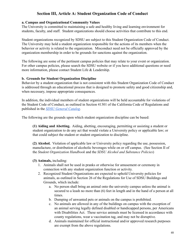## **Section III, Article A: Student Organization Code of Conduct**

#### **a. Campus and Organizational Community Values**

The University is committed to maintaining a safe and healthy living and learning environment for students, faculty, and staff. Student organizations should choose activities that contribute to this end.

Student organizations recognized by SDSU are subject to this Student Organization Code of Conduct. The University may hold a student organization responsible for the actions of its members when the behavior or activity is related to the organization. Misconduct need not be officially approved by the organization membership in order to be grounds for sanctions against the organization.

The following are some of the pertinent campus policies that may relate to your event or organization. For other campus policies, please search the SDSU website or if you have additional questions or need more information, please contact Student Life & Leadership.

#### **b. Grounds for Student Organization Discipline**

Behavior by a student organization that is not consistent with this Student Organization Code of Conduct is addressed through an educational process that is designed to promote safety and good citizenship and, when necessary, impose appropriate consequences.

In addition, the individual members of student organizations will be held accountable for violations of the Student Code of Conduct, as outlined in Section 41301 of the California Code of Regulations and published in the *[SDSU General Catalog](http://arweb.sdsu.edu/es/catalog/)* .

The following are the grounds upon which student organization discipline can be based:

**(1) Aiding and Abetting.** Aiding, abetting, encouraging, permitting or assisting a student or student organization to do any act that would violate a University policy or applicable law; or that could subject the student or student organization to discipline.

**(2) Alcohol.** Violation of applicable law or University policy regarding the use, possession, manufacture, or distribution of alcoholic beverages while on or off campus. (See Section II of the *Student Organization Handbook* and the *SDSU Alcohol and Substance Policies* )

#### **(3) Animals,** including:

- 1. Animals shall not be used in pranks or otherwise for amusement or ceremony in connection with any student organization function or activity.
- 2. Recognized Student Organizations are expected to uphold University policies for animals, as outlined in Section 26 of the Regulations for Use of SDSU Buildings and Grounds, which include:
	- a. No person shall bring an animal onto the university campus unless the animal is secured to a leash no more than (6) feet in length and in the hand of a person at all times.
	- b. Dumping of unwanted pets or animals on the campus is prohibited.
	- c. No animals are allowed in any of the buildings on campus with the exception of an animal serving legally defined disabled or handicapped persons, per Americans with Disabilities Act. These service animals must be licensed in accordance with county regulations, wear a vaccination tag, and may not be disruptive.
	- d. Animals maintained for official instructional and/or approved research purposes are exempt from the above regulations.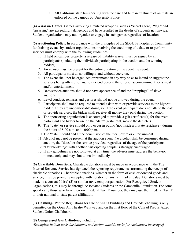e. All California state laws dealing with the care and human treatment of animals are enforced on the campus by University Police.

**(4) Assassin Games** . Games involving simulated weapons, such as "secret agent," "tag," and "assassin," are exceedingly dangerous and have resulted in the deaths of students nationwide. Student organizations may not organize or engage in such games regardless of location.

**(5) Auctioning Policy.** In accordance with the principles of the SDSU Principles of Community, fundraising events by student organizations involving the auctioning of a date or to perform services must comply with the following guidelines:

- 1. If held on campus property, a release of liability waiver must be signed by all participants (including the individuals participating in the auction and the winning bidders).
- 2. An advisor must be present for the entire duration of the event the event.
- 3. All participants must do so willingly and without coercion.
- 4. The event shall not be organized or promoted in any way so as to intend or suggest the services being offered for auction extend beyond the offer of accompaniment for a meal and/or entertainment.
- 5. Date/service auctions should not have appearance of and the "trappings" of slave auctions.
- 6. Lewd conduct, remarks and gestures should not be allowed during the event.
- 7. Participants shall not be required to attend a date with or provide services to the highest bidder if they are uncomfortable doing so. If the event participant does not attend the date or provide services, the bidder shall receive all money they paid during the auction.
- 8. The sponsoring organization is encouraged to provide a gift certificate(s) for the event participant and bidder to use on the "date" (restaurant, movie theater, etc.).
- 9. The "date" or service should only occur in public (not inside a private residence), during the hours of 8:00 a.m. and 10:00 p.m.
- 10. The "date" should end at the conclusion of the meal, event or entertainment.
- 11. Alcohol may not be present at the auction event. No alcohol shall be consumed during auction, the "date," or the service provided, regardless of the age of the participants.
- 12. "Double-dating" with another participating couple is strongly encouraged.
- 13. If any guidelines are not followed at any time, the advisor must address the behavior immediately and may shut down immediately.

**(6) Charitable Donations** . Charitable donations must be made in accordance with the The Internal Revenue Service has tightened the reporting requirements surrounding the receipt of charitable donations. Charitable donations, whether in the form of cash or donated goods and service, must be promptly receipted with notation of any fair market value. Donations must be made to a current 501(c) (3) or similar tax-exempt organization. For Recognized Student Organizations, this may be through Associated Students or the Campanile Foundation. For some, specifically those who have their own Federal Tax ID number, they may use their Federal Tax ID or their national or state parent affiliation.

**(7) Chalking.** Per the Regulations for Use of SDSU Buildings and Grounds, chalking is only permitted on the Open Air Theatre Walkway and on the first floor of the Conrad Prebys Aztec Student Union Chalkboard.

### **(8) Compressed Gas Cylinders,** including:

*(Examples: helium tanks for balloons and carbon dioxide tanks for carbonated beverages)*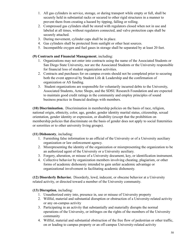- 1. All gas cylinders in service, storage, or during transport while empty or full, shall be securely held in substantial racks or secured to other rigid structures in a manner to prevent them from creating a hazard by tipping, falling or rolling.
- 2. Compressed gas cylinders shall be stored with regulators closed when not in use and labeled at all times, without regulators connected, and valve protection caps shall be securely attached.
- 3. During movement, cylinder caps shall be in place.
- 4. Gas cylinders shall be protected from sunlight or other heat sources.
- 5. Incompatible oxygen and fuel gases in storage shall be separated by at least 20 feet.

## **(9) Contracts and Financial Management** , including:

- 1. Organizations may not enter into contracts using the name of the Associated Students or San Diego State University, nor are the Associated Students or the University responsible for financial loss of student organization activities.
- 2. Contracts and purchases for on campus events should not be completed prior to securing both the event approval by Student Life & Leadership and the confirmation of organization or AS funding.
- 3. Student organizations are responsible for voluntarily incurred debts to the University, Associated Students, Aztec Shops, and the SDSU Research Foundation and are expected to maintain good credit ratings in the community and employ principles of sound business practice in financial dealings with members.

**(10) Discrimination.** Discrimination in membership policies on the basis of race, religion, national origin, ethnicity, color, age, gender, gender identity marital status, citizenship, sexual orientation, gender identity or expression, or disability (except that the prohibition on membership policies that discriminate on the basis of gender does not apply to social fraternities or sororities or to other university living groups).

## **(11) Dishonesty** , including:

- 1. Furnishing false information to an official of the University or of a University auxiliary organization or law enforcement agency.
- 2. Misrepresenting the identity of the organization or misrepresenting the organization to be an authorized agent of the University or a University auxiliary.
- 3. Forgery, alteration, or misuse of a University document, key, or identification instrument.
- 4. Collective behavior by organization members involving cheating, plagiarism, or other forms of academic dishonesty intended to gain unfair academic advantage or organizational involvement in facilitating academic dishonesty.

**(12) Disorderly Behavior.** Disorderly, lewd, indecent, or obscene behavior at a University related activity, or directed toward a member of the University community.

## **(13) Disruption**, including:

- 1. Unauthorized entry into, presence in, use or misuse of University property
- 2. Willful, material and substantial disruption or obstruction of a University-related activity or any on-campus activity
- 3. Participating in an activity that substantially and materially disrupts the normal operations of the University, or infringes on the rights of the members of the University community
- 4. Willful, material and substantial obstruction of the free flow of pedestrian or other traffic, on or leading to campus property or an off-campus University-related activity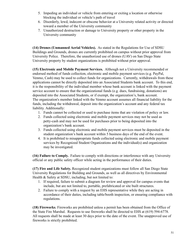- 5. Impeding an individual or vehicle from entering or exiting a location or otherwise blocking the individual or vehicle's path of travel
- 6. Disorderly, lewd, indecent or obscene behavior at a University related activity or directed toward a member of the University community
- 7. Unauthorized destruction or damage to University property or other property in the University community

**(14) Drones (Unmanned Aerial Vehicles).** As stated in the Regulations for Use of SDSU Buildings and Grounds, drones are currently prohibited on campus without prior approval from University Police. Therefore, the unauthorized use of drones (UAV) on San Diego State University property by student organizations is prohibited without prior approval.

**(15) Electronic and Mobile Payment Services.** Although not a University recommended or endorsed method of funds collection, electronic and mobile payment services (e.g. PayPal, Venmo, Cash) may be used to collect funds for organizations. Currently, withdrawals from these applications cannot be directly deposited into an Associated Students bank account. To this end, it is the responsibility of the individual member whose bank account is linked with the payment service account to ensure that the organizational funds (e.g. dues, fundraising, donations) are deposited into the Associated Students, or if exempt, the organization's, bank account. The organization's member linked with the Venmo account assumes all financial liability for the funds, including the withdrawal, deposit into the organization's account and any federal tax liability. Additionally:

- 1. Funds cannot be collected or used to purchase items that are violation of policy or law.
- 2. Funds collected using electronic and mobile payment services may not be used as petty-cash and may not be used for purchases prior to being deposited into the organization's bank account.
- 3. Funds collected using electronic and mobile payment services must be deposited in the student organization's bank account within 5 business days of the end of the event.
- 4. It is prohibited to misappropriate funds collected using electronic and mobile payment services by Recognized Student Organizations and the individual(s) and organization may be investigated.

**(16) Failure to Comply.** Failure to comply with directions or interference with any University official or any public safety officer while acting in the performance of their duties.

**(17) Fire and Life Safety.** Recognized student organizations must follow all San Diego State University Regulations for Building and Grounds, as well as all directives by Environmental Health & Safety at SDSU, including, but not limited to:

- 1. If required, failure to submit a diagram for review and approval for campus events that include, but are not limited to, portable, prefabricated or site built structures.
- 2. Failure to comply with a request by an EHS representative while they are acting in accordance of their duties, including table/booth inspection, or ensuring compliance with regulations.

**(18) Fireworks** . Fireworks are prohibited unless a permit has been obtained from the Office of the State Fire Marshal. Requests to use fireworks shall be directed to EHS at (619) 594-6778. All requests shall be made at least 30 days prior to the date of the event. The unapproved use of fireworks is strictly prohibited.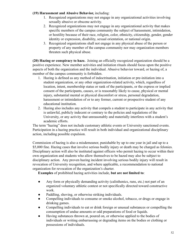### **(19) Harassment and Abusive Behavior,** including:

- 1. Recognized organizations may not engage in any organizational activities involving sexually abusive or obscene activity.
- 2. Recognized organizations may not engage in any organizational activity that makes specific members of the campus community the subject of harassment, intimidation, or hostility because of their race, religion, color, ethnicity, citizenship, gender, gender identity or expression, disability, sexual orientation, or national origin.
- 3. Recognized organizations shall not engage in any physical abuse of the person or property of any member of the campus community nor may organization members threaten such physical abuse.

**(20) Hazing or conspiracy to haze.** Joining an officially recognized organization should be a positive experience. New member activities and initiation rituals should focus upon the positive aspects of both the organization and the individual. Abusive behavior toward, or hazing of, a member of the campus community is forbidden.

- 1. Hazing is defined as any method of indoctrination, initiation or pre-initiation into a student organization, or any other organization-related activity, which, regardless of location, intent, membership status or rank of the participants, or the express or implied consent of the participants, causes, or is reasonably likely to cause, physical or mental injury, substantial mental or physical discomfort or stress, personal degradation, harassment or intimidation of or to any former, current or prospective student of any educational institution.
- 2. Hazing also includes any activity that compels a student to participate in any activity that is unlawful, publicly indecent or contrary to the policies and regulations of the University, or any activity that unreasonably and materially interferes with a student's academic efforts.

The term "hazing" does not include customary athletic events or University sanctioned events. Participation in a hazing practice will result in both individual and organizational disciplinary action, including possible expulsion.

Commission of hazing is also a misdemeanor, punishable by up to one year in jail and up to a \$5,000 fine. Hazing cases that involve serious bodily injury or death may be charged as felonies. Disciplinary action will also be instituted against officers who permit hazing to occur within their own organization and students who allow themselves to be hazed may also be subject to disciplinary action. Any proven hazing incident involving serious bodily injury will result in revocation of University recognition, and where applicable, a recommendation to national organization for revocation of the organization's charter.

**Examples** of prohibited hazing activities include, **but are not limited to** :

- Any form or physically demanding activity (calisthenics, runs, etc.) not part of an organized voluntary athletic contest or not specifically directed toward constructive work.
- Paddling, shoving, or otherwise striking individuals.
- Compelling individuals to consume or smoke alcohol, tobacco, or drugs or engage in drinking games.
- Compelling individuals to eat or drink foreign or unusual substances or compelling the consumption of undue amounts or odd preparations of food or liquids.
- Having substances thrown at, poured on, or otherwise applied to the bodies of individuals or writing embarrassing or degrading items on the bodies or clothing or possessions of individuals.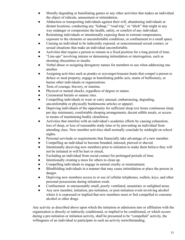- Morally degrading or humiliating games or any other activities that makes an individual the object of ridicule, amusement or intimidation.
- Abduction or transporting individuals against their will, abandoning individuals at distant locations, conducting any "kidnap," "road trip," or "ditch" that might in any way endanger or compromise the health, safety, or comfort of any individual.
- Restraining individuals or intentionally exposing them to extreme temperatures, exposure to the elements or uncomfortable conditions, or confinement to a small space.
- Causing an individual to be indecently exposed, or nonconsensual sexual contact, or sexual situations that make an individual uncomfortable.
- Activities that require a person to remain in a fixed position for a long period of time.
- "Line-ups" involving intense or demeaning intimidation or interrogation, such as shouting obscenities or insults.
- Verbal abuse or assigning derogatory names for members to use when addressing one another.
- Assigning activities such as pranks or scavenger/treasure hunts that compel a person to deface or steal property, engage in humiliating public acts, stunts of buffoonery, or harass other individuals or organizations.
- Tests of courage, bravery, or stamina.
- Physical or mental shocks, regardless of degree or nature.
- Ceremonial burials or satanic rites.
- Compelling individuals to wear or carry unusual, embarrassing, degrading, uncomfortable or physically burdensome articles or apparel.
- Depriving individuals of the opportunity for sufficient sleep (six hours continuous sleep per day minimum), comfortable sleeping arrangements, decent edible meals, or access to means of maintaining bodily cleanliness.
- Activities that interfere with an individual's academic efforts by causing exhaustion, loss of sleep, or loss of reasonable study time or by preventing an individual from attending class. New member activities shall normally conclude by midnight on school nights.
- Personal servitude or requirements that financially take advantage of a new member.
- Compelling an individual to become branded, tattooed, pierced or shaved.
- Intentionally deceiving new members prior to initiation to make them believe they will not be initiated or will be hurt or struck.
- Excluding an individual from social contact for prolonged periods of time.
- Intentionally creating a mess for others to clean up.
- Compelling individuals to engage in animal cruelty or mistreatment.
- Blindfolding individuals in a manner that may cause intimidation or place the person in danger.
- Depriving new members access to or use of cellular telephones, wallets, keys, and other personal possessions during initiation week.
- Confinement to unreasonably small, poorly ventilated, unsanitary or unlighted areas.
- Any new member, initiation, pre-initiation, or post-initiation event involving alcohol where it is expressed or implied that new members must or feel compelled to consume alcohol or other drugs.

Any activity as described above upon which the initiation or admission into or affiliation with the organization is directly or indirectly conditioned, or implied to be conditioned, or which occurs during a pre-initiation or initiation activity, shall be presumed to be "compelled" activity, the willingness of an individual to participate in such an activity notwithstanding.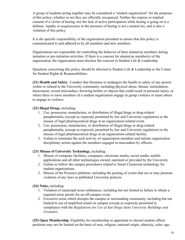A group of students acting together may be considered a "student organization" for the purposes of this policy, whether or not they are officially recognized. Neither the express or implied consent of a victim of hazing, nor the lack of active participation while hazing is going on is a defense. Apathy or acquiescence in the presence of hazing is not a neutral act, and is also a violation of this policy.

It is the specific responsibility of the organization president to ensure that this policy is communicated to and adhered to by all members and new members.

Organizations are responsible for controlling the behavior of their alumni/ae members during initiation or pre-initiation activities. If there is a concern for alumni/ae member(s) of the organization, the organization must disclose the concern to Student Life & Leadership.

Questions concerning this policy should be directed to Student Life & Leadership or the Center for Student Rights & Responsibilities.

**(21) Health and Safety.** Conduct that threatens or endangers the health or safety of any person within or related to the University community, including physical abuse, threats, intimidation, harassment, sexual misconduct, throwing bottles or objects that could result in personal injury, or where three or more members of a student organization engage in group violence or taunt others to engage in violence.

### **(22) Illegal Drugs,** including:

- 1. Use, possession, manufacture, or distribution of illegal drugs or drug-related paraphernalia, (except as expressly permitted by law and University regulation) or the misuse of legal pharmaceutical drugs at an organization-related event.
- 2. Use, possession, manufacture, or distribution of illegal drugs or drug-related paraphernalia, (except as expressly permitted by law and University regulation) or the misuse of legal pharmaceutical drugs at an organization-related facility.
- 3. Failure to terminate the such activity of organization members and initiate organization disciplinary action against the members engaged in misconduct by officers.

#### **(23) Misuse of University Technology,** including:

- 1. Misuse of computer facilities, computers, electronic media, social media, mobile applications and all other technologies owned, operated or provided by the University.
- 2. Failure to follow the campus procedures related to Smart Classroom technology for student organizations.
- 3. Misuse of the Presence platform, including the posting of events that are or may promote violation of any laws or published University policies.

**(24) Noise,** including:

- 1. Violation of municipal noise ordinances, including but not limited to failure to obtain a required noise permit for an off-campus event.
- 2. Excessive noise which disrupts the campus or surrounding community, including but not limited to use of amplified sound on campus (except as expressly permitted in compliance with the *Regulations for Use of San Diego State University Buildings and Grounds* ).

**(25) Open Membership.** Eligibility for membership or appointed or elected student officer positions may not be limited on the basis of race, religion, national origin, ethnicity, color, age,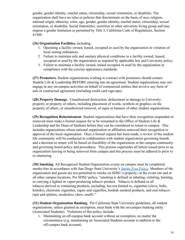gender, gender identity, marital status, citizenship, sexual orientation, or disability. The organization shall have no rules or policies that discriminate on the basis of race, religion, national origin, ethnicity, color, age, gender, gender identity, marital status, citizenship, sexual orientation, or disability. Social fraternities, sororities or other university living group and may impose a gender limitation as permitted by Title 5, California Code of Regulations, Section 41500.

### **(26) Organization Facilities,** including:

- 1. Operating a facility owned, leased, occupied or used by the organization in violation of local zoning ordinances.
- 2. Failure to maintain safe and sanitary physical conditions in a facility owned, leased, occupied or used by the organization as required by applicable law and University policy.
- 3. Failure to maintain a facility owned, leased occupied or used by the organization in compliance with the exterior appearance standards.

**(27) Promoters.** Student organizations wishing to contract with promoters should contact Student Life & Leadership BEFORE entering into an agreement. Student organizations may not engage in any on-campus activities on behalf of commercial entities that involve any form of sale or contractual agreement (including credit card sign-ups).

**(28) Property Damage.** Unauthorized destruction, defacement or damage to University property or property of others, including placement of words, symbols or graphics on the property of others, or unauthorized removal, of signs or banners of other student organizations.

**(29) Recognition Reinstatement**. Student organizations that have their recognition suspended or removed must make a formal request for to be reinstated to the Office of Student Life  $\&$ Leadership and the Dean of Students before they can be considered to return to campus. This includes organizations whose national organization or affiliation removed their recognition or approval of the local organization. Once a formal request has been made, a review of the student life community will be conducted in collaboration with student organization governing boards and a decision to return will be based on feasibility of the organization in the campus community and governing board policy and procedures. This process supersedes all letters issued prior to an organization leaving or being removed from campus and this process must be adhered to prior to re-chartering

**(30) Smoking** . All Recognized Student Organization events on campus must be completely smoke-free in accordance with San Diego State University's *[Smoke Free Policy](http://newscenter.sdsu.edu/smoke_free/policy.aspx?)* . Members of the organization and guests are not permitted to smoke on SDSU's property--at the event site and at all other campus locations. Per SDSU policy, "smoking is defined as inhaling, exhaling, burning, or carrying a lighted or vapor-producing tobacco product. Tobacco is defined as all tobacco-derived or containing products, including, but not limited to, cigarettes (clove, bidis, kreteks), electronic cigarettes, cigars and cigarillos, hookah smoked products, and oral tobacco (spit and spitless, smokeless, chew, snuff)."

**(31) Student Organization Banking.** Per California State University guidelines, all student organizations, unless granted an exemption, must bank with the on-campus banking entity (Associated Students). Violations of this policy include:

1. Maintaining an off-campus bank account without an exemption, no matter the circumstance (e.g. maintaining an Associated Students account in addition to the off-campus bank account).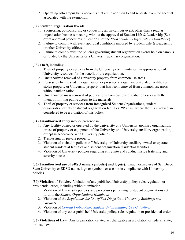2. Operating off-campus bank accounts that are in addition to and separate from the account associated with the exemption.

### **(32) Student Organization Events**

- 1. Sponsoring, co-sponsoring or conducting an on-campus event, other than a regular organization business meeting, without the approval of Student Life & Leadership (See event approval procedures in Section II of the *SDSU Student Organizations Handbook* )
- 2. Failure to comply with event approval conditions imposed by Student Life & Leadership or other University offices.
- 3. Failure to comply with the policies governing student organization events held on campus or funded by the University or a University auxiliary organization.

### **(33) Theft,** including:

- 1. Theft of property or services from the University community, or misappropriation of University resources for the benefit of the organization.
- 2. Unauthorized removal of University property from common use areas.
- 3. Possession by the student organization or presence at organization-related facilities of stolen property or University property that has been removed from common use areas without authorization.
- 4. Unauthorized mass removal of publications from campus distribution racks with the intent of limiting public access to the materials.
- 5. Theft of property or services from Recognized Student Organizations, student organization events or student organization facilities. "Pranks" where theft is involved are considered to be a violation of this policy.

**(34) Unauthorized entry** into, or presence in:

- 1. Any facility owned or operated by the University or a University auxiliary organization, or use of property or equipment of the University or a University auxiliary organization, except in accordance with University policies.
- 2. Trespassing on private property.
- 3. Violation of visitation policies of University or University auxiliary owned or operated student residential facilities and student organization residential facilities.
- 4. Violation of University policies regarding entry into and conduct inside fraternity and sorority houses.

**(35) Unauthorized use of SDSU name, symbol(s) and logo(s)** . Unauthorized use of San Diego State University or SDSU name, logo or symbols or use not in compliance with University policies.

**(36) Violation of Policies.** Violation of any published University policy, rule, regulation or presidential order, including without limitation:

- 1. Violation of University policies and procedures pertaining to student organizations set forth in the *Student Organizations Handbook*
- 2. Violation of the *Regulations for Use of San Diego State University Buildings and Grounds*
- 3. Violation of *[Conrad Prebys Aztec Student Union Building Use Guidelines](https://as.sdsu.edu/useruploads/files/forms/meeting-services/aztecstudentunion_uildingguidelines.pdf)*
- 4. Violation of any other published University policy, rule, regulation or presidential order.

**(37) Violations of Law.** Any organization-related act chargeable as a violation of federal, state, or local law.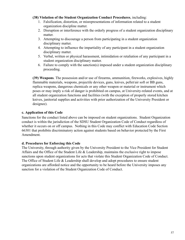#### **(38) Violation of the Student Organization Conduct Procedures** , including:

- 1. Falsification, distortion, or misrepresentations of information related to a student organization discipline matter.
- 2. Disruption or interference with the orderly progress of a student organization disciplinary matter.
- 3. Attempting to discourage a person from participating in a student organization disciplinary matter.
- 4. Attempting to influence the impartiality of any participant in a student organization disciplinary matter.
- 5. Verbal, written or physical harassment, intimidation or retaliation of any participant in a student organization disciplinary matter.
- 6. Failure to comply with the sanction(s) imposed under a student organization disciplinary proceeding.

**(39) Weapons** . The possession and/or use of firearms, ammunition, fireworks, explosives, highly flammable materials, weapons, projectile devices, guns, knives, pellet/air soft or BB guns, replica weapons, dangerous chemicals or any other weapon or material or instrument which poses or may imply a risk of danger is prohibited on campus, at University-related events, and at all student organization functions and facilities (with the exception of properly stored kitchen knives, janitorial supplies and activities with prior authorization of the University President or designee).

### **c. Application of this Code**

Sanctions for the conduct listed above can be imposed on student organizations. Student Organization conduct is within the jurisdiction of the SDSU Student Organization Code of Conduct regardless of whether it occurs on or off campus. Nothing in this Code may conflict with Education Code Section 66301 that prohibits discriminatory action against students based on behavior protected by the First Amendment.

#### **d. Procedures for Enforcing this Code**

The University, through authority given by the University President to the Vice President for Student Affairs and the Office of the Student Life & Leadership, maintains the exclusive right to impose sanctions upon student organizations for acts that violate this Student Organization Code of Conduct. The Office of Student Life & Leadership shall develop and adopt procedures to ensure student organizations are afforded notice and the opportunity to be heard before the University imposes any sanction for a violation of the Student Organization Code of Conduct.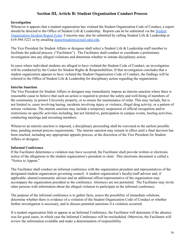## **Section III, Article B: Student Organization Conduct Process**

#### **Investigation**

Whenever it appears that a student organization has violated the Student Organization Code of Conduct, a report should be directed to the Office of Student Life & Leadership. Reports can be be submitted via the [Student](https://cm.maxient.com/reportingform.php?SanDiegoStateUniv&layout_id=5) Organization Incident Report Form. Concerns may also be submitted by calling Student Life & Leadership at 619-594-5221 or by emailing  $d$ eanofstudents@mail.sdsu.edu.

The Vice President for Student Affairs or designee shall select a Student Life & Leadership staff member to facilitate the judicial process. ("Facilitator"). The Facilitator shall conduct or coordinate a preliminary investigation into any alleged violations and determine whether to initiate disciplinary action.

In cases where individual students are alleged to have violated the Student Code of Conduct, an investigation will be conducted by the Center for Student Rights & Responsibilities. If that investigation concludes that a student organization appears to have violated the Student Organization Code of Conduct, the findings will be referred to the Office of Student Life & Leadership for disciplinary action regarding the organization.

#### **Interim Sanction**

The Vice President for Student Affairs or designee may immediately impose an interim sanction where there is reasonable cause to believe that such an action is required to protect the safety and well-being of members of the community, to protect University property, or to ensure the maintenance of order. This may include, but is not limited to, cases involving hazing, incidents involving injury or violence, illegal drug activity, or a pattern of serious violations. The interim sanction may include a temporary suspension of official recognition and/or restrictions on specific activities including, but not limited to, participation in campus events, hosting activities, conducting meetings and recruiting members.

Whenever an interim sanction is imposed, a disciplinary proceeding shall be convened at the earliest possible time, pending normal process requirements. The interim sanction may remain in effect until a final decision has been reached, including any appropriate appeals process, at the discretion of the Vice President for Student Affairs or designee.

#### **Informal Conference**

If the Facilitator determines a violation may have occurred, the Facilitator shall provide written or electronic notice of the allegations to the student organization's president or chair. This electronic document is called a "Notice to Appear."

The Facilitator shall conduct an informal conference with the organization president and representatives of the designated student organization governing council. A student organization's faculty/staff advisor and, if applicable, alumni/community advisor and an additional officer/representative of the organization may accompany the organization president to the conference. Attorneys are not permitted. The Facilitator may invite other persons with information about the alleged violation to participate in the informal conference.

The purpose of the informal conference is to gather facts, assess the possibility of immediate solutions, determine whether there is evidence of a violation of the Student Organization Code of Conduct or whether further investigation is necessary, and to discuss potential sanctions if a violation occurred.

If a student organization fails to appear at an Informal Conference, the Facilitator will determine if the absence was for good cause, in which case the Informal Conference will be rescheduled. Otherwise, the Facilitator will review the information available and make a determination of responsibility.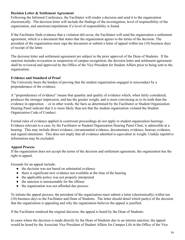### **Decision Letter & Settlement Agreement**

Following the Informal Conference, the Facilitator will render a decision and send it to the organization electronically. The decision letter will include the findings of the investigation, level of responsibility of the organization, and sanctions/stipulations if a level of responsibility is found.

If the Facilitator finds evidence that a violation did occur, the Facilitator will send the organization a settlement agreement, which is a document that states that the organization agrees to the terms of the decision. The president of the organization must sign the document or submit a letter of appeal within ten (10) business days of receipt of the letter.

The decision letter and settlement agreement are subject to the prior approval of the Dean of Students. If the sanction includes revocation or suspension of campus recognition, the decision letter and settlement agreement shall be reviewed and approved by the Office of the Vice President for Student Affairs prior to being sent to the organization.

### **Evidence and Standard of Proof**

The University bears the burden of proving that the student organization engaged in misconduct by a preponderance of the evidence.

A "preponderance of evidence" means that quantity and quality of evidence which, when fairly considered, produces the stronger impression, and has the greater weight, and is more convincing as to its truth than the evidence in opposition – or in other words, the facts as determined by the Facilitator or Student Organization Hearing Panel indicate that it is more likely than not that the student organization violated the Student Organization Code of Conduct.

Formal rules of evidence applied in courtroom proceedings do not apply to student organization hearings. Evidence relevant to a case, by the Facilitator or Student Organization Hearing Panel Chair, is admissible at a hearing. This may include direct evidence, circumstantial evidence, documentary evidence, hearsay evidence, and signed statements. This does not imply that all evidence admitted is equivalent in weight. Unduly repetitive information may be excluded.

### **Appeal Process**

If the organization does not accept the terms of the decision and settlement agreement, the organization has the right to appeal.

Grounds for an appeal include:

- the decision was not based on substantial evidence
- there is significant new evidence not available at the time of the hearing
- the applicable policy was not properly interpreted
- the sanction is unreasonable for the offense
- the organization was not afforded due process

To initiate the appeal process, the president of the organization must submit a letter (electronically) within ten (10) business days to the Facilitator and Dean of Students. The letter should detail which part(s) of the decision that the organization is appealing and why the organization believes the appeal is justified.

If the Facilitator rendered the original decision, the appeal is heard by the Dean of Students.

In cases where the decision is made directly by the Dean of Students due to an interim sanction, the appeal would be heard by the Associate Vice President of Student Affairs for Campus Life in the Office of the Vice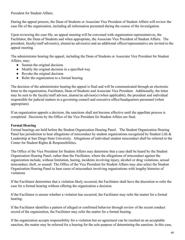President for Student Affairs.

During the appeal process, the Dean of Students or Associate Vice President of Student Affairs will review the case file of the organization, including all information presented during the course of the investigation.

Upon reviewing the case file, an appeal meeting will be convened with organization representatives, the Facilitator, the Dean of Students and when appropriate, the Associate Vice President of Student Affairs. The president, faculty/staff advisor(s), alumni/ae advisor(s) and an additional officer/representative are invited to the appeal meeting.

The administrator hearing the appeal, including the Dean of Students or Associate Vice President for Student Affairs, may:

- Sustain the original decision
- Modify the original decision in a specified way
- Revoke the original decision
- Refer the organization to a formal hearing

The decision of the administrator hearing the appeal is final and will be communicated through an electronic letter to the organization, Facilitator, Dean of Students and Associate Vice President. Additionally, the letter may be sent to the faculty/staff advisor, alumni/ae advisor(s) (when applicable), the president and individual responsible for judicial matters in a governing council and executive office/headquarters personnel (when appropriate).

If an organization appeals a decision, the sanctions shall not become effective until the appellate process is completed. Decisions by the Office of the Vice President for Student Affairs are final.

#### **Formal Hearing**

Formal hearings are held before the Student Organization Hearing Panel. The Student Organization Hearing Panel has jurisdiction to hear allegations of misconduct by student organizations recognized by Student Life & Leadership at San Diego State University. Allegations of individual student misconduct shall be referred to the Center for Student Rights & Responsibilities.

The Office of the Vice President for Student Affairs may determine that a case shall be heard by the Student Organization Hearing Panel, rather than the Facilitator, where the allegations of misconduct against the organization include, without limitation, hazing, incidents involving injury, alcohol or drug violations, sexual misconduct, theft, or assault. The Office of the Vice President for Student Affairs may also select the Student Organization Hearing Panel to hear cases of misconduct involving organizations with lengthy histories of violations

If the Facilitator determines that a violation likely occurred, the Facilitator shall have the discretion to refer the case for a formal hearing without offering the organization a decision.

If the Facilitator is unsure whether a violation has occurred, the Facilitator may refer the matter for a formal hearing.

If the Facilitator identifies a pattern of alleged or confirmed behavior through review of the recent conduct record of the organization, the Facilitator may refer the matter for a formal hearing.

If the organization accepts responsibility for a violation but no agreement can be reached on an acceptable sanction, the matter may be referred for a hearing for the sole purpose of determining the sanction. In this case,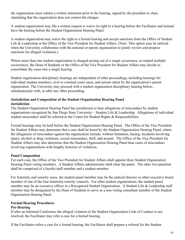the organization must submit a written statement prior to the hearing, signed by the president or chair, stipulating that the organization does not contest the charges.

A student organization may file a written request to waive its right to a hearing before the Facilitator and instead have the hearing before the Student Organization Hearing Panel.

A student organization may waive the right to a formal hearing and accept sanctions from the Office of Student Life & Leadership or the Office of the Vice President for Student Affairs. (Note: This option may be utilized when the University collaborates with the national or parent organization to jointly review and propose sanctions for alleged violations.)

Where more than one student organization is charged arising out of a single occurrence, or related multiple occurrences, the Dean of Students or the Office of the Vice President for Student Affairs may decide to consolidate the cases into a single hearing.

Student organization disciplinary hearings are independent of other proceedings, including hearings for individual student members, civil or criminal court cases, and actions taken by the organization's parent organization. The University may proceed with a student organization disciplinary hearing before, simultaneously with, or after any other proceeding.

### **Jurisdiction and Composition of the Student Organization Hearing Panel Jurisdiction**

The Student Organization Hearing Panel has jurisdiction to hear allegations of misconduct by student organizations recognized by San Diego State University – Student Life & Leadership. Allegations of individual student misconduct shall be referred to the Center for Student Rights & Responsibilities.

Formal hearings may be held before the Student Organization Hearing Panel. The Office of the Vice President for Student Affairs may determine that a case shall be heard by the Student Organization Hearing Panel, where the allegations of misconduct against the organization include, without limitation, hazing, incidents involving injury, alcohol or drug violations, sexual misconduct, theft, and assault. The Office of the Vice President for Student Affairs may also determine that the Student Organization Hearing Panel hear cases of misconduct involving organizations with lengthy histories of violations.

### **Panel Composition**

For each case, the Office of the Vice President for Student Affairs shall appoint three Student Organization Hearing Panel voting members. A Student Affairs administrator shall chair the panel. The other two panelists shall be comprised of a faculty/staff member and a student member.

For fraternity and sorority cases, the student panel member may be the judicial director or other executive board member of one of the four fraternity/sorority councils. For other student organizations, the student panel member may be an executive officer in a Recognized Student Organization. A Student Life & Leadership staff member may be designated by the Dean of Students to serve as a non-voting consultant member of the Student Organization Hearing Panel.

# **Formal Hearing Procedures**

### **Pre-Hearing**

If after an Informal Conference the alleged violation of the Student Organization Code of Conduct is not resolved, the Facilitator may refer a case for a formal hearing.

If the Facilitator refers a case for a formal hearing, the Facilitator shall prepare a referral for the Student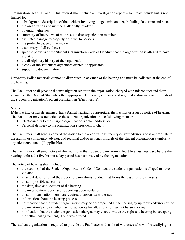Organization Hearing Panel. This referral shall include an investigation report which may include but is not limited to:

- a background description of the incident involving alleged misconduct, including date, time and place
- the organization and members allegedly involved
- potential witnesses
- summary of interviews of witnesses and/or organization members
- estimated damage to property or injury to persons
- the probable cause of the incident
- a summary of all evidence
- specific portions of the Student Organization Code of Conduct that the organization is alleged to have violated
- the disciplinary history of the organization
- a copy of the settlement agreement offered, if applicable
- supporting documentation

University Police materials cannot be distributed in advance of the hearing and must be collected at the end of the hearing.

The Facilitator shall provide the investigation report to the organization charged with misconduct and their advisor(s), the Dean of Students, other appropriate University officials, and regional and/or national officials of the student organization's parent organization (if applicable).

### **Notice**

If the Facilitator has determined that a formal hearing is appropriate, the Facilitator issues a notice of hearing. The Facilitator may issue notice to the student organization in the following manner:

- Electronically to the charged organization's email address, or
- Personal delivery to the organization's president or chair.

The Facilitator shall send a copy of the notice to the organization's faculty or staff advisor, and if appropriate to the alumni or community advisor, and regional and/or national officials of the student organization's umbrella organization/council (if applicable).

The Facilitator shall send notice of the hearing to the student organization at least five business days before the hearing, unless the five business day period has been waived by the organization.

The notice of hearing shall include:

- the section(s) of the Student Organization Code of Conduct the student organization is alleged to have violated
- a factual description of the student organizations conduct that forms the basis for the charge(s)
- a list of possible sanctions
- the date, time and location of the hearing
- the investigation report and supporting documentation
- a list of organization members required to appear as witnesses
- information about the hearing process
- notification that the student organization may be accompanied at the hearing by up to two advisors of the organization's choice, who may not act on its behalf, and who may not be an attorney
- notification that the student organization charged may elect to waive the right to a hearing by accepting the settlement agreement, if one was offered

The student organization is required to provide the Facilitator with a list of witnesses who will be testifying on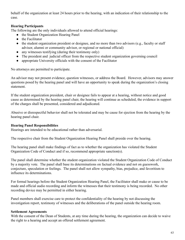behalf of the organization at least 24 hours prior to the hearing, with an indication of their relationship to the case.

### **Hearing Participants**

The following are the only individuals allowed to attend official hearings:

- the Student Organization Hearing Panel
- the Facilitator
- the student organization president or designee, and no more than two advisors (e.g., faculty or staff advisor, alumni or community advisor, or regional or national official)
- any witnesses testifying (during their testimony only)
- The president and judicial officer from the respective student organization governing council
- appropriate University officials with the consent of the Facilitator

No attorneys are permitted to participate.

An advisor may not present evidence, question witnesses, or address the Board. However, advisors may answer questions posed by the hearing panel and will have an opportunity to speak during the organization's closing statement.

If the student organization president, chair or designee fails to appear at a hearing, without notice and good cause as determined by the hearing panel chair, the hearing will continue as scheduled, the evidence in support of the charges shall be presented, considered and adjudicated.

Abusive or disrespectful behavior shall not be tolerated and may be cause for ejection from the hearing by the hearing panel chair.

### **Hearing Panel Responsibilities**

Hearings are intended to be educational rather than adversarial.

The respective chair from the Student Organization Hearing Panel shall preside over the hearing.

The hearing panel shall make findings of fact as to whether the organization has violated the Student Organization Code of Conduct and if so, recommend appropriate sanction(s).

The panel shall determine whether the student organization violated the Student Organization Code of Conduct by a majority vote. The panel shall base its determinations on factual evidence and not on guesswork, conjecture, speculation or feelings. The panel shall not allow sympathy, bias, prejudice, and favoritism to influence its determinations.

For formal hearings before the Student Organization Hearing Panel, the Facilitator shall make or cause to be made and official audio recording and inform the witnesses that their testimony is being recorded. No other recording device may be permitted in either hearing.

Panel members shall exercise care to protect the confidentiality of the hearing by not discussing the investigation report, testimony of witnesses and the deliberations of the panel outside the hearing room.

### **Settlement Agreements**

With the consent of the Dean of Students, at any time during the hearing, the organization can decide to waive the right to a hearing and accept an offered settlement agreement.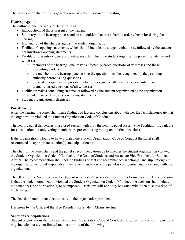The president or chair of the organization must make this waiver in writing.

## **Hearing Agenda**

The outline of the hearing shall be as follows:

- Introductions of those present at the hearing
- Summary of the hearing process and an admonition that there shall be orderly behavior during the hearing
- Explanation of the charges against the student organization
- Facilitator's opening statements, which should include the alleged violation(s), followed by the **student** organization's opening statements
- Facilitator presents evidence and witnesses after which the student organization presents evidence and witnesses
	- members of the hearing panel may ask factually-based questions of witnesses and those presenting evidence
	- the member of the hearing panel asking the question must be recognized by the presiding authority before asking questions
	- the student organization president, chair or designee shall have the opportunity to ask factually-based questions of all witnesses
- Facilitator makes concluding statements followed by the student organization's (the organization president, chair or designee) concluding statements
- Student organization is dismissed

### **Post-Hearing**

After the hearing the panel shall make findings of fact and conclusions about whether the facts demonstrate that the organization violated the Student Organization Code of Conduct.

The hearing panel deliberates in a closed session with only the hearing panel present (the Facilitator is available for consultation but only voting members are present during voting on the final decision).

If the organization is found to have violated the Student Organization Code of Conduct the panel shall recommend an appropriate sanction(s) and stipulation(s).

The chair of the panel shall send the panel's recommendations as to whether the student organization violated the Student Organization Code of Conduct to the Dean of Students and Associate Vice President for Student Affairs. The recommendation shall include findings of fact and recommended sanction(s) and stipulation(s) if the organization is found responsible. The recommendation of the panel is confidential and not shared with the organization.

The Office of the Vice President for Student Affairs shall issue a decision from a formal hearing. If the decision is that the student organization violated the Student Organization Code of Conduct, the decision shall include the sanction(s) and stipulation(s) to be imposed. Decisions will normally be issued within ten business days of the hearing.

The decision letter is sent electronically to the organization president.

Decisions by the Office of the Vice President for Student Affairs are final.

### **Sanctions & Stipulations**

Student organizations that violate the Student Organization Code of Conduct are subject to sanctions. Sanctions may include, but are not limited to, one or more of the following: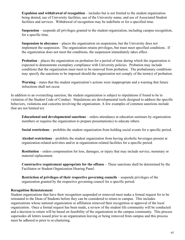**Expulsion and withdrawal of recognition** – includes but is not limited to the student organization being denied, use of University facilities, use of the University name, and use of Associated Student facilities and services. Withdrawal of recognition may be indefinite or for a specified time.

**Suspension** – suspends all privileges granted to the student organization, including campus recognition, for a specific time.

**Suspension in abeyance** – places the organization on suspension, but the University does not implement the suspension. The organization retains privileges, but must meet specified conditions. If the organization does not meet the conditions, the suspension immediately takes effect.

**Probation** – places the organization on probation for a period of time during which the organization is expected to demonstrate exemplary compliance with University policies. Probation may include conditions that the organization must meet to be removed from probation. The probationary conditions may specify the sanctions to be imposed should the organization not comply of the term(s) of probation.

**Warning** – states that the student organization's actions were inappropriate and a warning that future infractions shall not occur.

In addition to an overarching sanction, the student organization is subject to stipulations if found to be in violation of the Student Code of Conduct. Stipulations are developmental tools designed to address the specific behaviors, violations and concerns involving the organization. A few examples of common sanctions include (but are not limited to):

**Educational and developmental sanctions** – orders attendance at education seminars by organization members or requires the organization to prepare presentation(s) to educate others.

**Social restrictions** – prohibits the student organization from holding social events for a specific period.

**Alcohol restrictions** – prohibits the student organization from having alcoholic beverages present at organization-related activities and/or at organization-related facilities for a specific period.

**Restitution** – orders compensation for loss, damages, or injury that may include service, monetary or material replacement.

**Constructive requirement appropriate for the offense** – These sanctions shall be determined by the Facilitator or Student Organization Hearing Panel.

**Restriction of privileges of their respective governing councils – suspends privileges of the** organization granted by the respective governing council for a specific period.

#### **Recognition Reinstatement**

Student organizations that have their recognition suspended or removed must make a formal request for to be reinstated to the Dean of Students before they can be considered to return to campus. This includes organizations whose national organization or affiliation removed their recognition or approval of the local organization. Once a formal request has been made, a review of the student life community will be conducted and a decision to return will be based on feasibility of the organization in the campus community. This process supersedes all letters issued prior to an organization leaving or being removed from campus and this process must be adhered to prior to re-chartering.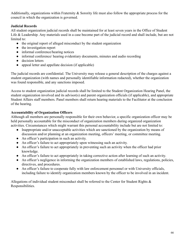Additionally, organizations within Fraternity & Sorority life must also follow the appropriate process for the council in which the organization is governed.

### **Judicial Records**

All student organization judicial records shall be maintained for at least seven years in the Office of Student Life & Leadership. Any materials used in a case become part of the judicial record and shall include, but are not limited to:

- the original report of alleged misconduct by the student organization
- the investigation report
- informal conference/hearing notices
- informal conference/ hearing evidentiary documents, minutes and audio recording
- decision letters
- appeal letter and appellate decision (if applicable)

The judicial records are confidential. The University may release a general description of the charges against a student organization (with names and personally identifiable information redacted), whether the organization was found responsible, and any sanctions imposed.

Access to student organization judicial records shall be limited to the Student Organization Hearing Panel, the student organization involved and its advisor(s) and parent organization officials (if applicable), and appropriate Student Affairs staff members. Panel members shall return hearing materials to the Facilitator at the conclusion of the hearing.

## **Accountability of Organization Officers**

Although all members are personally responsible for their own behavior, a specific organization officer may be held personally accountable for the misconduct of organization members during organized organization activities. Circumstances which might warrant this personal accountability include but are not limited to:

- Inappropriate and/or unacceptable activities which are sanctioned by the organization by means of discussion and/or planning at an organization meeting, officers' meeting, or committee meeting.
- An officer's participation in such an activity.
- An officer's failure to act appropriately upon witnessing such an activity.
- An officer's failure to act appropriately in preventing such an activity when the officer had prior knowledge.
- An officer's failure to act appropriately in taking corrective action after learning of such an activity.
- An officer's negligence in informing the organization members of established laws, regulations, policies, directives, and procedures.
- An officer's failure to cooperate fully with law enforcement personnel or with University officials, including failure to identify organization members known by the officer to be involved in an incident.

Allegations of individual student misconduct shall be referred to the Center for Student Rights & Responsibilities.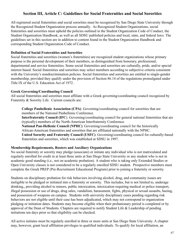## **Section III, Article C: Guidelines for Social Fraternities and Social Sororities**

All registered social fraternities and social sororities must be recognized by San Diego State University through the Recognized Student Organization process annually. As Recognized Student Organizations, social fraternities and sororities must uphold the policies outlined in the Student Organization Code of Conduct, the Student Organization Handbook, as well as all SDSU published policies and local, state, and federal laws. The guidelines set in this section are in addition to content found in the Student Organization Handbook and corresponding Student Organization Code of Conduct.

### **Definition of Social Fraternities and Sororities**

Social fraternities and sororities (women's fraternities) are recognized student organizations whose primary purpose is the personal development of their members, as distinguished from honorary, professional, departmental and service fraternities. Some social fraternities and sororities are culturally, pride, and/or special interest based. Social fraternities and sororities may select members according to subjective criteria consistent with the University's nondiscrimination policies. Social fraternities and sororities are entitled to single-gender membership, provided they qualify under the provision of Section 86.14 of the regulations promulgated under Title IX of the U.S. Education Act of 1972.

### **Greek Governing/Coordinating Council**

All social fraternities and sororities must affiliate with a Greek governing/coordinating council recognized by Fraternity & Sorority Life. Current councils are:

**College Panhellenic Association (CPA)** . Governing/coordinating council for sororities that are members of the National Panhellenic Conference.

**Interfraternity Council (IFC).** Governing/coordinating council for general national fraternities that are (typically) members of the North-American Interfraternity Conference.

**National Pan-Hellenic Council (NPHC)**. Governing/coordinating council for the historically African-American fraternities and sororities that are affiliated nationally with the NPHC. **United Sorority and Fraternity Council (USFC)** . Governing/coordinating council for culturally-based fraternities and sororities, which was established at SDSU in 1997.

#### **Membership Requirements, Rosters and Auxiliary Organizations**

No social fraternity or sorority may pledge (associate) or initiate any individual who is not matriculated and regularly enrolled for credit in at least three units at San Diego State University or any student who is not in academic good standing (i.e., not on academic probation). A student who is taking only Extended Studies or Open University classes is not considered to be a regularly enrolled SDSU student. Prospective members must complete the Greek PREP (Pre-Recruitment Educational Program) prior to joining a fraternity or sorority.

Students on disciplinary probation for risk behaviors involving alcohol, drug, and community issues are ineligible to be pledged or initiated into a fraternity or sorority. This includes, but is not limited to, underage drinking,, providing alcohol to minors, public intoxication, intoxication requiring medical or police transport, illegal possession or use of drugs, drug sales, vandalism, harassment, fights, physical or sexual assaults, hazing, and possession of weapons on campus. Students with university disciplinary cases pending regarding risk behaviors are not eligible until their case has been adjudicated, which may not correspond to organization pledging or initiation dates. Students may become eligible when their probationary period is completed or by approval of the Dean of Students. Chapters are required to notify Student Life & Leadership of pending initiations ten days prior so that eligibility can be checked.

All active initiates must be regularly enrolled in three or more units at San Diego State University. A chapter may, however, grant local affiliation privileges to qualified individuals. To qualify for local affiliation, an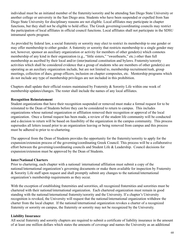individual must be an initiated member of the fraternity/sorority and be attending San Diego State University or another college or university in the San Diego area. Students who have been suspended or expelled from San Diego State University for disciplinary reasons are not eligible. Local affiliates may participate in chapter functions, but they shall not be eligible to hold office. The Greek governing/coordinating councils may restrict the participation of local affiliates in official council functions. Local affiliates shall not participate in the SDSU intramural sports program.

As provided by federal law, a social fraternity or sorority may elect to restrict its membership to one gender or may offer membership to either gender. A fraternity or sorority that restricts membership to a single gender may not, however, sponsor an auxiliary organization or activity for members of other gender(s) which connotes membership of any kind in their organization (e.g., "little sisters," "sweethearts," etc.) other than full membership as ascribed by their local and/or (inter)national constitution and bylaws. Fraternity/sorority activities which shall be considered evidence that a group of students who are members of other gender(s) are operating as an auxiliary organization include, but are not limited to, membership recruitment/rush, group meetings, collection of dues, group officers, inclusion on chapter composites, etc. Mentorship programs which do not include any type of membership privileges are not included in this prohibition.

Chapters shall update their official rosters maintained by Fraternity & Sorority Life within one week of membership updates/changes. The roster shall include the names of any local affiliates.

#### **Recognition Reinstatement**

Student organizations that have their recognition suspended or removed must make a formal request for to be reinstated to the Dean of Students before they can be considered to return to campus. This includes organizations whose national organization or affiliation removed their recognition or approval of the local organization. Once a formal request has been made, a review of the student life community will be conducted and a decision to return will be based on feasibility of the organization in the campus community. This process supersedes all letters issued prior to an organization leaving or being removed from campus and this process must be adhered to prior to re-chartering.

The approval from the Dean of Students provides the opportunity for the fraternity/sorority to apply for the expansion/extension process of the governing/coordinating Greek Council. This process will be a collaborative effort between the governing/coordinating councils and Student Life & Leadership. Council decisions for expansion/extension must be approved by the Dean of Students.

#### **Inter/National Charters**

Prior to chartering, each chapter with a national/ international affiliation must submit a copy of the national/international organization's governing documents or make them available for inspection by Fraternity & Sorority Life staff upon request and shall promptly submit any changes to the national/international organization's membership requirements as they occur.

With the exception of establishing fraternities and sororities, all recognized fraternities and sororities must be chartered with their national/international organization. Each chartered organization must remain in good standing with the national/international fraternity/sorority and the University. If a chapter's University recognition is revoked, the University will request that the national/international organization withdraw the charter from the local chapter. If the national/international organization revokes a charter of a recognized fraternity or sorority on campus, the fraternity or sorority may not be recognized by the University.

### **Liability Insurance**

All social fraternity and sorority chapters are required to submit a certificate of liability insurance in the amount of at least one million dollars which states the amounts of coverage and names the University as an additional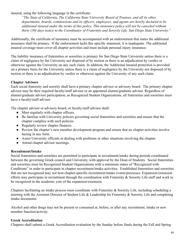insured, using the following language in the certificate:

*"The State of California, The California State University Board of Trustees, and all its other departments, boards, commissions and its officers, employees, and agents are hereby declared to be additional insured under the terms of this policy. This insurance policy will not be canceled without thirty (30) days notice to the Coordinator of Fraternity and Sorority Life, San Diego State University."*

Additionally, the certificate of insurance must be accompanied with an endorsement that states the additional insurance shall be primary. If the endorsement lacks this specific statement, it is inadequate. The additional insured coverage must cover all chapter activities and must include personal injury insurance.

The liability insurance of fraternities or sororities is primary for San Diego State University unless there is a claim of negligence by the University not disposed of by motion or there is an adjudication by verdict or otherwise against the University on any such claim. In addition, the Additional Insured protection is provided on a primary basis for the University unless there is a claim of negligence by the University not disposed of by motion or there is an adjudication by verdict or otherwise against the University of any such claim.

### **Chapter Advisors**

Each social fraternity and sorority shall have a primary chapter advisor or advisory board. The primary chapter advisor may be their required faculty/staff advisor or an appointed alumni/graduate advisor. Regardless of alumni/graduate advisor participation, as Recognized Student Organizations, all fraternities and sororities must have a faculty/staff advisor.

The chapter advisor or advisory board, or faculty/staff advisor shall:

- Meet regularly with chapter officers.
- Be familiar with University policies governing social fraternities and sororities and ensure that the chapter complies with such policies.
- Regularly review chapter finances.
- Review the chapter's new member development program and ensure that no chapter activities involve hazing in any form.
- Assist University officials in dealing with problems or other situations involving the chapter.
- Attend chapter advisor meetings.

### **Recruitment/Intake**

Social fraternities and sororities are permitted to participate in recruitment/intake during periods coordinated between the governing Greek council and University, with approval by the Dean of Students. Social fraternities and sororities must be Recognized Student Organizations with a minimum status of "Recognized with Conditions" in order to participate in chapter recruitment/intake activities. Established fraternities and sororities that are not recognized may not host chapter-specific recruitment/intake events/processes. Expansion/extension efforts may participate in recruitment through the coordination with Fraternity & Sorority Life staff and work to be recognized in the academic year of the expansion/extension.

Chapters facilitating an intake process must coordinate with Fraternity & Sorority Life, including scheduling a meeting with the Assistant Director of Student Life & Leadership for Fraternity & Sorority Life and completing intake documents.

Alcohol and other drugs may not be present or consumed at, before, or after any recruitment, intake or new member function/activity.

### **Greek Accreditation**

Chapters shall submit a Greek Accreditation evaluation by the Sunday before finals during the Fall and Spring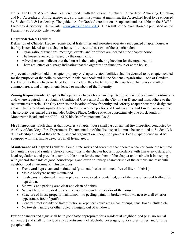terms. The Greek Accreditation is a tiered model with the following statuses: Accredited, Achieving, Excelling and Not Accredited. All fraternities and sororities must attain, at minimum, the Accredited level to be endorsed by Student Life & Leadership. The guidelines for Greek Accreditation are updated and available on the SDSU Fraternity & Sorority Life website (www.greeklife.sdsu.edu). The results of the evaluation are published on the Fraternity & Sorority Life website.

### **Chapter-Related Facilities**

**Definition of Chapter House.** Some social fraternities and sororities operate a recognized chapter house. A facility is considered to be a chapter house if it meets at least two of the criteria below:

- Organizational functions, meetings, events, and/or offices are located at the chapter house.
- The house is owned or leased by the organization.
- Advertisements indicate that the house is the main gathering location for the organization.
- There are letters or signage indicating that the organization functions in or at the house.

Any event or activity held on chapter property or chapter-related facilities shall be deemed to be chapter-related for the purposes of the policies contained in this handbook and in the Student Organization Code of Conduct. For Fraternity Row, chapter-related facilities include the chapter house, the courtyard, hallways and other common areas, and all apartments leased to members of the fraternity.

**Zoning Requirements.** Chapters that operate a chapter house are expected to adhere to local zoning ordinances and, where required, must obtain a Conditional Use Permit from the City of San Diego and must adhere to the requirements therein. The City restricts the location of new fraternity and sorority chapter houses to designated areas. The fraternity-designated area includes the western portions of Hardy Avenue and Lindo Paseo Avenue. The sorority designated area includes College Place, College Avenue approximately one block south of Montezuma Road, and the 5700 – 6100 blocks of Montezuma Road.

**Fire Inspections.** Each chapter that operates a chapter house shall pass an annual fire inspection conducted by the City of San Diego Fire Department. Documentation of the fire inspection must be submitted to Student Life & Leadership as part of the chapter's student organization recognition process. Each chapter house must be equipped with fire/smoke detectors in all living areas.

**Maintenance of Chapter Facilities.** Social fraternities and sororities that operate a chapter house are required to maintain safe and sanitary physical conditions in the chapter house in accordance with University, state, and local regulations, and provide a comfortable home for the members of the chapter and maintain it in keeping with general standards of good housekeeping and exterior upkeep characteristic of the campus and residential neighborhood environment. This includes:

- Front yard kept clean and maintained (grass cut, bushes trimmed, free of litter of debris).
- Visible backyard neatly maintained.
- Trash cans and dumpster area kept clean enclosed or contained, out of the way of general traffic, lids kept down.
- Sidewalk and parking area clear and clean of debris.
- No visible furniture or debris on the roof or around the exterior of the house.
- Structure of house properly maintained no peeling paint, no broken windows, neat overall exterior appearance, free of graffiti.
- General street vicinity of fraternity house kept neat curb area clean of cups, cans, boxes, clutter, etc.
- No towels, laundry or other objects hanging out of windows.

Exterior banners and signs shall be in good taste appropriate for a residential neighborhood (e.g., no sexual innuendos) and shall not include any advertisement of alcoholic beverages, liquor stores, drugs, and/or drug paraphernalia.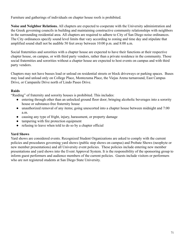Furniture and gatherings of individuals on chapter house roofs is prohibited.

**Noise and Neighbor Relations.** All chapters are expected to cooperate with the University administration and the Greek governing councils in building and maintaining constructive community relationships with neighbors in the surrounding residential area. All chapters are required to adhere to City of San Diego noise ordinances. The City ordinances specify sound level limits that vary according to zoning and time day and stipulate that amplified sound shall not be audible 50 feet away between 10:00 p.m. and 8:00 a.m.

Social fraternities and sororities with a chapter house are expected to have their functions at their respective chapter house, on campus, or with third party vendors, rather than a private residence in the community. Those social fraternities and sororities without a chapter house are expected to host events on campus and with third party vendors.

Chapters may not have busses load or unload on residential streets or block driveways or parking spaces. Buses may load and unload only on College Place, Montezuma Place, the Viejas Arena turnaround, East Campus Drive, or Campanile Drive north of Lindo Paseo Drive.

### **Raids**

"Raiding" of fraternity and sorority houses is prohibited. This includes:

- entering through other than an unlocked ground floor door; bringing alcoholic beverages into a sorority house or substance-free fraternity house
- unauthorized removal of any items; going unescorted into a chapter house between midnight and 7:00 a.m.
- causing any type of fright, injury, harassment, or property damage
- tampering with fire protection equipment
- refusing to leave when told to do so by a chapter official

### **Yard Shows**

Yard shows are considered events. Recognized Student Organizations are asked to comply with the current policies and procedures governing yard shows (public step shows on campus) and Probate Shows (neophyte or new member presentations) and all University event policies. These policies include entering new member presentations and yard shows into the Event Approval System. It is the responsibility of the sponsoring group to inform guest performers and audience members of the current policies. Guests include visitors or performers who are not registered students at San Diego State University.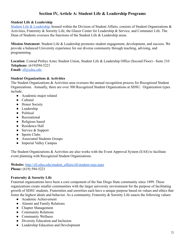# **Section IV, Article A: Student Life & Leadership Programs**

### **Student Life & Leadership**

[Student Life & Leadership](http://sll.sdsu.edu/), housed within the Division of Student Affairs, consists of Student Organizations  $\&$ Activities, Fraternity & Sorority Life, the Glazer Center for Leadership & Service, and Commuter Life. The Dean of Students oversees the functions of the Student Life & Leadership areas.

**Mission Statement**: Student Life & Leadership promotes student engagement, development, and success. We provide a balanced University experience for our diverse community through teaching, advising, and programming.

Location: Conrad Prebys Aztec Student Union, Student Life & Leadership Office (Second Floor) - Suite 210 **Telephone**: (619)594-5221 **Email:** [sll@sdsu.edu](mailto:sll@sdsu.edu)

### **Student Organizations & Activities**

The Student Organizations & Activities area oversees the annual recognition process for Recognized Student Organizations. Annually, there are over 300 Recognized Student Organizations at SDSU. Organization types include:

- Academic-major related
- Cultural
- Honor Society
- Leadership
- Political
- Recreational
- Religious based
- Residence Hall
- Service & Support
- Sports Clubs
- Associated Students Groups
- Imperial Valley Campus

The Student Organizations & Activities are also works with the Event Approval System (EAS) to facilitate event planning with Recognized Student Organizations.

**Website:** [http://sll.sdsu.edu/student\\_affairs/sll/student-orgs.aspx](http://sll.sdsu.edu/student_affairs/sll/student-orgs.aspx) **Phone:** (619) 594-5221

### **Fraternity & Sorority Life**

Fraternal organizations have been a core component of the San Diego State community since 1899. These organizations create smaller communities with the larger university environment for the purpose of facilitating growth of SDSU students. Fraternities and sororities each have a unique purpose based on values and ethics that foster the highest ideals and behavior. As a community, Fraternity & Sorority Life enacts the following values:

- Academic Achievement
- Alumni and Family Relations
- Chapter Management
- Community Relations
- Community Wellness
- Diversity Education and Inclusion
- Leadership Education and Development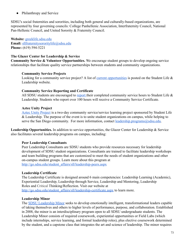● Philanthropy and Service

SDSU's social fraternities and sororities, including both general and culturally-based organizations, are represented by four governing councils: College Panhellenic Association, Interfraternity Council, National Pan-Hellenic Council, and United Sorority & Fraternity Council.

**Website:** [greeklife.sdsu.edu](http://greeklife.sdsu.edu/) **Email:** [sllfraternitysororitylife@sdsu.edu](mailto:sllfraternitysororitylife@sdsu.edu) **Phone:** (619) 594-5221

# **The Glazer Center for Leadership & Service**

**Community Service & Volunteer Opportunities.** We encourage student groups to develop ongoing service relationships that facilitate quality service partnerships between students and community organizations.

# **Community Service Projects**

Looking for a community service project? A list of [current opportunities](http://go.sdsu.edu/student_affairs/sll/leadership-service-opportunities.aspx) is posted on the Student Life  $\&$ Leadership website.

### **Community Service Reporting and Certificate**

All SDSU students are encouraged to [report](http://go.sdsu.edu/student_affairs/sll/leadership-service-forms.aspx) their completed community service hours to Student Life & Leadership. Students who report over 100 hours will receive a Community Service Certificate.

# **Aztec Unity Project**

[Aztec Unity Project](http://go.sdsu.edu/student_affairs/sll/leadership-aztec-unity.aspx) is a two-day community service/service learning project sponsored by Student Life & Leadership. The purpose of the event is to unite student organizations on campus, while helping to serve the San Diego community. For more information, contact [leadership.programs@sdsu.edu](mailto:leadership.programs@sdsu.edu).

**Leadership Opportunities.** In addition to service opportunities, the Glazer Center for Leadership & Service also facilitates several leadership programs on campus, including:

### **Peer Leadership Consultants**

Peer Leadership Consultants are SDSU students who provide resources necessary for leadership development of SDSU student organizations. Consultants are trained to facilitate leadership workshops and team building programs that are customized to meet the needs of student organizations and other on-campus student groups. Learn more about this program at [http://go.sdsu.edu/student\\_affairs/sll/leadership-peers.aspx](http://go.sdsu.edu/student_affairs/sll/leadership-peers.aspx)

### **Leadership Certificate**

The Leadership Certificate is designed around 6 main competencies: Leadership Learning (Academic), Experiential Leadership, Leadership through Service, Leadership and Mentoring, Leadership Roles and Critical Thinking/Reflection. Visit our website at [http://go.sdsu.edu/student\\_affairs/sll/leadership-certificate.aspx](http://go.sdsu.edu/student_affairs/sll/leadership-certificate.aspx) to learn more.

# **Leadership Minor**

The **SDSU** Leadership Minor seeks to develop emotionally intelligent, transformational leaders capable of taking themselves and others to higher levels of performance, purpose, and collaboration. Established in 2008, the minor is an interdisciplinary program open to all SDSU undergraduate students. The Leadership Minor consists of required coursework, experiential opportunities or Field Labs (which include internships, service learning, and formal leadership roles), plus elective coursework determined by the student, and a capstone class that integrates the art and science of leadership. The minor requires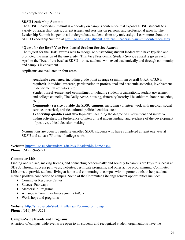the completion of 15 units.

# **SDSU Leadership Summit**

The SDSU Leadership Summit is a one-day on campus conference that exposes SDSU students to a variety of leadership topics, current issues, and sessions on personal and professional growth. The Leadership Summit is open to all undergraduate students from any university.. Learn more about the SDSU Leadership Summit at [http://go.sdsu.edu/student\\_affairs/sll/leadership-summit-conference.aspx](http://go.sdsu.edu/student_affairs/sll/leadership-summit-conference.aspx)

## **"Quest for the Best" Vice Presidential Student Service Awards**

The "Quest for the Best" awards seek to recognize outstanding student leaders who have typified and promoted the mission of the university. This Vice Presidential Student Service award is given each April to the "best of the best" at SDSU – those students who excel academically and through community and campus involvement.

Applicants are evaluated in four areas:

**Academic excellence**, including grade point average (a minimum overall G.P.A. of 3.0 is required), individual research, participation in professional and academic societies, involvement in departmental activities, etc.;

**Student involvement and commitment**, including student organizations, student government and college councils, The Daily Aztec, housing, fraternity/sorority life, athletics, honor societies, etc.;

**Community service outside the SDSU campus** , including volunteer work with medical, social service, theatrical, artistic, cultural, political entities, etc.;

Leadership qualities and development, including the degree of involvement and initiative within activities, the furtherance of intercultural understanding, and evidence of the development of positive, ethical decision-making.

Nominations are open to regularly enrolled SDSU students who have completed at least one year at SDSU and at least 75 units of college work.

**Website:** [http://sll.sdsu.edu/student\\_affairs/sll/leadership-home.aspx](http://sll.sdsu.edu/student_affairs/sll/leadership-home.aspx) **Phone:** (619) 594-5221

# **Commuter Life**

Finding one's place, making friends, and connecting academically and socially to campus are keys to success at SDSU. Through success pathways, websites, certificate programs, and other active programming, Commuter Life aims to provide students living at home and commuting to campus with important tools to help students make a positive connection to campus. Some of the Commuter Life engagement opportunities include:

- Commuter Resource Center
- Success Pathways
- Mentorship Programs
- Alliance 4 Commuter Involvement (A4CI)
- Workshops and programs

**Website:** [http://sll.sdsu.edu/student\\_affairs/sll/commuterlife.aspx](http://sll.sdsu.edu/student_affairs/sll/commuterlife.aspx) **Phone:** (619) 594-5221

### **Campus-Wide Events and Programs**

A variety of campus-wide events are open to all students and recognized student organizations have the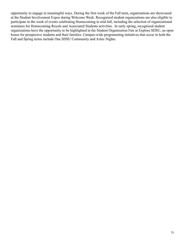opportunity to engage in meaningful ways. During the first week of the Fall term, organizations are showcased at the Student Involvement Expos during Welcome Week. Recognized student organizations are also eligible to participate in the week of events celebrating Homecoming in mid-fall, including the selection of organizational nominees for Homecoming Royals and Associated Students activities. In early spring, recognized student organizations have the opportunity to be highlighted in the Student Organization Fair at Explore SDSU, an open house for prospective students and their families. Campus-wide programming initiatives that occur in both the Fall and Spring terms include One SDSU Community and Aztec Nights.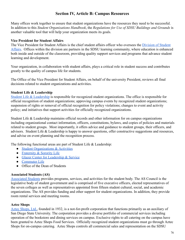# **Section IV, Article B: Campus Resources**

Many offices work together to ensure that student organizations have the resources they need to be successful. In addition to this *Student Organizations Handbook* , the *Regulations for Use of SDSU Buildings and Grounds* is another valuable tool that will help your organization meets its goals.

### **Vice President for Student Affairs**

The Vice President for Student Affairs is the chief student affairs officer who oversees the *[Division of Student](http://go.sdsu.edu/student_affairs/)* Affairs. Offices within the division are partners in the SDSU learning community, where education is enhanced both inside and outside of the classroom, providing quality support services and programs that advance student learning and development.

Your organization, in collaboration with student affairs, plays a critical role in student success and contributes greatly to the quality of campus life for students.

The Office of the Vice President for Student Affairs, on behalf of the university President, reviews all final decisions related to student organizations and activities.

# **Student Life & Leadership**

[Student Life & Leadership](http://sll.sdsu.edu/) is responsible for recognized student organizations. The office is responsible for official recognition of student organizations; approving campus events by recognized student organizations; suspension of rights or removal of official recognition for policy violations; changes to event and activity policy; and initiatives that support activities for officially recognized organizations.

Student Life & Leadership maintains official records and other information for on campus organizations including organizational contact information, officers, constitutions, bylaws, and copies of policies and materials related to student groups. Most importantly, it offers advice and guidance to student groups, their officers, and advisors. Student Life & Leadership is happy to answer questions, offer constructive suggestions and resources, and advise on event planning and the recognition process.

The following functional areas are part of Student Life & Leadership:

- [Student Organizations & Activities](http://sll.sdsu.edu/student_affairs/sll/student-orgs.aspx)
- [Fraternity & Sorority Life](http://greeklife.sdsu.edu/)
- [Glazer Center for Leadership & Service](http://sll.sdsu.edu/student_affairs/sll/leadership-home.aspx)
- [Commuter Life](http://sll.sdsu.edu/student_affairs/sll/commuterlife.aspx)
- Office of the Dean of Students

### **Associated Students (AS)**

[Associated Students](https://www.as.sdsu.edu/) provides programs, services, and activities for the student body. The AS Council is the legislative body of student government and is comprised of five executive officers, elected representatives of the seven colleges as well as representatives appointed from fifteen student cultural, social, and academic organizations. The AS provides funding and other support for student organizations. In addition, they provide room rental services and meeting rooms.

### **Aztec Shops**

Aztec Shops, Ltd., founded in 1932, is a not-for-profit corporation that functions primarily as an auxiliary of San Diego State University. The corporation provides a diverse portfolio of commercial services including operation of the bookstore and dining services on campus. Exclusive rights to all catering on the campus have been granted to Aztec Shops Food Services. Officially recognized student organizations must go through Aztec Shops for on-campus catering. Aztec Shops controls all commercial sales and representation on the SDSU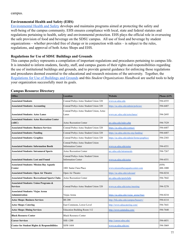#### campus.

### **Environmental Health and Safety (EHS)**

[Environmental Health and Safety](http://bfa.sdsu.edu/safety/ehs/) develops and maintains programs aimed at protecting the safety and well-being of the campus community. EHS ensures compliance with local, state and federal statutes and regulations pertaining to health, safety and environmental protection. EHS plays the official role in overseeing the safe provision of food and beverage on the SDSU campus. All use of food and beverage by student organizations – whether provided free of charge or in conjunction with sales – is subject to the rules, regulations, and approval of both Aztec Shops and EHS.

### **Regulations for Use of SDSU Buildings and Grounds**

This campus policy represents a compilation of important regulations and procedures pertaining to campus life. It is intended to inform students, faculty, staff, and campus guests of their rights and responsibilities regarding the use of institutional buildings and grounds, and to provide general guidance for enforcing those regulations and procedures deemed essential to the educational and research missions of the university. Together, the [Regulations for Use of Buildings and Grounds](http://bfa.sdsu.edu/safety/riskmanagement/campus-activities/guidelines.aspx) and this *Student Organizations Handbook* are useful tools to help your organization successfully meet its goals.

### **Campus Resource Directory**

| <b>Office</b>                                                              | <b>Location</b>                                                | <b>Website</b>                            | <b>Phone</b> (619) |
|----------------------------------------------------------------------------|----------------------------------------------------------------|-------------------------------------------|--------------------|
| <b>Associated Students</b>                                                 | Conrad Prebys Aztec Student Union 320                          | www.as.sdsu.edu                           | 594-6555           |
| <b>Associated Students: Accounting</b>                                     | Conrad Prebys Aztec Student Union 320                          | https://as.sdsu.edu/admin/policies/       | 594-6487           |
| <b>Associated Students: Aztec Lanes</b>                                    | Conrad Prebys Aztec Student Union, Aztec<br>Lanes              | www.arc.sdsu.edu/azteclanes/              | 594-2695           |
| <b>Associated Students: Aztec Recreation Center</b><br>(ARC)               | <b>Aztec Recreation Center</b>                                 | arc.sdsu.edu/index.php                    | 594-7529           |
| <b>Associated Students: Business Services</b>                              | Conrad Prebys Aztec Student Union 320                          | https://as.sdsu.edu/contact/              | 594-6487           |
| <b>Associated Students: Funding</b>                                        | Conrad Prebys Aztec Student Union 320                          | https://as.sdsu.edu/stu-org-funding/      | 594-6487           |
| <b>Associated Students: Graphics</b>                                       | Conrad Prebys Aztec Student Union 320                          | https://as.sdsu.edu/admin/forms/graphics/ | 594-2303           |
| <b>Associated Students: Information Booth</b>                              | Conrad Prebys Aztec Student Union<br><b>Information Center</b> | www.as.sdsu.edu/aztec                     | 594-6551           |
| <b>Associated Students: Intramural Sports</b>                              | <b>Aztec Recreation Center</b>                                 | arc.sdsu.edu/intramurals                  | 594-7267           |
| <b>Associated Students: Lost and Found</b>                                 | Conrad Prebys Aztec Student Union<br><b>Information Center</b> | www.as.sdsu.edu/aztec                     | 594-6551           |
| <b>Associated Students: Mission Bay Aquatic</b><br>Center                  | 1001 Santa Clara Place                                         | www.missionbayaquaticcenter.com           | (858)<br>488-1000  |
| <b>Associated Students: Open Air Theatre</b>                               | Open Air Theatre                                               | https://as.sdsu.edu/calcoast/             | 594-0234           |
| <b>Associated Students: Recreational Sports Clubs</b>                      | <b>Aztec Recreation Center</b>                                 | arc.sdsu.edu/sportclubs                   | 594-7842           |
| <b>Associated Students: Union Programs &amp;</b><br><b>Services</b>        | Conrad Prebys Aztec Student Union 320                          | www.as.sdsu.edu/aztec/meeting             | 594-5278           |
| <b>Associated Students: Viejas Arena</b><br>Administration<br>Viejas Arena |                                                                | https://as.sdsu.edu/viejas arena/#nav     | 594-0234           |
| <b>Aztec Shops: Business Services</b>                                      | <b>BS 200</b>                                                  | http://bfa.sdsu.edu/campus/busserv/       | 594-6114           |
| <b>Aztec Shops: Catering</b>                                               | East Commons, Lower Level                                      | http://www.sdsucatering.com/              | 594-7641           |
| <b>Aztec Shops: Dining Services</b>                                        | <b>Education Building Room 112</b>                             | http://www.eatatsdsu.com/                 | 594-7640           |
| <b>Black Resource Center</b>                                               | <b>Black Resource Center</b>                                   |                                           |                    |
| <b>SSE-1200</b><br><b>Career Services</b>                                  |                                                                | http://career.sdsu.edu/                   | 594-6851           |
| <b>Center for Student Rights &amp; Responsibilities</b>                    | SSW-1604                                                       | www.sa.sdsu.edu/srr/                      | 594-3069           |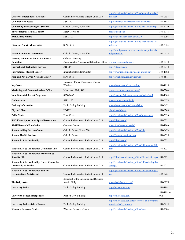|                                                                               |                                                        | http://go.sdsu.edu/student_affairs/intercultural/Def<br>ault.aspx               |                    |
|-------------------------------------------------------------------------------|--------------------------------------------------------|---------------------------------------------------------------------------------|--------------------|
| <b>Center of Intercultural Relations</b>                                      | Conrad Prebys Aztec Student Union 250                  |                                                                                 | 594-7057           |
| <b>Compact for Success</b>                                                    | SSE-2209                                               | http://compactforsuccess.sdsu.edu/compact/                                      | 594-3685           |
| <b>Counseling &amp; Psychological Services</b>                                | Calpulli Center, Room 4401                             | http://go.sdsu.edu/student_affairs/cps/Default.aspx                             | 594-5220           |
| <b>Environmental Health &amp; Safety</b>                                      | Hardy Tower 58                                         | bfa.sdsu.edu/ehs                                                                | 594-6778           |
| <b>EOP/Ethnic Affairs</b>                                                     | SSE-2109                                               | http://studentaffairs.sdsu.edu/EOP/                                             | 594-6298           |
| Financial Aid & Scholarships                                                  | SSW-3615                                               | http://go.sdsu.edu/student_affairs/financialaid/Def<br>ault.aspx                | 594-6323           |
|                                                                               |                                                        | http://healthpromotion.sdsu.edu/student_affairs/he                              |                    |
| <b>Health Promotion Department</b>                                            | Calpulli Center, Room 3201                             | althpromotion/                                                                  | 594-4133           |
| Housing Administration & Residential                                          | Office of Housing                                      |                                                                                 |                    |
| <b>Education</b>                                                              | <b>Administration/Residential Education Office</b>     | www.sa.sdsu.edu/housing                                                         | 594-5742           |
| <b>Instructional Technology Services</b>                                      | AH-1144                                                | https://its.sdsu.edu/                                                           | 594-6348           |
| <b>International Student Center</b>                                           | <b>International Student Center</b>                    | http://www.isc.sdsu.edu/student_affairs/isc/                                    | 594-1982           |
| <b>Joan and Art Barron Veterans Center</b>                                    | SSW-1661                                               | http://arweb.sdsu.edu/es/veterans/                                              | 594-5813           |
| <b>Key Issue</b>                                                              | University Police Department Outside<br>Windows        | www.dps.sdsu.edu/keyissue.htm                                                   | 594-1015           |
| <b>Marketing and Communications Office</b>                                    | Manchester Hall, 4415                                  | newscenter.sdsu.edu/marcomm/                                                    | 594-5204           |
| <b>New Student &amp; Parent Programs</b>                                      | SSW-1602                                               | http://studentaffairs.sdsu.edu/nspp/index.html                                  | 594-1509           |
| Ombudsman                                                                     | SSE-1105                                               | www.sa.sdsu.edu/ombuds                                                          | 594-6578           |
| <b>Parking Information</b>                                                    | Public Safety Building                                 | www.dps.sdsu.edu/parkinginfo.htm                                                | 594-6671           |
| <b>Physical Plant</b>                                                         | PP-107                                                 | bfa.sdsu.edu/plant                                                              | 594-6708           |
| <b>Pride Center</b>                                                           | Pride Center                                           | http://go.sdsu.edu/student_affairs/pridecenter/                                 | 594-3520           |
| RSO Event Approval & Space Reservation                                        | Conrad Prebys Aztec Student Union 210                  | http://sll.sdsu.edu/                                                            | 594-5221           |
| <b>SDSU Research Foundation</b>                                               | Gateway Center                                         | www.foundation.sdsu.edu/                                                        | 594-1900           |
| <b>Student Ability Success Center</b>                                         | Calpulli Center, Room 3101                             | http://go.sdsu.edu/student_affairs/sds/                                         | 594-6473           |
| <b>Student Health Services</b>                                                | Calpulli Center                                        | http://shs.sdsu.edu/index.asp                                                   | 594-4325           |
| Conrad Prebys Aztec Student Union 210<br><b>Student Life &amp; Leadership</b> |                                                        | http://sll.sdsu.edu/                                                            | 594-5221           |
|                                                                               |                                                        | http://go.sdsu.edu/student_affairs/sll/commuterlife.                            |                    |
| Student Life & Leadership: Commuter Life                                      | Conrad Prebys Aztec Student Union 210                  | aspx                                                                            | 594-5221           |
| Student Life & Leadership: Fraternity &<br><b>Sorority Life</b>               | Conrad Prebys Aztec Student Union 210                  | http://sll.sdsu.edu/student_affairs/sll/greeklife.aspx 594-5221                 |                    |
| Student Life & Leadership: Glazer Center for<br>Leadership & Service          | Conrad Prebys Aztec Student Union 210                  | http://go.sdsu.edu/student_affairs/sll/leadership-ho<br>me.aspx                 | 594-5221           |
| Student Life & Leadership: Student<br><b>Organizations &amp; Activities</b>   | Conrad Prebys Aztec Student Union 210                  | http://go.sdsu.edu/student_affairs/sll/student-orgs.a<br>SDX                    | 594-5221           |
| <b>The Daily Aztec</b>                                                        | Basement of the Education and Business<br>Admin. Bldg. | www.thedailyaztec.com/                                                          | 594-6975           |
| <b>University Police</b>                                                      | Public Safety Building                                 | http://police.sdsu.edu/                                                         | 594-1991           |
| <b>University Police: Emergencies</b>                                         | Public Safety Building                                 | http://police.sdsu.edu/                                                         | 594-1991 or<br>911 |
| <b>University Police: Safety Escorts</b>                                      | Public Safety Building                                 | http://police.sdsu.edu/safety-services-and-program<br>s/services/safety-escorts | 594-6659           |
| <b>Women's Resource Center</b>                                                | Women's Resource Center                                | http://go.sdsu.edu/student_affairs/wrc/                                         | 594-2304           |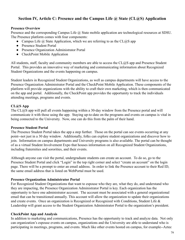# **Section IV, Article C: Presence and the Campus Life @ State (CL@S) Application**

### **Presence Overview**

Presence and the corresponding Campus Life @ State mobile application are technological resources at SDSU. The Presence platform comes with four components:

- Campus Life  $\omega$  State Application, which we are referring to as the CL $\omega$ S app
- Presence Student Portal
- Presence Organization Administrator Portal
- CheckPoint Mobile Application

All students, staff, faculty and community members are able to access the CL@S app and Presence Student Portal. This provides an innovative way of marketing and communicating information about Recognized Student Organizations and the events happening on campus.

Student leaders in Recognized Student Organizations, as well as campus departments will have access to the Presence Organization Administrator Portal and the CheckPoint Mobile Application. These components of the platform will provide organizations with the ability to craft their own marketing, which is then communicated on the app and portal. Additionally, the CheckPoint app provides the opportunity to track the individuals attending meetings, programs and events.

### **CL@S App**

The CL@S app will pull all events happening within a 30-day window from the Presence portal and will communicate it with those using the app. Staying up-to-date on the programs and events on campus is vital in being connected to the University. Now, one can do this from the palm of their hand.

### **Presence Student Portal**

The Presence Student Portal takes the app a step further. Those on the portal can see events occurring at any point--not just in a 30 day window. Additionally, folks can explore student organizations and discover how to join. Information on campus departments and University programs is also available. The portal can be thought of as a virtual Student Involvement Expo that houses information on all Recognized Student Organizations, including fraternities and sororities, and their events.

Although anyone can visit the portal, undergraduate students can create an account. To do so, go to the Presence Student Portal and click "Login" in the top right corner and select "create an account" on the login page. There will be a prompt to enter an email address. In order to link the Presence account to their Red ID, the same email address that is listed on WebPortal must be used.

### **Presence Organization Administrator Portal**

For Recognized Student Organizations that want to espouse who they are, what they do, and understand who they are impacting, the Presence Organization Administrator Portal is key. Each organization has the opportunity to have one administrator account. The account must be associated with a general organizational email that can be transitioned annually. This account will allow the organization to update their organizations and create events. Once an organization is Recognized or Recognized with Conditions, Student Life & Leadership will grant access to the Student Organization Administrator Portal to the organization's president.

### **CheckPoint App and Analysis**

In addition to marketing and communications, Presence has the opportunity to track and analyze data. Not only can organization's espouse events on campus, organizations and the University are able to understand who is participating in meetings, programs, and events. Much like other events hosted on campus, for example--Aztec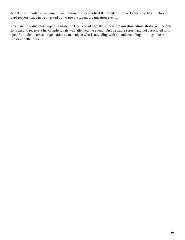Nights, this involves "swiping in" or entering a student's Red ID. Student Life & Leadership has purchased card readers that can be checked out to use at student organization events.

Once an individual has swiped in using the CheckPoint app, the student organization administrator will be able to login and receive a list of individuals who attended the event. On a separate screen and not associated with specific student names, organizations can analyze who is attending with an understanding of things like the majors of attendees.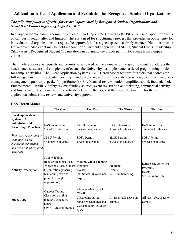# **Addendum I: Event Application and Permitting for Recognized Student Organizations**

## *The following policy is effective for events implemented by Recognized Student Organizations and Non-SDSU Entities beginning August 1, 2019.*

In a large, dynamic campus community such as San Diego State University (SDSU), the use of space for events on campus is sought after and limited. There is a need for structuring a process that provides an opportunity for individuals and organizations to request, be approved, and assigned space in a timely manner. No on-campus or University-funded event may be held without prior University approval. At SDSU, Student Life & Leadership (SLL) assists Recognized Student Organizations in obtaining the proper permits for events from campus entities.

The timeline for events requests and permits varies based on the elements of the specific event. To address the necessitated structure and complexity of events, the University has implemented a tiered programming model for campus activities. The Event Application System (EAS) Tiered Model features four tiers that address the following elements: the activity, space type, audience, size, safety and security assessment, event insurance, risk management, publicity, speaker(s), performer(s), Fire Marshal review, outdoor amplified sound, food, alcohol, Environmental Health & Safety review, funding sources, event registration and ticketing, commercial activity, and fundraising. The elements of the activity determine the tier, and therefore, the timeline for the event application submission, review, and University approval.

| <b>EAS Tiered Model</b> |  |
|-------------------------|--|
|                         |  |

|                                                                                                                                                                                                                                | <b>Tier One</b>                                                                                                                                                      | <b>Tier Two</b>                                                                                                           | <b>Tier Three</b>                                                                         | <b>Tier Four</b>                                                                           |
|--------------------------------------------------------------------------------------------------------------------------------------------------------------------------------------------------------------------------------|----------------------------------------------------------------------------------------------------------------------------------------------------------------------|---------------------------------------------------------------------------------------------------------------------------|-------------------------------------------------------------------------------------------|--------------------------------------------------------------------------------------------|
| <b>Event Application</b><br><b>System (EAS)</b><br><b>Submission and</b><br><b>Permitting* Timelines</b><br>*University permitting is<br>contingent on the<br>successful completion<br>and review of all required<br>materials | <b>EAS</b> Submission:<br>2 weeks in advance<br><b>SDSU</b> Permit:<br>48-hours in advance                                                                           | <b>EAS</b> Submission:<br>4 weeks in advance<br><b>SDSU</b> Permit:<br>1 week in advance                                  | <b>EAS</b> Submission:<br>8 weeks in advance<br><b>SDSU</b> Permit:<br>2 weeks in advance | <b>EAS</b> Submission:<br>4 months in advance<br><b>SDSU</b> Permit:<br>4 weeks in advance |
| <b>Activity Description</b>                                                                                                                                                                                                    | Simple Tabling<br>Regular Meetings Basic<br>Workshops Basic Student Programs<br>Organization gathering<br>(ex. tabling event to<br>promote a single<br>organization) | Multiple Groups Tabling<br>Events<br>(ex. Student Involvement (ex. Film Screening)<br>Expos)                              | Programs<br>Events                                                                        | Large Scale Activities<br>Programs<br>Events<br>(ex. Relay for Life)                       |
| <b>Space Type</b>                                                                                                                                                                                                              | <b>Outdoor Tabling</b><br>Classrooms during<br>regularly-scheduled<br>hours<br><b>CPASU</b> Meeting Rooms                                                            | All reservable space in<br><b>CPASU</b><br>Classrooms during<br>regularly-scheduled and<br>weekend hours Outdoor<br>space | All reservable space on<br>campus                                                         | All reservable space on<br>campus                                                          |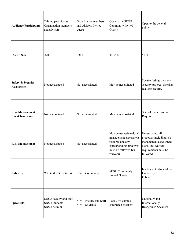| <b>Audience/Participants</b>                      | Tabling participants<br>Organization members<br>and advisors | Organization members<br>and advisors Invited<br>guests | Open to the SDSU<br>Community Invited<br>Guests                                                                                                            | Open to the general<br>public                                                                               |
|---------------------------------------------------|--------------------------------------------------------------|--------------------------------------------------------|------------------------------------------------------------------------------------------------------------------------------------------------------------|-------------------------------------------------------------------------------------------------------------|
| <b>Crowd Size</b>                                 | $200$                                                        | $<$ 300                                                | 301-500                                                                                                                                                    | $501+$                                                                                                      |
| <b>Safety &amp; Security</b><br><b>Assessment</b> | Not necessitated                                             | Not necessitated                                       | May be necessitated                                                                                                                                        | Speaker brings their own<br>security protocol Speaker<br>requests security                                  |
| <b>Risk Management:</b><br><b>Event Insurance</b> | Not necessitated                                             | Not necessitated                                       | May be necessitated                                                                                                                                        | Special Event Insurance<br>Required                                                                         |
| <b>Risk Management</b>                            | Not necessitated                                             | Not necessitated                                       | May be necessitated, risk<br>management assessment<br>required and any<br>corresponding directives plans, and waivers<br>must be followed (ex.<br>waivers) | Necessitated, all<br>processes including risk<br>management assessment,<br>requirements must be<br>followed |
| Publicity                                         | Within the Organization                                      | <b>SDSU</b> Community                                  | SDSU Community<br><b>Invited Guests</b>                                                                                                                    | Inside and Outside of the<br>University<br>Public                                                           |
| Speaker(s)                                        | SDSU Faculty and Staff<br>SDSU Students<br>SDSU Alumni       | SDSU Faculty and Staff<br>SDSU Students                | Local, off-campus<br>contracted speakers                                                                                                                   | Nationally and<br>Internationally<br>Recognized Speakers                                                    |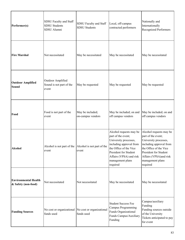| Performer(s)                                       | SDSU Faculty and Staff<br><b>SDSU Students</b><br>SDSU Alumni     | SDSU Faculty and Staff<br><b>SDSU</b> Students | Local, off-campus<br>contracted performers                                                                                                                                                                      | Nationally and<br>Internationally<br><b>Recognized Performers</b>                                                                                                                                              |
|----------------------------------------------------|-------------------------------------------------------------------|------------------------------------------------|-----------------------------------------------------------------------------------------------------------------------------------------------------------------------------------------------------------------|----------------------------------------------------------------------------------------------------------------------------------------------------------------------------------------------------------------|
| <b>Fire Marshal</b>                                | Not necessitated                                                  | May be necessitated                            | May be necessitated                                                                                                                                                                                             | May be necessitated                                                                                                                                                                                            |
| <b>Outdoor Amplified</b><br><b>Sound</b>           | Outdoor Amplified<br>Sound is not part of the<br>event            | May be requested                               | May be requested                                                                                                                                                                                                | May be requested                                                                                                                                                                                               |
| Food                                               | Food is not part of the<br>event                                  | May be included;<br>on-campus vendors          | May be included; on and<br>off campus vendors                                                                                                                                                                   | May be included; on and<br>off campus vendors                                                                                                                                                                  |
| <b>Alcohol</b>                                     | Alcohol is not part of the Alcohol is not part of the<br>event    | event                                          | Alcohol requests may be<br>part of the event;<br>University processes,<br>including approval from<br>the Office of the Vice<br>President for Student<br>Affairs (VPSA) and risk<br>management plans<br>required | Alcohol requests may be<br>part of the event;<br>University processes,<br>including approval from<br>the Office of the Vice<br>President for Student<br>Affairs (VPSA)and risk<br>management plans<br>required |
| <b>Environmental Health</b><br>& Safety (non-food) | Not necessitated                                                  | Not necessitated                               | May be necessitated                                                                                                                                                                                             | May be necessitated                                                                                                                                                                                            |
| <b>Funding Sources</b>                             | No cost or organizational No cost or organizational<br>funds used | funds used                                     | <b>Student Success Fee</b><br>Campus Programming<br>Funds Organizational<br>Funds Campus/Auxiliary<br>Funding                                                                                                   | Campus/auxiliary<br>Funding<br>Funding sources outside<br>of the University<br>Tickets anticipated to pay<br>for event                                                                                         |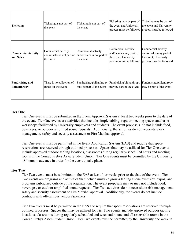| <b>Ticketing</b>                        | Ticketing is not part of<br>the event                                                       | Tleketing is not part of<br>the event                | Ticketing may be part of<br>the event and University                     | Ticketing may be part of<br>the event and University<br>process must be followed process must be followed                     |
|-----------------------------------------|---------------------------------------------------------------------------------------------|------------------------------------------------------|--------------------------------------------------------------------------|-------------------------------------------------------------------------------------------------------------------------------|
| <b>Commercial Activity</b><br>and Sales | Commercial activity<br>and/or sales is not part of and/or sales is not part of<br>the event | Commercial activity<br>the event                     | Commercial activity<br>and/or sales may part of<br>the event; University | Commercial activity<br>and/or sales may part of<br>the event; University<br>process must be followed process must be followed |
| <b>Fundraising and</b><br>Philanthropy  | There is no collection of<br>funds for the event                                            | Fundraising/philanthropy<br>may be part of the event | Fundraising/philanthropy<br>may be part of the event                     | Fundraising/philanthropy<br>may be part of the event                                                                          |

### **Tier One**

Tier One events must be submitted in the Event Approval System at least two weeks prior to the date of the event. Tier One events are activities that include simple tabling, regular meeting spaces and basic workshops facilitated by University employees and students. The event proposals do not include food, beverages, or outdoor amplified sound requests. Additionally, the activities do not necessitate risk management, safety and security assessment or Fire Marshal approval.

Tier One events must be permitted in the Event Application System (EAS) and require that space reservations are reserved through outlined processes. Spaces that may be utilized for Tier One events include approved outdoor tabling locations, classrooms during regularly-scheduled hours and meeting rooms in the Conrad Prebys Aztec Student Union. Tier One events must be permitted by the University 48-hours in advance in order for the event to take place.

### **Tier Two**

Tier Two events must be submitted in the EAS at least four weeks prior to the date of the event. Tier Two events are programs and activities that include multiple groups tabling at one event (ex. expos) and programs publicized outside of the organization. The event proposals may or may not include food, beverages, or outdoor amplified sound requests. Tier Two activities do not necessitate risk management, safety and security assessment or Fire Marshal approval. Additionally, the events do not include contracts with off-campus vendors/speakers.

Tier Two events must be permitted in the EAS and require that space reservations are reserved through outlined processes. Spaces that may be utilized for Tier Two events include approved outdoor tabling locations, classrooms during regularly-scheduled and weekend hours, and all reservable rooms in the Conrad Prebys Aztec Student Union. Tier Two events must be permitted by the University one week in